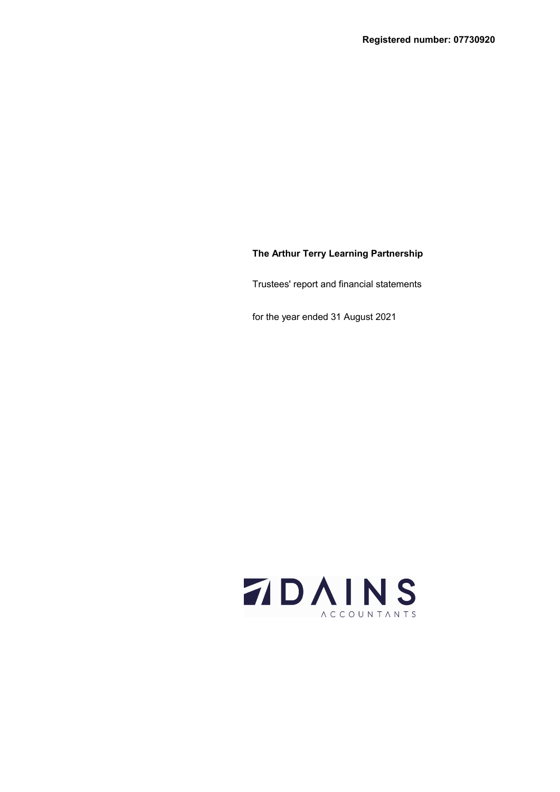## **The Arthur Terry Learning Partnership**

Trustees' report and financial statements

for the year ended 31 August 2021

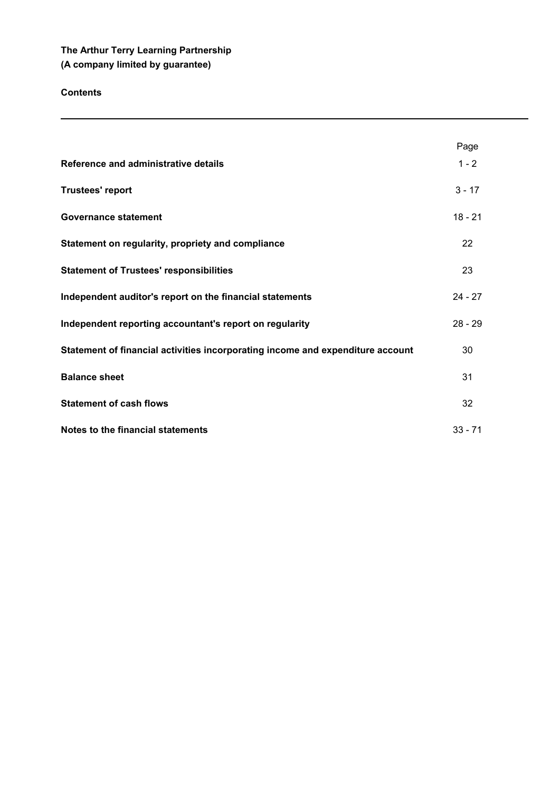# **Contents**

|                                                                                | Page      |
|--------------------------------------------------------------------------------|-----------|
| Reference and administrative details                                           | $1 - 2$   |
| <b>Trustees' report</b>                                                        | $3 - 17$  |
| <b>Governance statement</b>                                                    | $18 - 21$ |
| Statement on regularity, propriety and compliance                              | 22        |
| <b>Statement of Trustees' responsibilities</b>                                 | 23        |
| Independent auditor's report on the financial statements                       | $24 - 27$ |
| Independent reporting accountant's report on regularity                        | $28 - 29$ |
| Statement of financial activities incorporating income and expenditure account | 30        |
| <b>Balance sheet</b>                                                           | 31        |
| <b>Statement of cash flows</b>                                                 | 32        |
| Notes to the financial statements                                              | $33 - 71$ |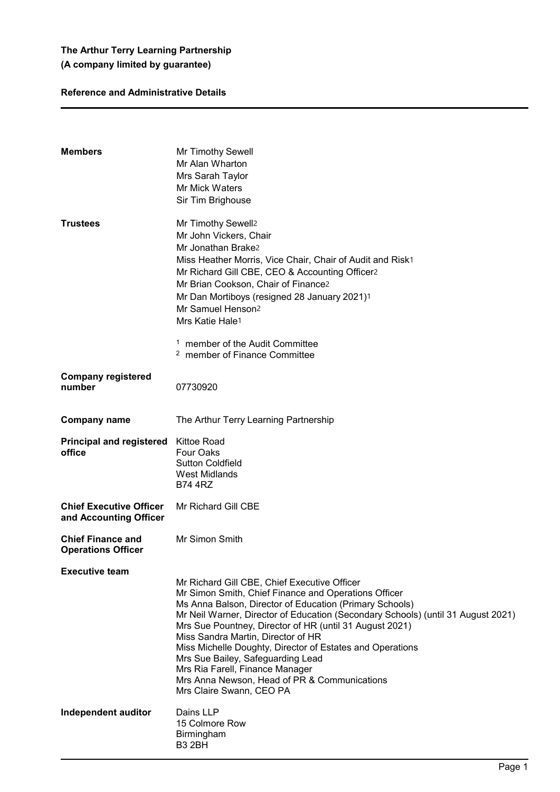## **Reference and Administrative Details**

| <b>Members</b>                                           | Mr Timothy Sewell<br>Mr Alan Wharton<br>Mrs Sarah Taylor<br>Mr Mick Waters<br>Sir Tim Brighouse                                                                                                                                                                                                                                                                                                                                                                                                                                                                       |
|----------------------------------------------------------|-----------------------------------------------------------------------------------------------------------------------------------------------------------------------------------------------------------------------------------------------------------------------------------------------------------------------------------------------------------------------------------------------------------------------------------------------------------------------------------------------------------------------------------------------------------------------|
| <b>Trustees</b>                                          | Mr Timothy Sewell2<br>Mr John Vickers, Chair<br>Mr Jonathan Brake <sup>2</sup><br>Miss Heather Morris, Vice Chair, Chair of Audit and Risk1<br>Mr Richard Gill CBE, CEO & Accounting Officer2<br>Mr Brian Cookson, Chair of Finance2<br>Mr Dan Mortiboys (resigned 28 January 2021)1<br>Mr Samuel Henson <sup>2</sup><br>Mrs Katie Hale1                                                                                                                                                                                                                              |
|                                                          | <sup>1</sup> member of the Audit Committee<br><sup>2</sup> member of Finance Committee                                                                                                                                                                                                                                                                                                                                                                                                                                                                                |
| <b>Company registered</b><br>number                      | 07730920                                                                                                                                                                                                                                                                                                                                                                                                                                                                                                                                                              |
| <b>Company name</b>                                      | The Arthur Terry Learning Partnership                                                                                                                                                                                                                                                                                                                                                                                                                                                                                                                                 |
| <b>Principal and registered</b><br>office                | <b>Kittoe Road</b><br><b>Four Oaks</b><br><b>Sutton Coldfield</b><br><b>West Midlands</b><br><b>B74 4RZ</b>                                                                                                                                                                                                                                                                                                                                                                                                                                                           |
| <b>Chief Executive Officer</b><br>and Accounting Officer | Mr Richard Gill CBE                                                                                                                                                                                                                                                                                                                                                                                                                                                                                                                                                   |
| <b>Chief Finance and</b><br><b>Operations Officer</b>    | Mr Simon Smith                                                                                                                                                                                                                                                                                                                                                                                                                                                                                                                                                        |
| <b>Executive team</b>                                    | Mr Richard Gill CBE, Chief Executive Officer<br>Mr Simon Smith, Chief Finance and Operations Officer<br>Ms Anna Balson, Director of Education (Primary Schools)<br>Mr Neil Warner, Director of Education (Secondary Schools) (until 31 August 2021)<br>Mrs Sue Pountney, Director of HR (until 31 August 2021)<br>Miss Sandra Martin, Director of HR<br>Miss Michelle Doughty, Director of Estates and Operations<br>Mrs Sue Bailey, Safeguarding Lead<br>Mrs Ria Farell, Finance Manager<br>Mrs Anna Newson, Head of PR & Communications<br>Mrs Claire Swann, CEO PA |
| Independent auditor                                      | Dains LLP<br>15 Colmore Row<br>Birmingham<br>B <sub>3</sub> 2BH                                                                                                                                                                                                                                                                                                                                                                                                                                                                                                       |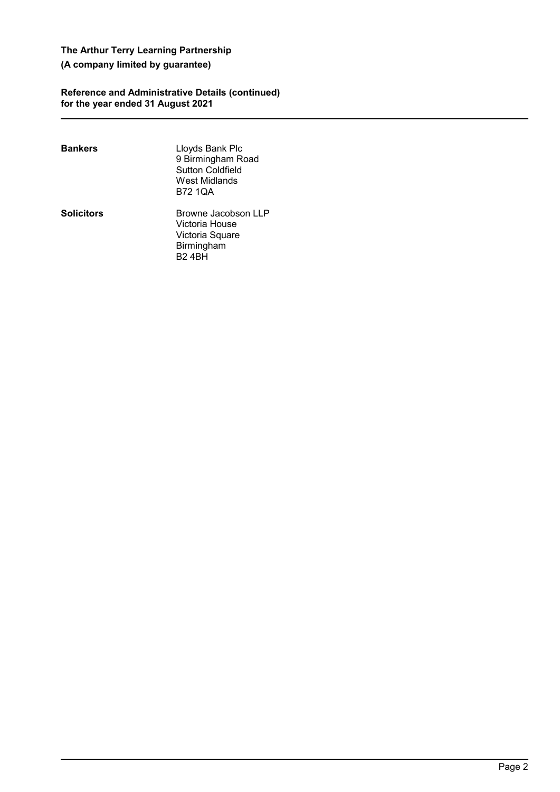## **Reference and Administrative Details (continued) for the year ended 31 August 2021**

| Bankers    | Lloyds Bank Plc<br>9 Birmingham Road<br><b>Sutton Coldfield</b><br>West Midlands<br><b>B72 1QA</b> |
|------------|----------------------------------------------------------------------------------------------------|
| Solicitors | Browne Jacobson LLP<br>Victoria House<br>Victoria Square<br>Birmingham<br>B2 4BH                   |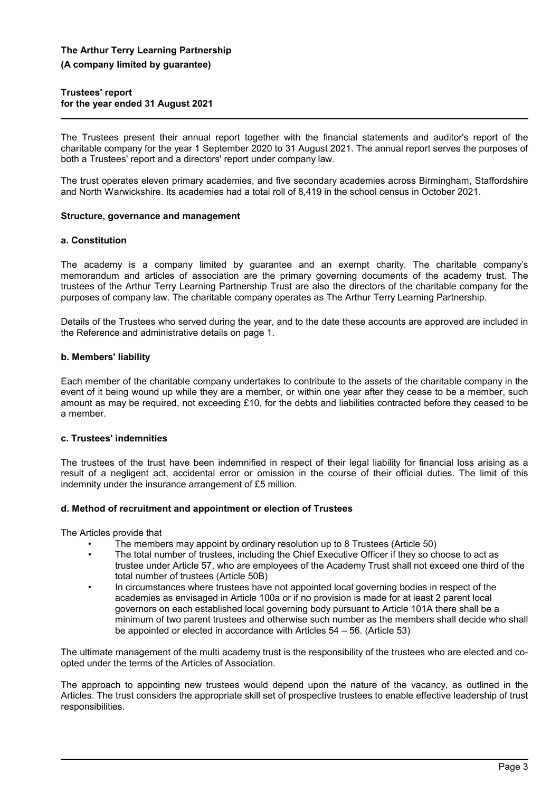## **Trustees' report for the year ended 31 August 2021**

The Trustees present their annual report together with the financial statements and auditor's report of the charitable company for the year 1 September 2020 to 31 August 2021. The annual report serves the purposes of both a Trustees' report and a directors' report under company law.

The trust operates eleven primary academies, and five secondary academies across Birmingham, Staffordshire and North Warwickshire. Its academies had a total roll of 8,419 in the school census in October 2021.

#### **Structure, governance and management**

### **a. Constitution**

The academy is a company limited by guarantee and an exempt charity. The charitable company's memorandum and articles of association are the primary governing documents of the academy trust. The trustees of the Arthur Terry Learning Partnership Trust are also the directors of the charitable company for the purposes of company law. The charitable company operates as The Arthur Terry Learning Partnership.

Details of the Trustees who served during the year, and to the date these accounts are approved are included in the Reference and administrative details on page 1.

## **b. Members' liability**

Each member of the charitable company undertakes to contribute to the assets of the charitable company in the event of it being wound up while they are a member, or within one year after they cease to be a member, such amount as may be required, not exceeding £10, for the debts and liabilities contracted before they ceased to be a member.

## **c. Trustees' indemnities**

The trustees of the trust have been indemnified in respect of their legal liability for financial loss arising as a result of a negligent act, accidental error or omission in the course of their official duties. The limit of this indemnity under the insurance arrangement of £5 million.

## **d. Method of recruitment and appointment or election of Trustees**

The Articles provide that

- The members may appoint by ordinary resolution up to 8 Trustees (Article 50)
- The total number of trustees, including the Chief Executive Officer if they so choose to act as trustee under Article 57, who are employees of the Academy Trust shall not exceed one third of the total number of trustees (Article 50B)
- In circumstances where trustees have not appointed local governing bodies in respect of the academies as envisaged in Article 100a or if no provision is made for at least 2 parent local governors on each established local governing body pursuant to Article 101A there shall be a minimum of two parent trustees and otherwise such number as the members shall decide who shall be appointed or elected in accordance with Articles 54 – 56. (Article 53)

The ultimate management of the multi academy trust is the responsibility of the trustees who are elected and coopted under the terms of the Articles of Association.

The approach to appointing new trustees would depend upon the nature of the vacancy, as outlined in the Articles. The trust considers the appropriate skill set of prospective trustees to enable effective leadership of trust responsibilities.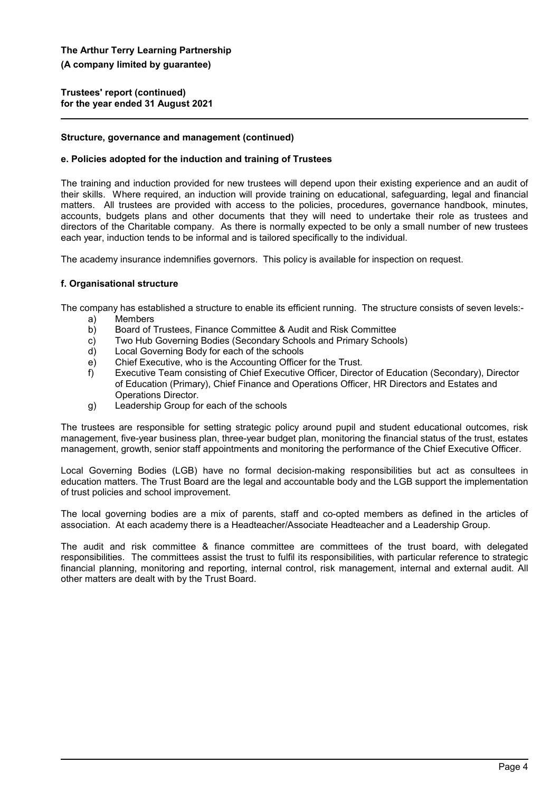**Trustees' report (continued) for the year ended 31 August 2021**

## **Structure, governance and management (continued)**

### **e. Policies adopted for the induction and training of Trustees**

The training and induction provided for new trustees will depend upon their existing experience and an audit of their skills. Where required, an induction will provide training on educational, safeguarding, legal and financial matters. All trustees are provided with access to the policies, procedures, governance handbook, minutes, accounts, budgets plans and other documents that they will need to undertake their role as trustees and directors of the Charitable company. As there is normally expected to be only a small number of new trustees each year, induction tends to be informal and is tailored specifically to the individual.

The academy insurance indemnifies governors. This policy is available for inspection on request.

## **f. Organisational structure**

The company has established a structure to enable its efficient running. The structure consists of seven levels:-

- a) Members
- b) Board of Trustees, Finance Committee & Audit and Risk Committee
- c) Two Hub Governing Bodies (Secondary Schools and Primary Schools)
- d) Local Governing Body for each of the schools
- e) Chief Executive, who is the Accounting Officer for the Trust.
- f) Executive Team consisting of Chief Executive Officer, Director of Education (Secondary), Director of Education (Primary), Chief Finance and Operations Officer, HR Directors and Estates and Operations Director.
- g) Leadership Group for each of the schools

The trustees are responsible for setting strategic policy around pupil and student educational outcomes, risk management, five-year business plan, three-year budget plan, monitoring the financial status of the trust, estates management, growth, senior staff appointments and monitoring the performance of the Chief Executive Officer.

Local Governing Bodies (LGB) have no formal decision-making responsibilities but act as consultees in education matters. The Trust Board are the legal and accountable body and the LGB support the implementation of trust policies and school improvement.

The local governing bodies are a mix of parents, staff and co-opted members as defined in the articles of association. At each academy there is a Headteacher/Associate Headteacher and a Leadership Group.

The audit and risk committee & finance committee are committees of the trust board, with delegated responsibilities. The committees assist the trust to fulfil its responsibilities, with particular reference to strategic financial planning, monitoring and reporting, internal control, risk management, internal and external audit. All other matters are dealt with by the Trust Board.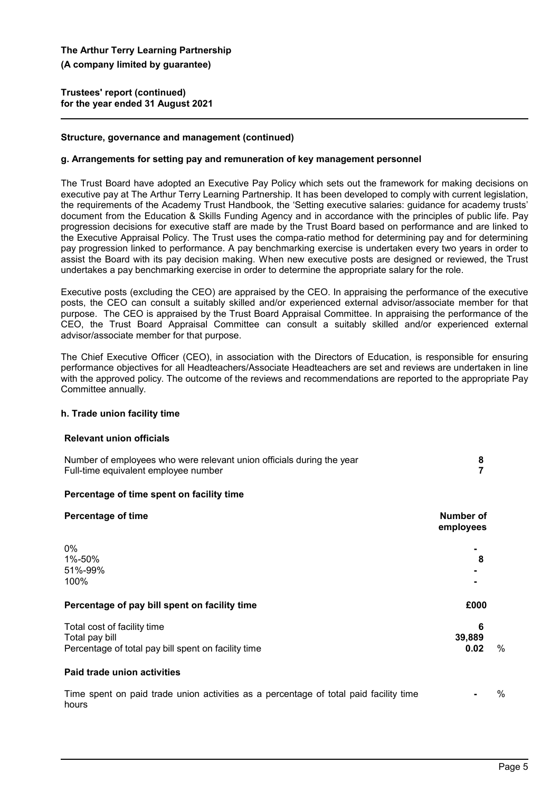**Trustees' report (continued) for the year ended 31 August 2021**

## **Structure, governance and management (continued)**

#### **g. Arrangements for setting pay and remuneration of key management personnel**

The Trust Board have adopted an Executive Pay Policy which sets out the framework for making decisions on executive pay at The Arthur Terry Learning Partnership. It has been developed to comply with current legislation, the requirements of the Academy Trust Handbook, the 'Setting executive salaries: guidance for academy trusts' document from the Education & Skills Funding Agency and in accordance with the principles of public life. Pay progression decisions for executive staff are made by the Trust Board based on performance and are linked to the Executive Appraisal Policy. The Trust uses the compa-ratio method for determining pay and for determining pay progression linked to performance. A pay benchmarking exercise is undertaken every two years in order to assist the Board with its pay decision making. When new executive posts are designed or reviewed, the Trust undertakes a pay benchmarking exercise in order to determine the appropriate salary for the role.

Executive posts (excluding the CEO) are appraised by the CEO. In appraising the performance of the executive posts, the CEO can consult a suitably skilled and/or experienced external advisor/associate member for that purpose. The CEO is appraised by the Trust Board Appraisal Committee. In appraising the performance of the CEO, the Trust Board Appraisal Committee can consult a suitably skilled and/or experienced external advisor/associate member for that purpose.

The Chief Executive Officer (CEO), in association with the Directors of Education, is responsible for ensuring performance objectives for all Headteachers/Associate Headteachers are set and reviews are undertaken in line with the approved policy. The outcome of the reviews and recommendations are reported to the appropriate Pay Committee annually.

#### **h. Trade union facility time**

#### **Relevant union officials**

| Number of employees who were relevant union officials during the year |  |
|-----------------------------------------------------------------------|--|
| Full-time equivalent employee number                                  |  |

## **Percentage of time spent on facility time**

| <b>Percentage of time</b>                                                                      | <b>Number of</b><br>employees |   |
|------------------------------------------------------------------------------------------------|-------------------------------|---|
| $0\%$                                                                                          |                               |   |
| 1%-50%                                                                                         | 8                             |   |
| 51%-99%                                                                                        |                               |   |
| 100%                                                                                           |                               |   |
| Percentage of pay bill spent on facility time                                                  | £000                          |   |
| Total cost of facility time                                                                    | 6                             |   |
| Total pay bill                                                                                 | 39,889                        |   |
| Percentage of total pay bill spent on facility time                                            | 0.02                          | % |
| Paid trade union activities                                                                    |                               |   |
| Time spent on paid trade union activities as a percentage of total paid facility time<br>hours |                               | % |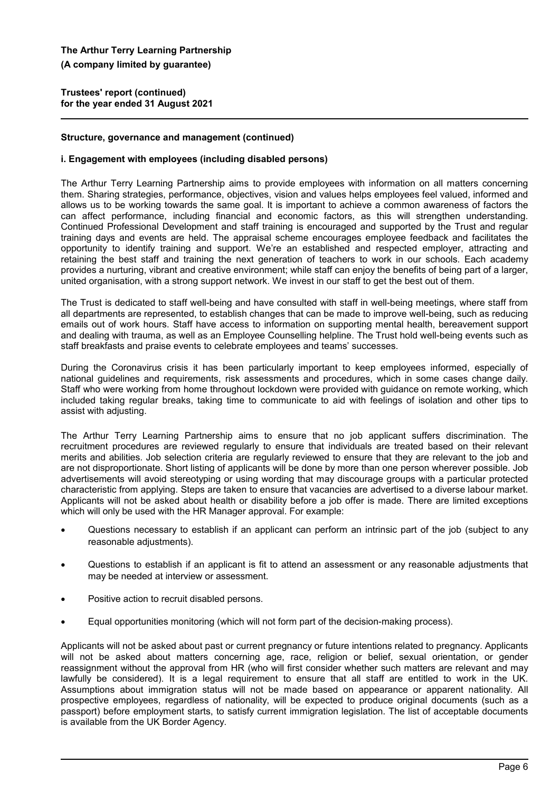**Trustees' report (continued) for the year ended 31 August 2021**

## **Structure, governance and management (continued)**

### **i. Engagement with employees (including disabled persons)**

The Arthur Terry Learning Partnership aims to provide employees with information on all matters concerning them. Sharing strategies, performance, objectives, vision and values helps employees feel valued, informed and allows us to be working towards the same goal. It is important to achieve a common awareness of factors the can affect performance, including financial and economic factors, as this will strengthen understanding. Continued Professional Development and staff training is encouraged and supported by the Trust and regular training days and events are held. The appraisal scheme encourages employee feedback and facilitates the opportunity to identify training and support. We're an established and respected employer, attracting and retaining the best staff and training the next generation of teachers to work in our schools. Each academy provides a nurturing, vibrant and creative environment; while staff can enjoy the benefits of being part of a larger, united organisation, with a strong support network. We invest in our staff to get the best out of them.

The Trust is dedicated to staff well-being and have consulted with staff in well-being meetings, where staff from all departments are represented, to establish changes that can be made to improve well-being, such as reducing emails out of work hours. Staff have access to information on supporting mental health, bereavement support and dealing with trauma, as well as an Employee Counselling helpline. The Trust hold well-being events such as staff breakfasts and praise events to celebrate employees and teams' successes.

During the Coronavirus crisis it has been particularly important to keep employees informed, especially of national guidelines and requirements, risk assessments and procedures, which in some cases change daily. Staff who were working from home throughout lockdown were provided with guidance on remote working, which included taking regular breaks, taking time to communicate to aid with feelings of isolation and other tips to assist with adjusting.

The Arthur Terry Learning Partnership aims to ensure that no job applicant suffers discrimination. The recruitment procedures are reviewed regularly to ensure that individuals are treated based on their relevant merits and abilities. Job selection criteria are regularly reviewed to ensure that they are relevant to the job and are not disproportionate. Short listing of applicants will be done by more than one person wherever possible. Job advertisements will avoid stereotyping or using wording that may discourage groups with a particular protected characteristic from applying. Steps are taken to ensure that vacancies are advertised to a diverse labour market. Applicants will not be asked about health or disability before a job offer is made. There are limited exceptions which will only be used with the HR Manager approval. For example:

- Questions necessary to establish if an applicant can perform an intrinsic part of the job (subject to any reasonable adjustments).
- Questions to establish if an applicant is fit to attend an assessment or any reasonable adjustments that may be needed at interview or assessment.
- Positive action to recruit disabled persons.
- Equal opportunities monitoring (which will not form part of the decision-making process).

Applicants will not be asked about past or current pregnancy or future intentions related to pregnancy. Applicants will not be asked about matters concerning age, race, religion or belief, sexual orientation, or gender reassignment without the approval from HR (who will first consider whether such matters are relevant and may lawfully be considered). It is a legal requirement to ensure that all staff are entitled to work in the UK. Assumptions about immigration status will not be made based on appearance or apparent nationality. All prospective employees, regardless of nationality, will be expected to produce original documents (such as a passport) before employment starts, to satisfy current immigration legislation. The list of acceptable documents is available from the UK Border Agency.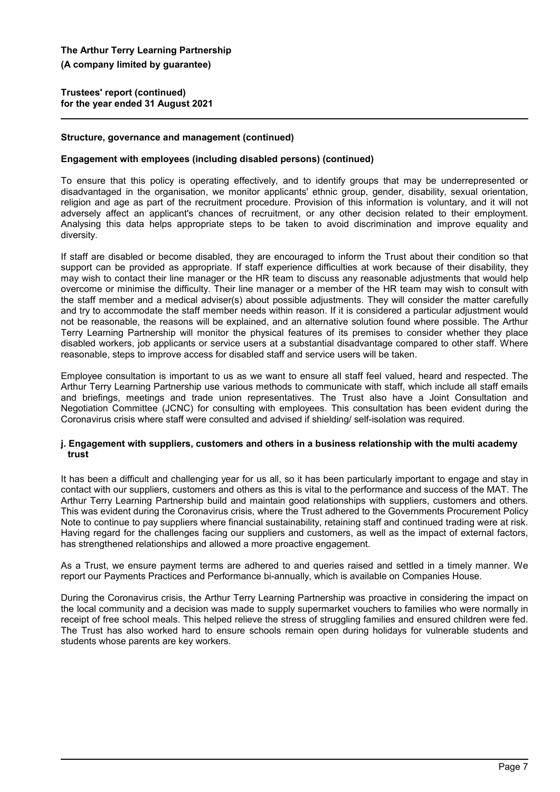**Trustees' report (continued) for the year ended 31 August 2021**

### **Structure, governance and management (continued)**

#### **Engagement with employees (including disabled persons) (continued)**

To ensure that this policy is operating effectively, and to identify groups that may be underrepresented or disadvantaged in the organisation, we monitor applicants' ethnic group, gender, disability, sexual orientation, religion and age as part of the recruitment procedure. Provision of this information is voluntary, and it will not adversely affect an applicant's chances of recruitment, or any other decision related to their employment. Analysing this data helps appropriate steps to be taken to avoid discrimination and improve equality and diversity.

If staff are disabled or become disabled, they are encouraged to inform the Trust about their condition so that support can be provided as appropriate. If staff experience difficulties at work because of their disability, they may wish to contact their line manager or the HR team to discuss any reasonable adjustments that would help overcome or minimise the difficulty. Their line manager or a member of the HR team may wish to consult with the staff member and a medical adviser(s) about possible adjustments. They will consider the matter carefully and try to accommodate the staff member needs within reason. If it is considered a particular adjustment would not be reasonable, the reasons will be explained, and an alternative solution found where possible. The Arthur Terry Learning Partnership will monitor the physical features of its premises to consider whether they place disabled workers, job applicants or service users at a substantial disadvantage compared to other staff. Where reasonable, steps to improve access for disabled staff and service users will be taken.

Employee consultation is important to us as we want to ensure all staff feel valued, heard and respected. The Arthur Terry Learning Partnership use various methods to communicate with staff, which include all staff emails and briefings, meetings and trade union representatives. The Trust also have a Joint Consultation and Negotiation Committee (JCNC) for consulting with employees. This consultation has been evident during the Coronavirus crisis where staff were consulted and advised if shielding/ self-isolation was required.

#### **j. Engagement with suppliers, customers and others in a business relationship with the multi academy trust**

It has been a difficult and challenging year for us all, so it has been particularly important to engage and stay in contact with our suppliers, customers and others as this is vital to the performance and success of the MAT. The Arthur Terry Learning Partnership build and maintain good relationships with suppliers, customers and others. This was evident during the Coronavirus crisis, where the Trust adhered to the Governments Procurement Policy Note to continue to pay suppliers where financial sustainability, retaining staff and continued trading were at risk. Having regard for the challenges facing our suppliers and customers, as well as the impact of external factors, has strengthened relationships and allowed a more proactive engagement.

As a Trust, we ensure payment terms are adhered to and queries raised and settled in a timely manner. We report our Payments Practices and Performance bi-annually, which is available on Companies House.

During the Coronavirus crisis, the Arthur Terry Learning Partnership was proactive in considering the impact on the local community and a decision was made to supply supermarket vouchers to families who were normally in receipt of free school meals. This helped relieve the stress of struggling families and ensured children were fed. The Trust has also worked hard to ensure schools remain open during holidays for vulnerable students and students whose parents are key workers.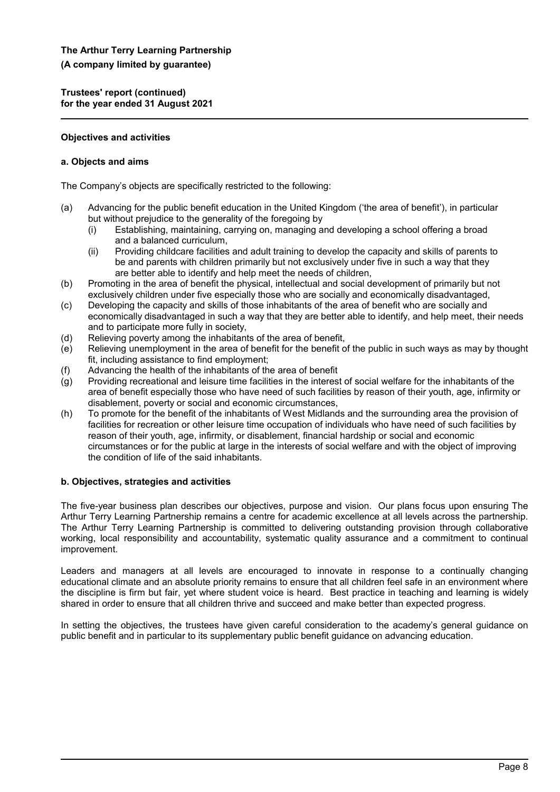**Trustees' report (continued) for the year ended 31 August 2021**

## **Objectives and activities**

## **a. Objects and aims**

The Company's objects are specifically restricted to the following:

- (a) Advancing for the public benefit education in the United Kingdom ('the area of benefit'), in particular but without prejudice to the generality of the foregoing by
	- (i) Establishing, maintaining, carrying on, managing and developing a school offering a broad and a balanced curriculum,
	- (ii) Providing childcare facilities and adult training to develop the capacity and skills of parents to be and parents with children primarily but not exclusively under five in such a way that they are better able to identify and help meet the needs of children,
- (b) Promoting in the area of benefit the physical, intellectual and social development of primarily but not exclusively children under five especially those who are socially and economically disadvantaged,
- (c) Developing the capacity and skills of those inhabitants of the area of benefit who are socially and economically disadvantaged in such a way that they are better able to identify, and help meet, their needs and to participate more fully in society,
- (d) Relieving poverty among the inhabitants of the area of benefit,
- (e) Relieving unemployment in the area of benefit for the benefit of the public in such ways as may by thought fit, including assistance to find employment;
- (f) Advancing the health of the inhabitants of the area of benefit
- (g) Providing recreational and leisure time facilities in the interest of social welfare for the inhabitants of the area of benefit especially those who have need of such facilities by reason of their youth, age, infirmity or disablement, poverty or social and economic circumstances,
- (h) To promote for the benefit of the inhabitants of West Midlands and the surrounding area the provision of facilities for recreation or other leisure time occupation of individuals who have need of such facilities by reason of their youth, age, infirmity, or disablement, financial hardship or social and economic circumstances or for the public at large in the interests of social welfare and with the object of improving the condition of life of the said inhabitants.

## **b. Objectives, strategies and activities**

The five-year business plan describes our objectives, purpose and vision. Our plans focus upon ensuring The Arthur Terry Learning Partnership remains a centre for academic excellence at all levels across the partnership. The Arthur Terry Learning Partnership is committed to delivering outstanding provision through collaborative working, local responsibility and accountability, systematic quality assurance and a commitment to continual improvement.

Leaders and managers at all levels are encouraged to innovate in response to a continually changing educational climate and an absolute priority remains to ensure that all children feel safe in an environment where the discipline is firm but fair, yet where student voice is heard. Best practice in teaching and learning is widely shared in order to ensure that all children thrive and succeed and make better than expected progress.

In setting the objectives, the trustees have given careful consideration to the academy's general guidance on public benefit and in particular to its supplementary public benefit guidance on advancing education.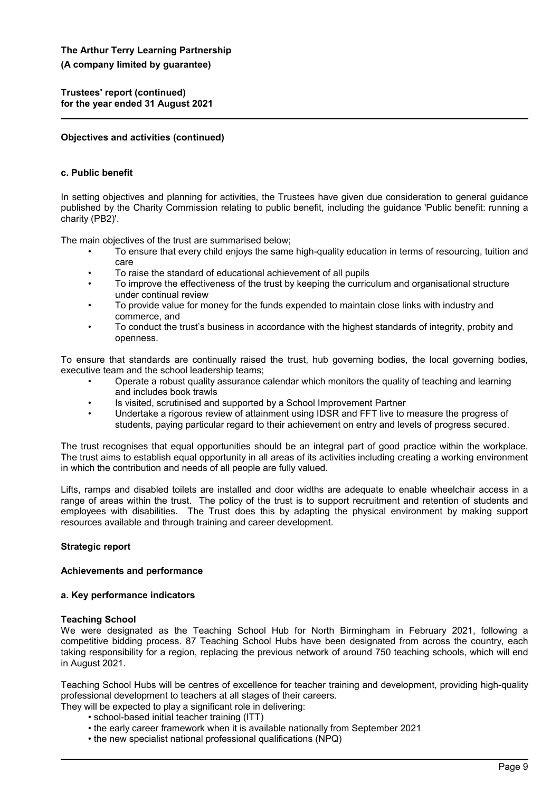**Trustees' report (continued) for the year ended 31 August 2021**

## **Objectives and activities (continued)**

## **c. Public benefit**

In setting objectives and planning for activities, the Trustees have given due consideration to general guidance published by the Charity Commission relating to public benefit, including the guidance 'Public benefit: running a charity (PB2)'.

The main objectives of the trust are summarised below;

- To ensure that every child enjoys the same high-quality education in terms of resourcing, tuition and care
- To raise the standard of educational achievement of all pupils
- To improve the effectiveness of the trust by keeping the curriculum and organisational structure under continual review
- To provide value for money for the funds expended to maintain close links with industry and commerce, and
- To conduct the trust's business in accordance with the highest standards of integrity, probity and openness.

To ensure that standards are continually raised the trust, hub governing bodies, the local governing bodies, executive team and the school leadership teams;

- Operate a robust quality assurance calendar which monitors the quality of teaching and learning and includes book trawls
- Is visited, scrutinised and supported by a School Improvement Partner
- Undertake a rigorous review of attainment using IDSR and FFT live to measure the progress of students, paying particular regard to their achievement on entry and levels of progress secured.

The trust recognises that equal opportunities should be an integral part of good practice within the workplace. The trust aims to establish equal opportunity in all areas of its activities including creating a working environment in which the contribution and needs of all people are fully valued.

Lifts, ramps and disabled toilets are installed and door widths are adequate to enable wheelchair access in a range of areas within the trust. The policy of the trust is to support recruitment and retention of students and employees with disabilities. The Trust does this by adapting the physical environment by making support resources available and through training and career development.

## **Strategic report**

## **Achievements and performance**

### **a. Key performance indicators**

#### **Teaching School**

We were designated as the Teaching School Hub for North Birmingham in February 2021, following a competitive bidding process. 87 Teaching School Hubs have been designated from across the country, each taking responsibility for a region, replacing the previous network of around 750 teaching schools, which will end in August 2021.

Teaching School Hubs will be centres of excellence for teacher training and development, providing high-quality professional development to teachers at all stages of their careers. They will be expected to play a significant role in delivering:

- school-based initial teacher training (ITT)
- the early career framework when it is available nationally from September 2021
- the new specialist national professional qualifications (NPQ)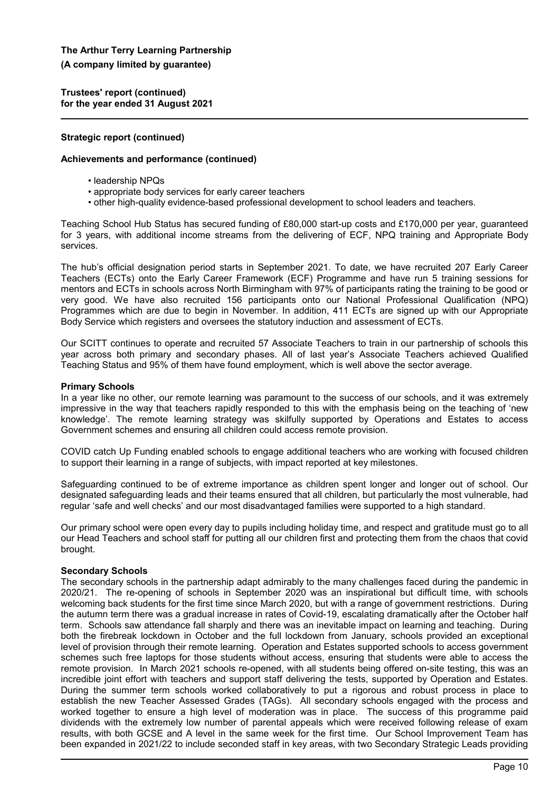**Trustees' report (continued) for the year ended 31 August 2021**

## **Strategic report (continued)**

### **Achievements and performance (continued)**

- leadership NPQs
- appropriate body services for early career teachers
- other high-quality evidence-based professional development to school leaders and teachers.

Teaching School Hub Status has secured funding of £80,000 start-up costs and £170,000 per year, guaranteed for 3 years, with additional income streams from the delivering of ECF, NPQ training and Appropriate Body services.

The hub's official designation period starts in September 2021. To date, we have recruited 207 Early Career Teachers (ECTs) onto the Early Career Framework (ECF) Programme and have run 5 training sessions for mentors and ECTs in schools across North Birmingham with 97% of participants rating the training to be good or very good. We have also recruited 156 participants onto our National Professional Qualification (NPQ) Programmes which are due to begin in November. In addition, 411 ECTs are signed up with our Appropriate Body Service which registers and oversees the statutory induction and assessment of ECTs.

Our SCITT continues to operate and recruited 57 Associate Teachers to train in our partnership of schools this year across both primary and secondary phases. All of last year's Associate Teachers achieved Qualified Teaching Status and 95% of them have found employment, which is well above the sector average.

### **Primary Schools**

In a year like no other, our remote learning was paramount to the success of our schools, and it was extremely impressive in the way that teachers rapidly responded to this with the emphasis being on the teaching of 'new knowledge'. The remote learning strategy was skilfully supported by Operations and Estates to access Government schemes and ensuring all children could access remote provision.

COVID catch Up Funding enabled schools to engage additional teachers who are working with focused children to support their learning in a range of subjects, with impact reported at key milestones.

Safeguarding continued to be of extreme importance as children spent longer and longer out of school. Our designated safeguarding leads and their teams ensured that all children, but particularly the most vulnerable, had regular 'safe and well checks' and our most disadvantaged families were supported to a high standard.

Our primary school were open every day to pupils including holiday time, and respect and gratitude must go to all our Head Teachers and school staff for putting all our children first and protecting them from the chaos that covid brought.

#### **Secondary Schools**

The secondary schools in the partnership adapt admirably to the many challenges faced during the pandemic in 2020/21. The re-opening of schools in September 2020 was an inspirational but difficult time, with schools welcoming back students for the first time since March 2020, but with a range of government restrictions. During the autumn term there was a gradual increase in rates of Covid-19, escalating dramatically after the October half term. Schools saw attendance fall sharply and there was an inevitable impact on learning and teaching. During both the firebreak lockdown in October and the full lockdown from January, schools provided an exceptional level of provision through their remote learning. Operation and Estates supported schools to access government schemes such free laptops for those students without access, ensuring that students were able to access the remote provision. In March 2021 schools re-opened, with all students being offered on-site testing, this was an incredible joint effort with teachers and support staff delivering the tests, supported by Operation and Estates. During the summer term schools worked collaboratively to put a rigorous and robust process in place to establish the new Teacher Assessed Grades (TAGs). All secondary schools engaged with the process and worked together to ensure a high level of moderation was in place. The success of this programme paid dividends with the extremely low number of parental appeals which were received following release of exam results, with both GCSE and A level in the same week for the first time. Our School Improvement Team has been expanded in 2021/22 to include seconded staff in key areas, with two Secondary Strategic Leads providing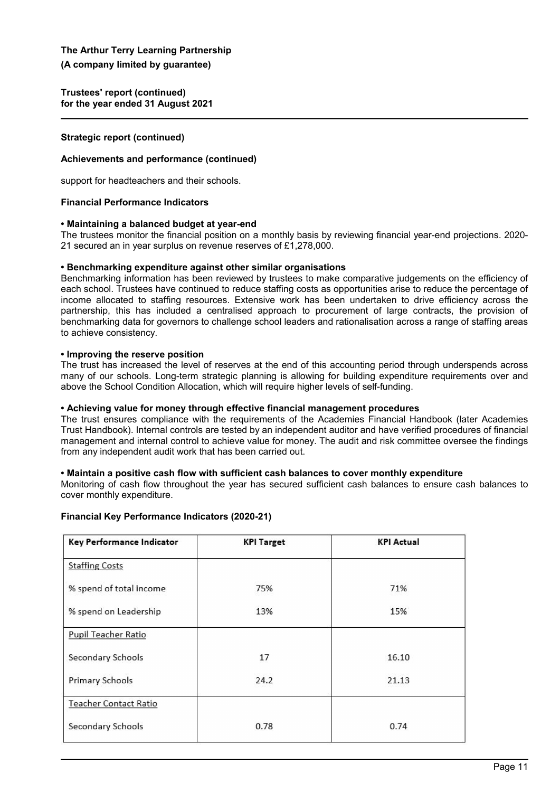**Trustees' report (continued) for the year ended 31 August 2021**

## **Strategic report (continued)**

## **Achievements and performance (continued)**

support for headteachers and their schools.

### **Financial Performance Indicators**

### **• Maintaining a balanced budget at year-end**

The trustees monitor the financial position on a monthly basis by reviewing financial year-end projections. 2020- 21 secured an in year surplus on revenue reserves of £1,278,000.

### **• Benchmarking expenditure against other similar organisations**

Benchmarking information has been reviewed by trustees to make comparative judgements on the efficiency of each school. Trustees have continued to reduce staffing costs as opportunities arise to reduce the percentage of income allocated to staffing resources. Extensive work has been undertaken to drive efficiency across the partnership, this has included a centralised approach to procurement of large contracts, the provision of benchmarking data for governors to challenge school leaders and rationalisation across a range of staffing areas to achieve consistency.

## **• Improving the reserve position**

The trust has increased the level of reserves at the end of this accounting period through underspends across many of our schools. Long-term strategic planning is allowing for building expenditure requirements over and above the School Condition Allocation, which will require higher levels of self-funding.

## **• Achieving value for money through effective financial management procedures**

The trust ensures compliance with the requirements of the Academies Financial Handbook (later Academies Trust Handbook). Internal controls are tested by an independent auditor and have verified procedures of financial management and internal control to achieve value for money. The audit and risk committee oversee the findings from any independent audit work that has been carried out.

### **• Maintain a positive cash flow with sufficient cash balances to cover monthly expenditure**

Monitoring of cash flow throughout the year has secured sufficient cash balances to ensure cash balances to cover monthly expenditure.

## **Financial Key Performance Indicators (2020-21)**

| Key Performance Indicator | <b>KPI Target</b> | <b>KPI Actual</b> |
|---------------------------|-------------------|-------------------|
| <b>Staffing Costs</b>     |                   |                   |
| % spend of total income   | 75%               | 71%               |
| % spend on Leadership     | 13%               | 15%               |
| Pupil Teacher Ratio       |                   |                   |
| Secondary Schools         | 17                | 16.10             |
| Primary Schools           | 24.2              | 21.13             |
| Teacher Contact Ratio     |                   |                   |
| Secondary Schools         | 0.78              | 0.74              |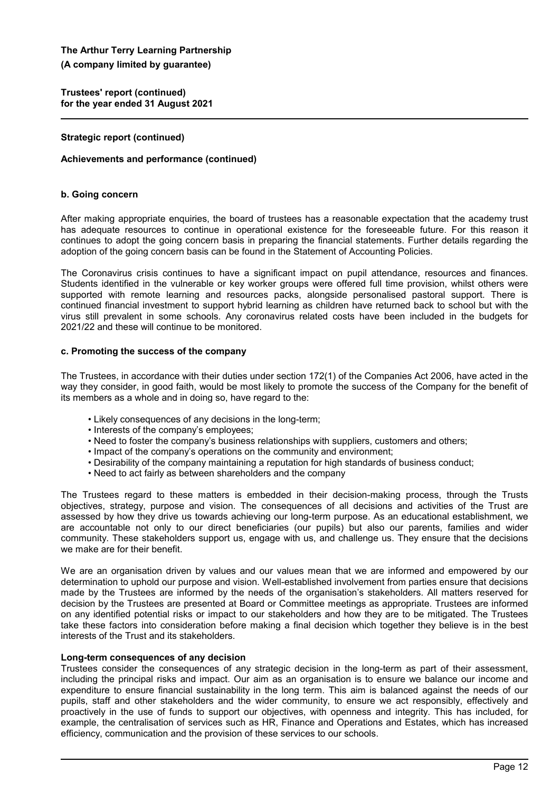**Trustees' report (continued) for the year ended 31 August 2021**

## **Strategic report (continued)**

## **Achievements and performance (continued)**

#### **b. Going concern**

After making appropriate enquiries, the board of trustees has a reasonable expectation that the academy trust has adequate resources to continue in operational existence for the foreseeable future. For this reason it continues to adopt the going concern basis in preparing the financial statements. Further details regarding the adoption of the going concern basis can be found in the Statement of Accounting Policies.

The Coronavirus crisis continues to have a significant impact on pupil attendance, resources and finances. Students identified in the vulnerable or key worker groups were offered full time provision, whilst others were supported with remote learning and resources packs, alongside personalised pastoral support. There is continued financial investment to support hybrid learning as children have returned back to school but with the virus still prevalent in some schools. Any coronavirus related costs have been included in the budgets for 2021/22 and these will continue to be monitored.

### **c. Promoting the success of the company**

The Trustees, in accordance with their duties under section 172(1) of the Companies Act 2006, have acted in the way they consider, in good faith, would be most likely to promote the success of the Company for the benefit of its members as a whole and in doing so, have regard to the:

- Likely consequences of any decisions in the long-term;
- Interests of the company's employees;
- Need to foster the company's business relationships with suppliers, customers and others;
- Impact of the company's operations on the community and environment;
- Desirability of the company maintaining a reputation for high standards of business conduct;
- Need to act fairly as between shareholders and the company

The Trustees regard to these matters is embedded in their decision-making process, through the Trusts objectives, strategy, purpose and vision. The consequences of all decisions and activities of the Trust are assessed by how they drive us towards achieving our long-term purpose. As an educational establishment, we are accountable not only to our direct beneficiaries (our pupils) but also our parents, families and wider community. These stakeholders support us, engage with us, and challenge us. They ensure that the decisions we make are for their benefit.

We are an organisation driven by values and our values mean that we are informed and empowered by our determination to uphold our purpose and vision. Well-established involvement from parties ensure that decisions made by the Trustees are informed by the needs of the organisation's stakeholders. All matters reserved for decision by the Trustees are presented at Board or Committee meetings as appropriate. Trustees are informed on any identified potential risks or impact to our stakeholders and how they are to be mitigated. The Trustees take these factors into consideration before making a final decision which together they believe is in the best interests of the Trust and its stakeholders.

#### **Long-term consequences of any decision**

Trustees consider the consequences of any strategic decision in the long-term as part of their assessment, including the principal risks and impact. Our aim as an organisation is to ensure we balance our income and expenditure to ensure financial sustainability in the long term. This aim is balanced against the needs of our pupils, staff and other stakeholders and the wider community, to ensure we act responsibly, effectively and proactively in the use of funds to support our objectives, with openness and integrity. This has included, for example, the centralisation of services such as HR, Finance and Operations and Estates, which has increased efficiency, communication and the provision of these services to our schools.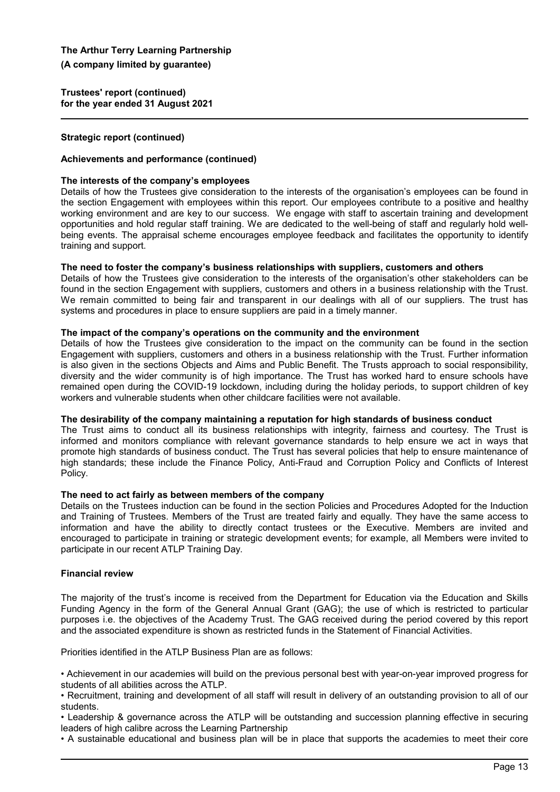**Trustees' report (continued) for the year ended 31 August 2021**

## **Strategic report (continued)**

### **Achievements and performance (continued)**

#### **The interests of the company's employees**

Details of how the Trustees give consideration to the interests of the organisation's employees can be found in the section Engagement with employees within this report. Our employees contribute to a positive and healthy working environment and are key to our success. We engage with staff to ascertain training and development opportunities and hold regular staff training. We are dedicated to the well-being of staff and regularly hold wellbeing events. The appraisal scheme encourages employee feedback and facilitates the opportunity to identify training and support.

### **The need to foster the company's business relationships with suppliers, customers and others**

Details of how the Trustees give consideration to the interests of the organisation's other stakeholders can be found in the section Engagement with suppliers, customers and others in a business relationship with the Trust. We remain committed to being fair and transparent in our dealings with all of our suppliers. The trust has systems and procedures in place to ensure suppliers are paid in a timely manner.

#### **The impact of the company's operations on the community and the environment**

Details of how the Trustees give consideration to the impact on the community can be found in the section Engagement with suppliers, customers and others in a business relationship with the Trust. Further information is also given in the sections Objects and Aims and Public Benefit. The Trusts approach to social responsibility, diversity and the wider community is of high importance. The Trust has worked hard to ensure schools have remained open during the COVID-19 lockdown, including during the holiday periods, to support children of key workers and vulnerable students when other childcare facilities were not available.

#### **The desirability of the company maintaining a reputation for high standards of business conduct**

The Trust aims to conduct all its business relationships with integrity, fairness and courtesy. The Trust is informed and monitors compliance with relevant governance standards to help ensure we act in ways that promote high standards of business conduct. The Trust has several policies that help to ensure maintenance of high standards; these include the Finance Policy, Anti-Fraud and Corruption Policy and Conflicts of Interest Policy.

#### **The need to act fairly as between members of the company**

Details on the Trustees induction can be found in the section Policies and Procedures Adopted for the Induction and Training of Trustees. Members of the Trust are treated fairly and equally. They have the same access to information and have the ability to directly contact trustees or the Executive. Members are invited and encouraged to participate in training or strategic development events; for example, all Members were invited to participate in our recent ATLP Training Day.

### **Financial review**

The majority of the trust's income is received from the Department for Education via the Education and Skills Funding Agency in the form of the General Annual Grant (GAG); the use of which is restricted to particular purposes i.e. the objectives of the Academy Trust. The GAG received during the period covered by this report and the associated expenditure is shown as restricted funds in the Statement of Financial Activities.

Priorities identified in the ATLP Business Plan are as follows:

• Achievement in our academies will build on the previous personal best with year-on-year improved progress for students of all abilities across the ATLP.

• Recruitment, training and development of all staff will result in delivery of an outstanding provision to all of our students.

• Leadership & governance across the ATLP will be outstanding and succession planning effective in securing leaders of high calibre across the Learning Partnership

• A sustainable educational and business plan will be in place that supports the academies to meet their core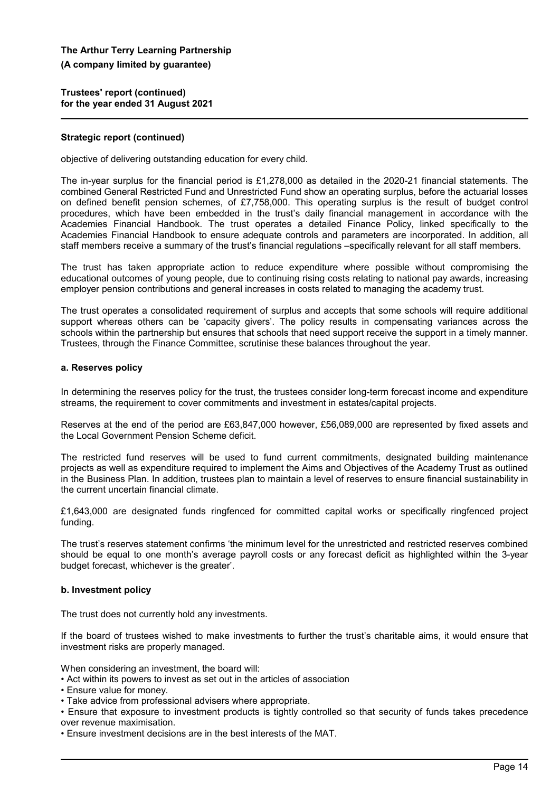### **Trustees' report (continued) for the year ended 31 August 2021**

## **Strategic report (continued)**

objective of delivering outstanding education for every child.

The in-year surplus for the financial period is £1,278,000 as detailed in the 2020-21 financial statements. The combined General Restricted Fund and Unrestricted Fund show an operating surplus, before the actuarial losses on defined benefit pension schemes, of £7,758,000. This operating surplus is the result of budget control procedures, which have been embedded in the trust's daily financial management in accordance with the Academies Financial Handbook. The trust operates a detailed Finance Policy, linked specifically to the Academies Financial Handbook to ensure adequate controls and parameters are incorporated. In addition, all staff members receive a summary of the trust's financial regulations –specifically relevant for all staff members.

The trust has taken appropriate action to reduce expenditure where possible without compromising the educational outcomes of young people, due to continuing rising costs relating to national pay awards, increasing employer pension contributions and general increases in costs related to managing the academy trust.

The trust operates a consolidated requirement of surplus and accepts that some schools will require additional support whereas others can be 'capacity givers'. The policy results in compensating variances across the schools within the partnership but ensures that schools that need support receive the support in a timely manner. Trustees, through the Finance Committee, scrutinise these balances throughout the year.

### **a. Reserves policy**

In determining the reserves policy for the trust, the trustees consider long-term forecast income and expenditure streams, the requirement to cover commitments and investment in estates/capital projects.

Reserves at the end of the period are £63,847,000 however, £56,089,000 are represented by fixed assets and the Local Government Pension Scheme deficit.

The restricted fund reserves will be used to fund current commitments, designated building maintenance projects as well as expenditure required to implement the Aims and Objectives of the Academy Trust as outlined in the Business Plan. In addition, trustees plan to maintain a level of reserves to ensure financial sustainability in the current uncertain financial climate.

£1,643,000 are designated funds ringfenced for committed capital works or specifically ringfenced project funding.

The trust's reserves statement confirms 'the minimum level for the unrestricted and restricted reserves combined should be equal to one month's average payroll costs or any forecast deficit as highlighted within the 3-year budget forecast, whichever is the greater'.

## **b. Investment policy**

The trust does not currently hold any investments.

If the board of trustees wished to make investments to further the trust's charitable aims, it would ensure that investment risks are properly managed.

When considering an investment, the board will:

- Act within its powers to invest as set out in the articles of association
- Ensure value for money.
- Take advice from professional advisers where appropriate.

• Ensure that exposure to investment products is tightly controlled so that security of funds takes precedence over revenue maximisation.

• Ensure investment decisions are in the best interests of the MAT.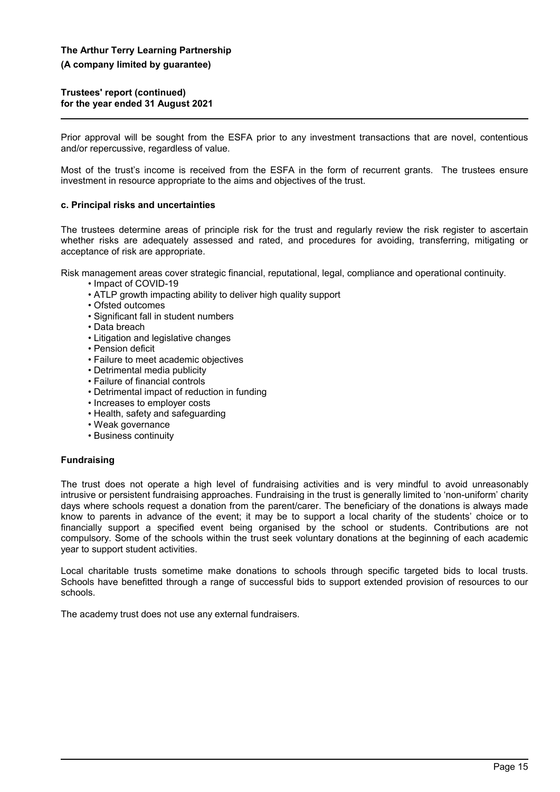## **Trustees' report (continued) for the year ended 31 August 2021**

Prior approval will be sought from the ESFA prior to any investment transactions that are novel, contentious and/or repercussive, regardless of value.

Most of the trust's income is received from the ESFA in the form of recurrent grants. The trustees ensure investment in resource appropriate to the aims and objectives of the trust.

### **c. Principal risks and uncertainties**

The trustees determine areas of principle risk for the trust and regularly review the risk register to ascertain whether risks are adequately assessed and rated, and procedures for avoiding, transferring, mitigating or acceptance of risk are appropriate.

Risk management areas cover strategic financial, reputational, legal, compliance and operational continuity.

- Impact of COVID-19
- ATLP growth impacting ability to deliver high quality support
- Ofsted outcomes
- Significant fall in student numbers
- Data breach
- Litigation and legislative changes
- Pension deficit
- Failure to meet academic objectives
- Detrimental media publicity
- Failure of financial controls
- Detrimental impact of reduction in funding
- Increases to employer costs
- Health, safety and safeguarding
- Weak governance
- Business continuity

## **Fundraising**

The trust does not operate a high level of fundraising activities and is very mindful to avoid unreasonably intrusive or persistent fundraising approaches. Fundraising in the trust is generally limited to 'non-uniform' charity days where schools request a donation from the parent/carer. The beneficiary of the donations is always made know to parents in advance of the event; it may be to support a local charity of the students' choice or to financially support a specified event being organised by the school or students. Contributions are not compulsory. Some of the schools within the trust seek voluntary donations at the beginning of each academic year to support student activities.

Local charitable trusts sometime make donations to schools through specific targeted bids to local trusts. Schools have benefitted through a range of successful bids to support extended provision of resources to our schools.

The academy trust does not use any external fundraisers.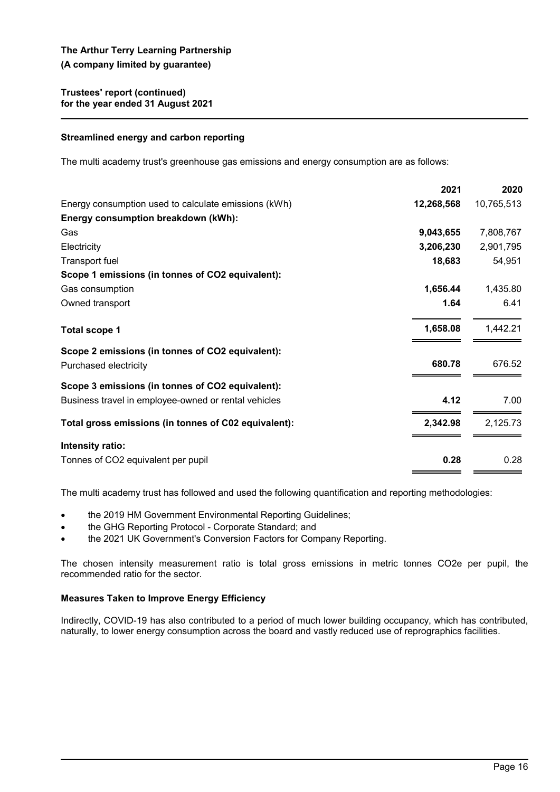## **Trustees' report (continued) for the year ended 31 August 2021**

## **Streamlined energy and carbon reporting**

The multi academy trust's greenhouse gas emissions and energy consumption are as follows:

|                                                      | 2021       | 2020       |
|------------------------------------------------------|------------|------------|
| Energy consumption used to calculate emissions (kWh) | 12,268,568 | 10,765,513 |
| Energy consumption breakdown (kWh):                  |            |            |
| Gas                                                  | 9,043,655  | 7,808,767  |
| Electricity                                          | 3,206,230  | 2,901,795  |
| <b>Transport fuel</b>                                | 18,683     | 54,951     |
| Scope 1 emissions (in tonnes of CO2 equivalent):     |            |            |
| Gas consumption                                      | 1,656.44   | 1,435.80   |
| Owned transport                                      | 1.64       | 6.41       |
| <b>Total scope 1</b>                                 | 1,658.08   | 1,442.21   |
| Scope 2 emissions (in tonnes of CO2 equivalent):     |            |            |
| Purchased electricity                                | 680.78     | 676.52     |
| Scope 3 emissions (in tonnes of CO2 equivalent):     |            |            |
| Business travel in employee-owned or rental vehicles | 4.12       | 7.00       |
| Total gross emissions (in tonnes of C02 equivalent): | 2,342.98   | 2,125.73   |
| Intensity ratio:                                     |            |            |
| Tonnes of CO2 equivalent per pupil                   | 0.28       | 0.28       |
|                                                      |            |            |

The multi academy trust has followed and used the following quantification and reporting methodologies:

- the 2019 HM Government Environmental Reporting Guidelines;
- the GHG Reporting Protocol Corporate Standard; and
- the 2021 UK Government's Conversion Factors for Company Reporting.

The chosen intensity measurement ratio is total gross emissions in metric tonnes CO2e per pupil, the recommended ratio for the sector.

## **Measures Taken to Improve Energy Efficiency**

Indirectly, COVID-19 has also contributed to a period of much lower building occupancy, which has contributed, naturally, to lower energy consumption across the board and vastly reduced use of reprographics facilities.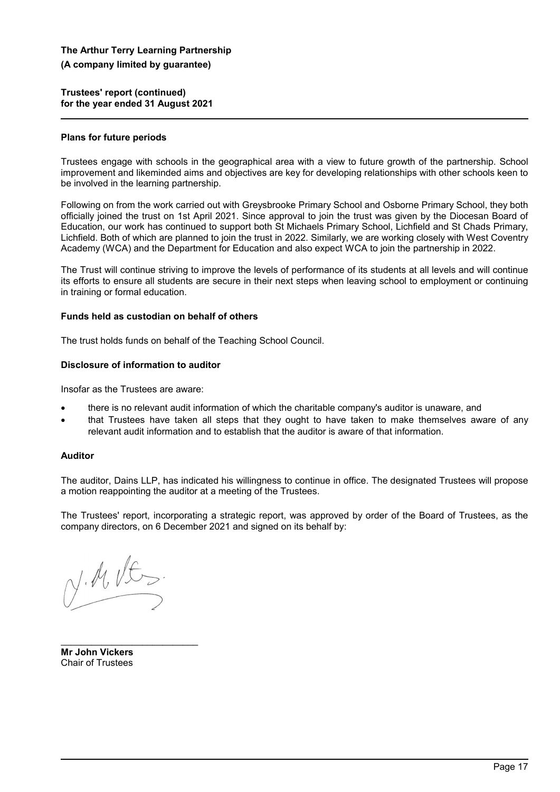**Trustees' report (continued) for the year ended 31 August 2021**

#### **Plans for future periods**

Trustees engage with schools in the geographical area with a view to future growth of the partnership. School improvement and likeminded aims and objectives are key for developing relationships with other schools keen to be involved in the learning partnership.

Following on from the work carried out with Greysbrooke Primary School and Osborne Primary School, they both officially joined the trust on 1st April 2021. Since approval to join the trust was given by the Diocesan Board of Education, our work has continued to support both St Michaels Primary School, Lichfield and St Chads Primary, Lichfield. Both of which are planned to join the trust in 2022. Similarly, we are working closely with West Coventry Academy (WCA) and the Department for Education and also expect WCA to join the partnership in 2022.

The Trust will continue striving to improve the levels of performance of its students at all levels and will continue its efforts to ensure all students are secure in their next steps when leaving school to employment or continuing in training or formal education.

### **Funds held as custodian on behalf of others**

The trust holds funds on behalf of the Teaching School Council.

### **Disclosure of information to auditor**

Insofar as the Trustees are aware:

- there is no relevant audit information of which the charitable company's auditor is unaware, and
- that Trustees have taken all steps that they ought to have taken to make themselves aware of any relevant audit information and to establish that the auditor is aware of that information.

## **Auditor**

The auditor, Dains LLP, has indicated his willingness to continue in office. The designated Trustees will propose a motion reappointing the auditor at a meeting of the Trustees.

The Trustees' report, incorporating a strategic report, was approved by order of the Board of Trustees, as the company directors, on 6 December 2021 and signed on its behalf by:

N.M.V.

\_\_\_\_\_\_\_\_\_\_\_\_\_\_\_\_\_\_\_\_\_\_\_\_\_\_\_

**Mr John Vickers** Chair of Trustees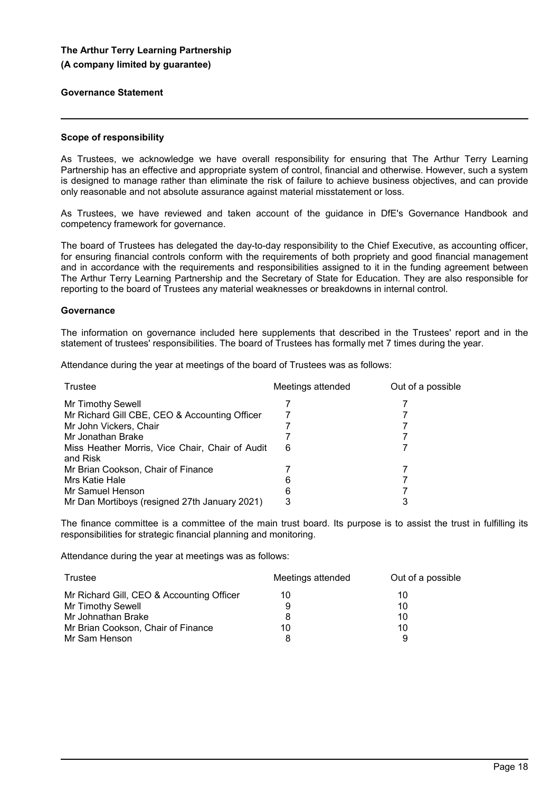### **Governance Statement**

### **Scope of responsibility**

As Trustees, we acknowledge we have overall responsibility for ensuring that The Arthur Terry Learning Partnership has an effective and appropriate system of control, financial and otherwise. However, such a system is designed to manage rather than eliminate the risk of failure to achieve business objectives, and can provide only reasonable and not absolute assurance against material misstatement or loss.

As Trustees, we have reviewed and taken account of the guidance in DfE's Governance Handbook and competency framework for governance.

The board of Trustees has delegated the day-to-day responsibility to the Chief Executive, as accounting officer, for ensuring financial controls conform with the requirements of both propriety and good financial management and in accordance with the requirements and responsibilities assigned to it in the funding agreement between The Arthur Terry Learning Partnership and the Secretary of State for Education. They are also responsible for reporting to the board of Trustees any material weaknesses or breakdowns in internal control.

#### **Governance**

The information on governance included here supplements that described in the Trustees' report and in the statement of trustees' responsibilities. The board of Trustees has formally met 7 times during the year.

Attendance during the year at meetings of the board of Trustees was as follows:

| Trustee                                                     | Meetings attended | Out of a possible |
|-------------------------------------------------------------|-------------------|-------------------|
| Mr Timothy Sewell                                           |                   |                   |
| Mr Richard Gill CBE, CEO & Accounting Officer               |                   |                   |
| Mr John Vickers, Chair                                      |                   |                   |
| Mr Jonathan Brake                                           |                   |                   |
| Miss Heather Morris, Vice Chair, Chair of Audit<br>and Risk | 6                 |                   |
| Mr Brian Cookson, Chair of Finance                          |                   |                   |
| Mrs Katie Hale                                              | 6                 |                   |
| Mr Samuel Henson                                            | 6                 |                   |
| Mr Dan Mortiboys (resigned 27th January 2021)               | 3                 |                   |

The finance committee is a committee of the main trust board. Its purpose is to assist the trust in fulfilling its responsibilities for strategic financial planning and monitoring.

Attendance during the year at meetings was as follows:

| Trustee                                   | Meetings attended | Out of a possible |
|-------------------------------------------|-------------------|-------------------|
| Mr Richard Gill, CEO & Accounting Officer | 10                | 10                |
| Mr Timothy Sewell                         | 9                 | 10                |
| Mr Johnathan Brake                        |                   | 10                |
| Mr Brian Cookson, Chair of Finance        | 10                | 10                |
| Mr Sam Henson                             |                   | 9                 |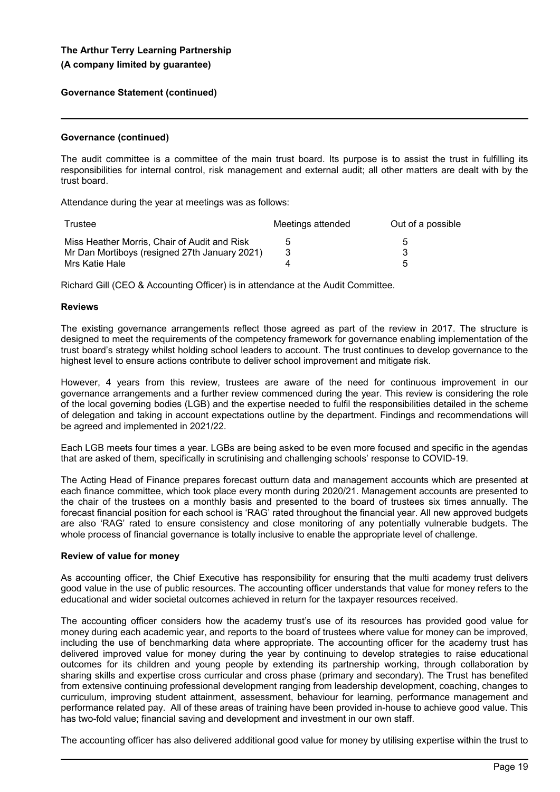#### **Governance Statement (continued)**

#### **Governance (continued)**

The audit committee is a committee of the main trust board. Its purpose is to assist the trust in fulfilling its responsibilities for internal control, risk management and external audit; all other matters are dealt with by the trust board.

Attendance during the year at meetings was as follows:

| Trustee                                       | Meetings attended | Out of a possible |
|-----------------------------------------------|-------------------|-------------------|
| Miss Heather Morris, Chair of Audit and Risk  |                   | ٠.                |
| Mr Dan Mortiboys (resigned 27th January 2021) |                   |                   |
| Mrs Katie Hale                                |                   | ∽                 |

Richard Gill (CEO & Accounting Officer) is in attendance at the Audit Committee.

#### **Reviews**

The existing governance arrangements reflect those agreed as part of the review in 2017. The structure is designed to meet the requirements of the competency framework for governance enabling implementation of the trust board's strategy whilst holding school leaders to account. The trust continues to develop governance to the highest level to ensure actions contribute to deliver school improvement and mitigate risk.

However, 4 years from this review, trustees are aware of the need for continuous improvement in our governance arrangements and a further review commenced during the year. This review is considering the role of the local governing bodies (LGB) and the expertise needed to fulfil the responsibilities detailed in the scheme of delegation and taking in account expectations outline by the department. Findings and recommendations will be agreed and implemented in 2021/22.

Each LGB meets four times a year. LGBs are being asked to be even more focused and specific in the agendas that are asked of them, specifically in scrutinising and challenging schools' response to COVID-19.

The Acting Head of Finance prepares forecast outturn data and management accounts which are presented at each finance committee, which took place every month during 2020/21. Management accounts are presented to the chair of the trustees on a monthly basis and presented to the board of trustees six times annually. The forecast financial position for each school is 'RAG' rated throughout the financial year. All new approved budgets are also 'RAG' rated to ensure consistency and close monitoring of any potentially vulnerable budgets. The whole process of financial governance is totally inclusive to enable the appropriate level of challenge.

#### **Review of value for money**

As accounting officer, the Chief Executive has responsibility for ensuring that the multi academy trust delivers good value in the use of public resources. The accounting officer understands that value for money refers to the educational and wider societal outcomes achieved in return for the taxpayer resources received.

The accounting officer considers how the academy trust's use of its resources has provided good value for money during each academic year, and reports to the board of trustees where value for money can be improved, including the use of benchmarking data where appropriate. The accounting officer for the academy trust has delivered improved value for money during the year by continuing to develop strategies to raise educational outcomes for its children and young people by extending its partnership working, through collaboration by sharing skills and expertise cross curricular and cross phase (primary and secondary). The Trust has benefited from extensive continuing professional development ranging from leadership development, coaching, changes to curriculum, improving student attainment, assessment, behaviour for learning, performance management and performance related pay. All of these areas of training have been provided in-house to achieve good value. This has two-fold value; financial saving and development and investment in our own staff.

The accounting officer has also delivered additional good value for money by utilising expertise within the trust to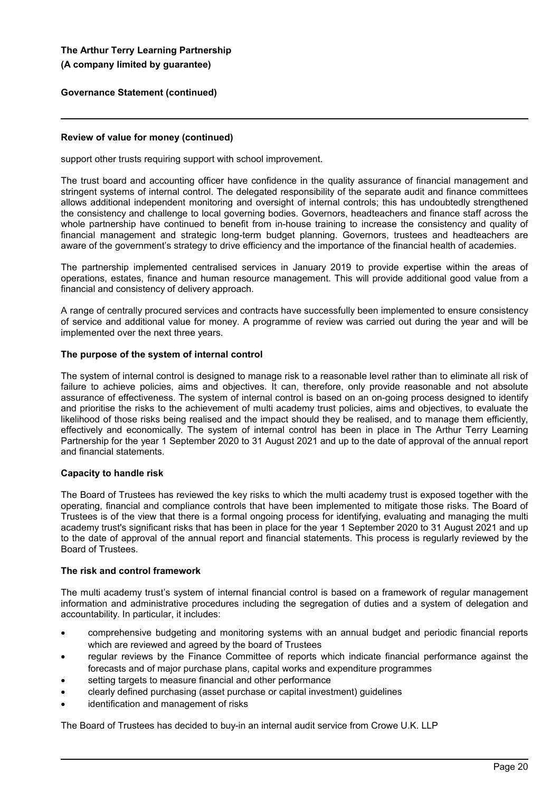## **Governance Statement (continued)**

### **Review of value for money (continued)**

support other trusts requiring support with school improvement.

The trust board and accounting officer have confidence in the quality assurance of financial management and stringent systems of internal control. The delegated responsibility of the separate audit and finance committees allows additional independent monitoring and oversight of internal controls; this has undoubtedly strengthened the consistency and challenge to local governing bodies. Governors, headteachers and finance staff across the whole partnership have continued to benefit from in-house training to increase the consistency and quality of financial management and strategic long-term budget planning. Governors, trustees and headteachers are aware of the government's strategy to drive efficiency and the importance of the financial health of academies.

The partnership implemented centralised services in January 2019 to provide expertise within the areas of operations, estates, finance and human resource management. This will provide additional good value from a financial and consistency of delivery approach.

A range of centrally procured services and contracts have successfully been implemented to ensure consistency of service and additional value for money. A programme of review was carried out during the year and will be implemented over the next three years.

### **The purpose of the system of internal control**

The system of internal control is designed to manage risk to a reasonable level rather than to eliminate all risk of failure to achieve policies, aims and objectives. It can, therefore, only provide reasonable and not absolute assurance of effectiveness. The system of internal control is based on an on-going process designed to identify and prioritise the risks to the achievement of multi academy trust policies, aims and objectives, to evaluate the likelihood of those risks being realised and the impact should they be realised, and to manage them efficiently, effectively and economically. The system of internal control has been in place in The Arthur Terry Learning Partnership for the year 1 September 2020 to 31 August 2021 and up to the date of approval of the annual report and financial statements.

#### **Capacity to handle risk**

The Board of Trustees has reviewed the key risks to which the multi academy trust is exposed together with the operating, financial and compliance controls that have been implemented to mitigate those risks. The Board of Trustees is of the view that there is a formal ongoing process for identifying, evaluating and managing the multi academy trust's significant risks that has been in place for the year 1 September 2020 to 31 August 2021 and up to the date of approval of the annual report and financial statements. This process is regularly reviewed by the Board of Trustees.

## **The risk and control framework**

The multi academy trust's system of internal financial control is based on a framework of regular management information and administrative procedures including the segregation of duties and a system of delegation and accountability. In particular, it includes:

- comprehensive budgeting and monitoring systems with an annual budget and periodic financial reports which are reviewed and agreed by the board of Trustees
- regular reviews by the Finance Committee of reports which indicate financial performance against the forecasts and of major purchase plans, capital works and expenditure programmes
- setting targets to measure financial and other performance
- clearly defined purchasing (asset purchase or capital investment) guidelines
- identification and management of risks

The Board of Trustees has decided to buy-in an internal audit service from Crowe U.K. LLP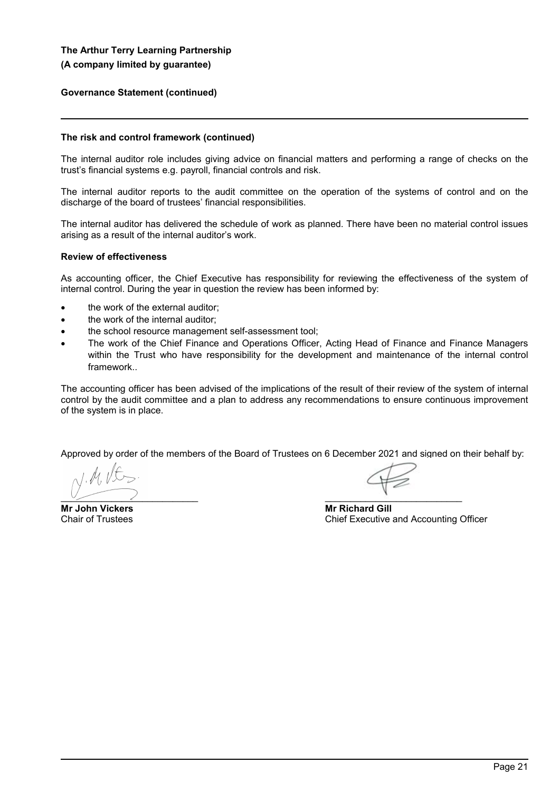## **Governance Statement (continued)**

#### **The risk and control framework (continued)**

The internal auditor role includes giving advice on financial matters and performing a range of checks on the trust's financial systems e.g. payroll, financial controls and risk.

The internal auditor reports to the audit committee on the operation of the systems of control and on the discharge of the board of trustees' financial responsibilities.

The internal auditor has delivered the schedule of work as planned. There have been no material control issues arising as a result of the internal auditor's work.

### **Review of effectiveness**

As accounting officer, the Chief Executive has responsibility for reviewing the effectiveness of the system of internal control. During the year in question the review has been informed by:

- the work of the external auditor;
- the work of the internal auditor;
- the school resource management self-assessment tool;
- The work of the Chief Finance and Operations Officer, Acting Head of Finance and Finance Managers within the Trust who have responsibility for the development and maintenance of the internal control framework..

The accounting officer has been advised of the implications of the result of their review of the system of internal control by the audit committee and a plan to address any recommendations to ensure continuous improvement of the system is in place.

Approved by order of the members of the Board of Trustees on 6 December 2021 and signed on their behalf by:

 $\overline{\phantom{a}}$ 

**Mr John Vickers** Chair of Trustees

 $\mathcal{L}$  and  $\mathcal{L}$  and  $\mathcal{L}$ 

**Mr Richard Gill** Chief Executive and Accounting Officer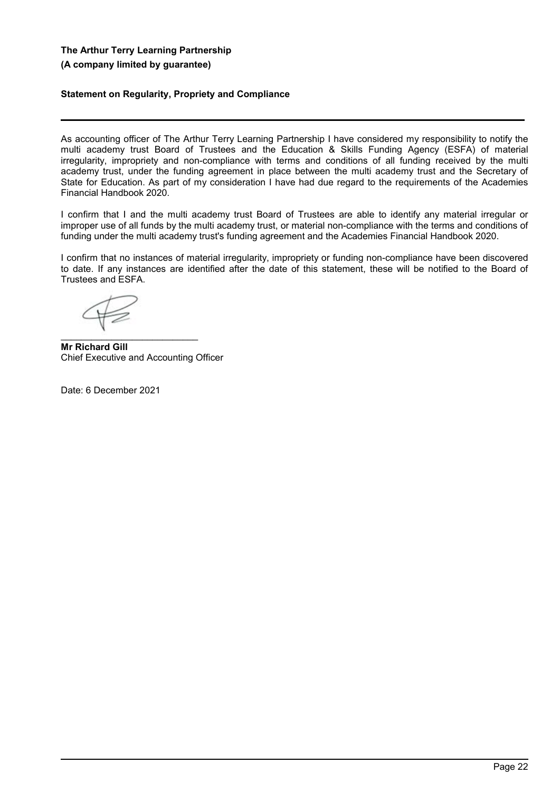## **Statement on Regularity, Propriety and Compliance**

As accounting officer of The Arthur Terry Learning Partnership I have considered my responsibility to notify the multi academy trust Board of Trustees and the Education & Skills Funding Agency (ESFA) of material irregularity, impropriety and non-compliance with terms and conditions of all funding received by the multi academy trust, under the funding agreement in place between the multi academy trust and the Secretary of State for Education. As part of my consideration I have had due regard to the requirements of the Academies Financial Handbook 2020.

I confirm that I and the multi academy trust Board of Trustees are able to identify any material irregular or improper use of all funds by the multi academy trust, or material non-compliance with the terms and conditions of funding under the multi academy trust's funding agreement and the Academies Financial Handbook 2020.

I confirm that no instances of material irregularity, impropriety or funding non-compliance have been discovered to date. If any instances are identified after the date of this statement, these will be notified to the Board of Trustees and ESFA.

\_\_\_\_\_\_\_\_\_\_\_\_\_\_\_\_\_\_\_\_\_\_\_\_\_\_\_

**Mr Richard Gill** Chief Executive and Accounting Officer

Date: 6 December 2021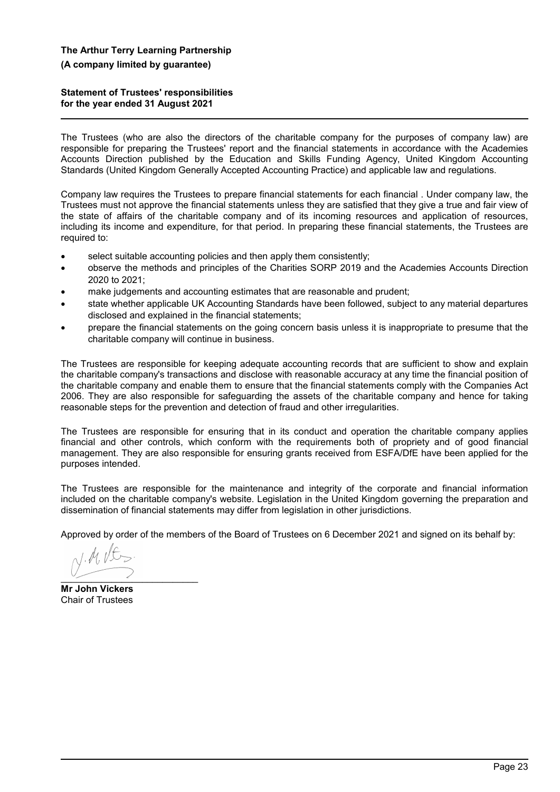## **Statement of Trustees' responsibilities for the year ended 31 August 2021**

The Trustees (who are also the directors of the charitable company for the purposes of company law) are responsible for preparing the Trustees' report and the financial statements in accordance with the Academies Accounts Direction published by the Education and Skills Funding Agency, United Kingdom Accounting Standards (United Kingdom Generally Accepted Accounting Practice) and applicable law and regulations.

Company law requires the Trustees to prepare financial statements for each financial . Under company law, the Trustees must not approve the financial statements unless they are satisfied that they give a true and fair view of the state of affairs of the charitable company and of its incoming resources and application of resources, including its income and expenditure, for that period. In preparing these financial statements, the Trustees are required to:

- select suitable accounting policies and then apply them consistently;
- observe the methods and principles of the Charities SORP 2019 and the Academies Accounts Direction 2020 to 2021;
- make judgements and accounting estimates that are reasonable and prudent;
- state whether applicable UK Accounting Standards have been followed, subject to any material departures disclosed and explained in the financial statements;
- prepare the financial statements on the going concern basis unless it is inappropriate to presume that the charitable company will continue in business.

The Trustees are responsible for keeping adequate accounting records that are sufficient to show and explain the charitable company's transactions and disclose with reasonable accuracy at any time the financial position of the charitable company and enable them to ensure that the financial statements comply with the Companies Act 2006. They are also responsible for safeguarding the assets of the charitable company and hence for taking reasonable steps for the prevention and detection of fraud and other irregularities.

The Trustees are responsible for ensuring that in its conduct and operation the charitable company applies financial and other controls, which conform with the requirements both of propriety and of good financial management. They are also responsible for ensuring grants received from ESFA/DfE have been applied for the purposes intended.

The Trustees are responsible for the maintenance and integrity of the corporate and financial information included on the charitable company's website. Legislation in the United Kingdom governing the preparation and dissemination of financial statements may differ from legislation in other jurisdictions.

Approved by order of the members of the Board of Trustees on 6 December 2021 and signed on its behalf by:

 $\frac{1}{2}$ 

**Mr John Vickers** Chair of Trustees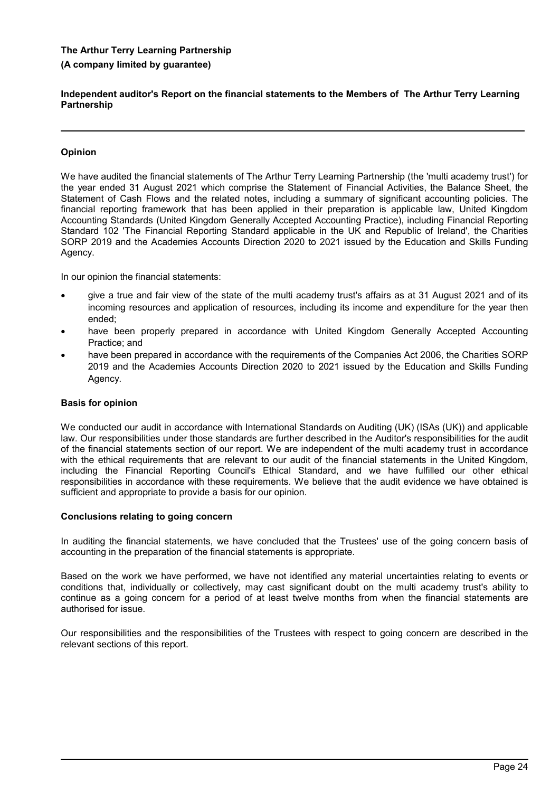**Independent auditor's Report on the financial statements to the Members of The Arthur Terry Learning Partnership**

## **Opinion**

We have audited the financial statements of The Arthur Terry Learning Partnership (the 'multi academy trust') for the year ended 31 August 2021 which comprise the Statement of Financial Activities, the Balance Sheet, the Statement of Cash Flows and the related notes, including a summary of significant accounting policies. The financial reporting framework that has been applied in their preparation is applicable law, United Kingdom Accounting Standards (United Kingdom Generally Accepted Accounting Practice), including Financial Reporting Standard 102 'The Financial Reporting Standard applicable in the UK and Republic of Ireland', the Charities SORP 2019 and the Academies Accounts Direction 2020 to 2021 issued by the Education and Skills Funding Agency.

In our opinion the financial statements:

- give a true and fair view of the state of the multi academy trust's affairs as at 31 August 2021 and of its incoming resources and application of resources, including its income and expenditure for the year then ended;
- have been properly prepared in accordance with United Kingdom Generally Accepted Accounting Practice; and
- have been prepared in accordance with the requirements of the Companies Act 2006, the Charities SORP 2019 and the Academies Accounts Direction 2020 to 2021 issued by the Education and Skills Funding Agency.

#### **Basis for opinion**

We conducted our audit in accordance with International Standards on Auditing (UK) (ISAs (UK)) and applicable law. Our responsibilities under those standards are further described in the Auditor's responsibilities for the audit of the financial statements section of our report. We are independent of the multi academy trust in accordance with the ethical requirements that are relevant to our audit of the financial statements in the United Kingdom, including the Financial Reporting Council's Ethical Standard, and we have fulfilled our other ethical responsibilities in accordance with these requirements. We believe that the audit evidence we have obtained is sufficient and appropriate to provide a basis for our opinion.

#### **Conclusions relating to going concern**

In auditing the financial statements, we have concluded that the Trustees' use of the going concern basis of accounting in the preparation of the financial statements is appropriate.

Based on the work we have performed, we have not identified any material uncertainties relating to events or conditions that, individually or collectively, may cast significant doubt on the multi academy trust's ability to continue as a going concern for a period of at least twelve months from when the financial statements are authorised for issue.

Our responsibilities and the responsibilities of the Trustees with respect to going concern are described in the relevant sections of this report.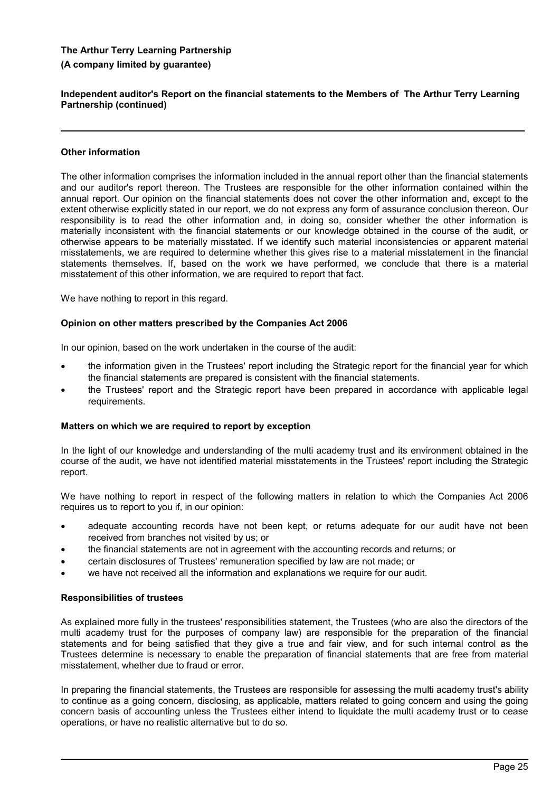**Independent auditor's Report on the financial statements to the Members of The Arthur Terry Learning Partnership (continued)**

#### **Other information**

The other information comprises the information included in the annual report other than the financial statements and our auditor's report thereon. The Trustees are responsible for the other information contained within the annual report. Our opinion on the financial statements does not cover the other information and, except to the extent otherwise explicitly stated in our report, we do not express any form of assurance conclusion thereon. Our responsibility is to read the other information and, in doing so, consider whether the other information is materially inconsistent with the financial statements or our knowledge obtained in the course of the audit, or otherwise appears to be materially misstated. If we identify such material inconsistencies or apparent material misstatements, we are required to determine whether this gives rise to a material misstatement in the financial statements themselves. If, based on the work we have performed, we conclude that there is a material misstatement of this other information, we are required to report that fact.

We have nothing to report in this regard.

### **Opinion on other matters prescribed by the Companies Act 2006**

In our opinion, based on the work undertaken in the course of the audit:

- the information given in the Trustees' report including the Strategic report for the financial year for which the financial statements are prepared is consistent with the financial statements.
- the Trustees' report and the Strategic report have been prepared in accordance with applicable legal requirements.

#### **Matters on which we are required to report by exception**

In the light of our knowledge and understanding of the multi academy trust and its environment obtained in the course of the audit, we have not identified material misstatements in the Trustees' report including the Strategic report.

We have nothing to report in respect of the following matters in relation to which the Companies Act 2006 requires us to report to you if, in our opinion:

- adequate accounting records have not been kept, or returns adequate for our audit have not been received from branches not visited by us; or
- the financial statements are not in agreement with the accounting records and returns; or
- certain disclosures of Trustees' remuneration specified by law are not made; or
- we have not received all the information and explanations we require for our audit.

#### **Responsibilities of trustees**

As explained more fully in the trustees' responsibilities statement, the Trustees (who are also the directors of the multi academy trust for the purposes of company law) are responsible for the preparation of the financial statements and for being satisfied that they give a true and fair view, and for such internal control as the Trustees determine is necessary to enable the preparation of financial statements that are free from material misstatement, whether due to fraud or error.

In preparing the financial statements, the Trustees are responsible for assessing the multi academy trust's ability to continue as a going concern, disclosing, as applicable, matters related to going concern and using the going concern basis of accounting unless the Trustees either intend to liquidate the multi academy trust or to cease operations, or have no realistic alternative but to do so.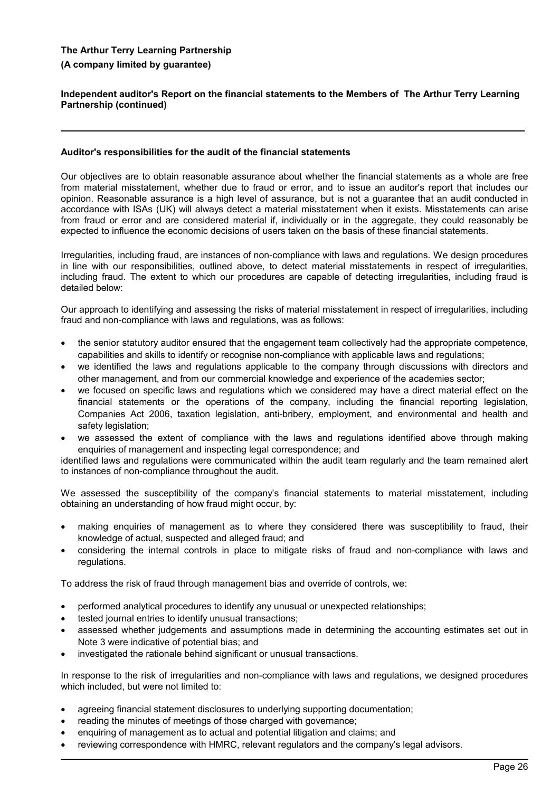## **Independent auditor's Report on the financial statements to the Members of The Arthur Terry Learning Partnership (continued)**

### **Auditor's responsibilities for the audit of the financial statements**

Our objectives are to obtain reasonable assurance about whether the financial statements as a whole are free from material misstatement, whether due to fraud or error, and to issue an auditor's report that includes our opinion. Reasonable assurance is a high level of assurance, but is not a guarantee that an audit conducted in accordance with ISAs (UK) will always detect a material misstatement when it exists. Misstatements can arise from fraud or error and are considered material if, individually or in the aggregate, they could reasonably be expected to influence the economic decisions of users taken on the basis of these financial statements.

Irregularities, including fraud, are instances of non-compliance with laws and regulations. We design procedures in line with our responsibilities, outlined above, to detect material misstatements in respect of irregularities, including fraud. The extent to which our procedures are capable of detecting irregularities, including fraud is detailed below:

Our approach to identifying and assessing the risks of material misstatement in respect of irregularities, including fraud and non-compliance with laws and regulations, was as follows:

- the senior statutory auditor ensured that the engagement team collectively had the appropriate competence, capabilities and skills to identify or recognise non-compliance with applicable laws and regulations;
- we identified the laws and regulations applicable to the company through discussions with directors and other management, and from our commercial knowledge and experience of the academies sector;
- we focused on specific laws and regulations which we considered may have a direct material effect on the financial statements or the operations of the company, including the financial reporting legislation, Companies Act 2006, taxation legislation, anti-bribery, employment, and environmental and health and safety legislation;
- we assessed the extent of compliance with the laws and regulations identified above through making enquiries of management and inspecting legal correspondence; and

identified laws and regulations were communicated within the audit team regularly and the team remained alert to instances of non-compliance throughout the audit.

We assessed the susceptibility of the company's financial statements to material misstatement, including obtaining an understanding of how fraud might occur, by:

- making enquiries of management as to where they considered there was susceptibility to fraud, their knowledge of actual, suspected and alleged fraud; and
- considering the internal controls in place to mitigate risks of fraud and non-compliance with laws and regulations.

To address the risk of fraud through management bias and override of controls, we:

- performed analytical procedures to identify any unusual or unexpected relationships;
- tested journal entries to identify unusual transactions;
- assessed whether judgements and assumptions made in determining the accounting estimates set out in Note 3 were indicative of potential bias; and
- investigated the rationale behind significant or unusual transactions.

In response to the risk of irregularities and non-compliance with laws and regulations, we designed procedures which included, but were not limited to:

- agreeing financial statement disclosures to underlying supporting documentation;
- reading the minutes of meetings of those charged with governance;
- enquiring of management as to actual and potential litigation and claims; and
- reviewing correspondence with HMRC, relevant regulators and the company's legal advisors.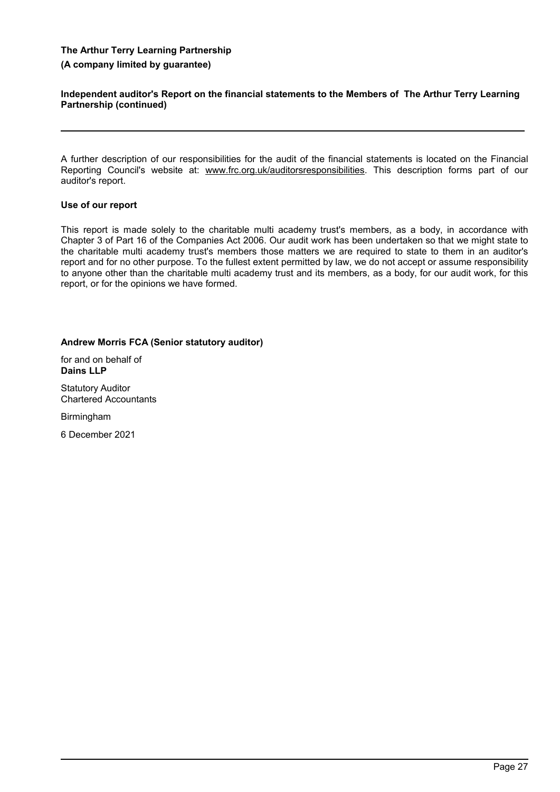**Independent auditor's Report on the financial statements to the Members of The Arthur Terry Learning Partnership (continued)**

A further description of our responsibilities for the audit of the financial statements is located on the Financial Reporting Council's website at: www.frc.org.uk/auditorsresponsibilities. This description forms part of our auditor's report.

## **Use of our report**

This report is made solely to the charitable multi academy trust's members, as a body, in accordance with Chapter 3 of Part 16 of the Companies Act 2006. Our audit work has been undertaken so that we might state to the charitable multi academy trust's members those matters we are required to state to them in an auditor's report and for no other purpose. To the fullest extent permitted by law, we do not accept or assume responsibility to anyone other than the charitable multi academy trust and its members, as a body, for our audit work, for this report, or for the opinions we have formed.

## **Andrew Morris FCA (Senior statutory auditor)**

for and on behalf of **Dains LLP**

Statutory Auditor Chartered Accountants

Birmingham

6 December 2021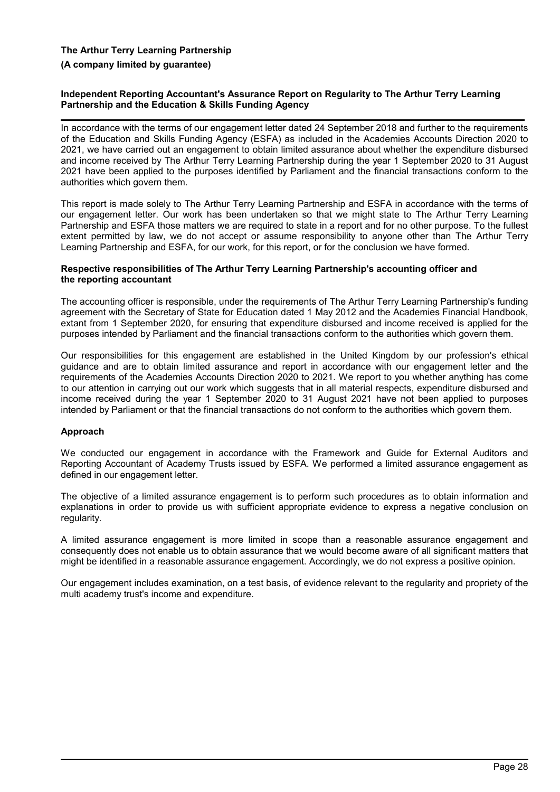## **Independent Reporting Accountant's Assurance Report on Regularity to The Arthur Terry Learning Partnership and the Education & Skills Funding Agency**

In accordance with the terms of our engagement letter dated 24 September 2018 and further to the requirements of the Education and Skills Funding Agency (ESFA) as included in the Academies Accounts Direction 2020 to 2021, we have carried out an engagement to obtain limited assurance about whether the expenditure disbursed and income received by The Arthur Terry Learning Partnership during the year 1 September 2020 to 31 August 2021 have been applied to the purposes identified by Parliament and the financial transactions conform to the authorities which govern them.

This report is made solely to The Arthur Terry Learning Partnership and ESFA in accordance with the terms of our engagement letter. Our work has been undertaken so that we might state to The Arthur Terry Learning Partnership and ESFA those matters we are required to state in a report and for no other purpose. To the fullest extent permitted by law, we do not accept or assume responsibility to anyone other than The Arthur Terry Learning Partnership and ESFA, for our work, for this report, or for the conclusion we have formed.

#### **Respective responsibilities of The Arthur Terry Learning Partnership's accounting officer and the reporting accountant**

The accounting officer is responsible, under the requirements of The Arthur Terry Learning Partnership's funding agreement with the Secretary of State for Education dated 1 May 2012 and the Academies Financial Handbook, extant from 1 September 2020, for ensuring that expenditure disbursed and income received is applied for the purposes intended by Parliament and the financial transactions conform to the authorities which govern them.

Our responsibilities for this engagement are established in the United Kingdom by our profession's ethical guidance and are to obtain limited assurance and report in accordance with our engagement letter and the requirements of the Academies Accounts Direction 2020 to 2021. We report to you whether anything has come to our attention in carrying out our work which suggests that in all material respects, expenditure disbursed and income received during the year 1 September 2020 to 31 August 2021 have not been applied to purposes intended by Parliament or that the financial transactions do not conform to the authorities which govern them.

## **Approach**

We conducted our engagement in accordance with the Framework and Guide for External Auditors and Reporting Accountant of Academy Trusts issued by ESFA. We performed a limited assurance engagement as defined in our engagement letter.

The objective of a limited assurance engagement is to perform such procedures as to obtain information and explanations in order to provide us with sufficient appropriate evidence to express a negative conclusion on regularity.

A limited assurance engagement is more limited in scope than a reasonable assurance engagement and consequently does not enable us to obtain assurance that we would become aware of all significant matters that might be identified in a reasonable assurance engagement. Accordingly, we do not express a positive opinion.

Our engagement includes examination, on a test basis, of evidence relevant to the regularity and propriety of the multi academy trust's income and expenditure.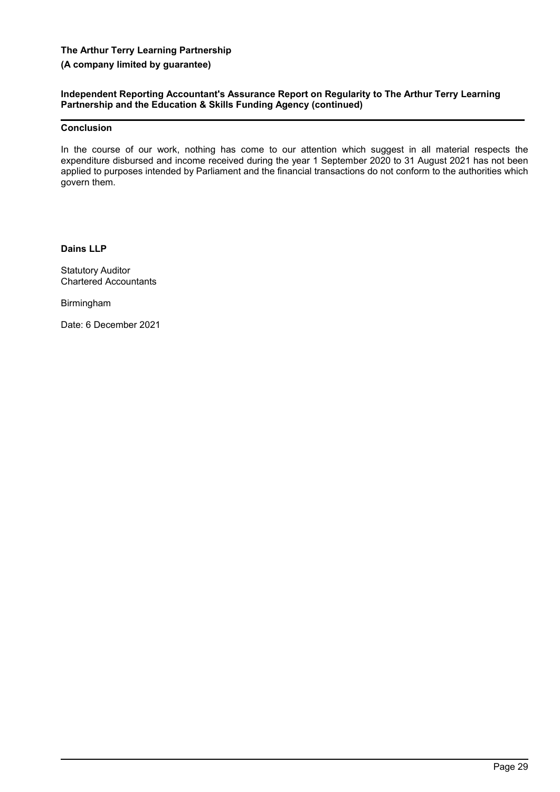## **Independent Reporting Accountant's Assurance Report on Regularity to The Arthur Terry Learning Partnership and the Education & Skills Funding Agency (continued)**

## **Conclusion**

In the course of our work, nothing has come to our attention which suggest in all material respects the expenditure disbursed and income received during the year 1 September 2020 to 31 August 2021 has not been applied to purposes intended by Parliament and the financial transactions do not conform to the authorities which govern them.

## **Dains LLP**

Statutory Auditor Chartered Accountants

Birmingham

Date: 6 December 2021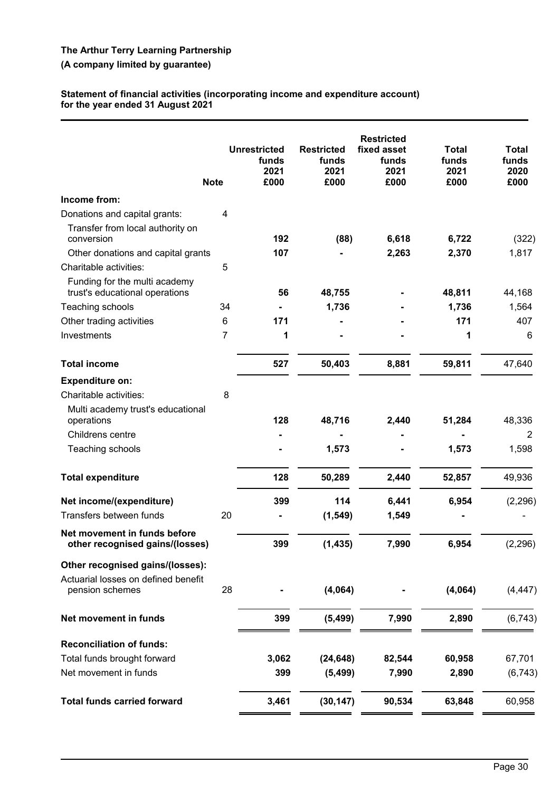## **Statement of financial activities (incorporating income and expenditure account) for the year ended 31 August 2021**

|                                                                 | <b>Note</b> | <b>Unrestricted</b><br>funds<br>2021<br>£000 | <b>Restricted</b><br>funds<br>2021<br>£000 | <b>Restricted</b><br>fixed asset<br>funds<br>2021<br>£000 | <b>Total</b><br>funds<br>2021<br>£000 | <b>Total</b><br>funds<br>2020<br>£000 |
|-----------------------------------------------------------------|-------------|----------------------------------------------|--------------------------------------------|-----------------------------------------------------------|---------------------------------------|---------------------------------------|
| Income from:                                                    |             |                                              |                                            |                                                           |                                       |                                       |
| Donations and capital grants:                                   | 4           |                                              |                                            |                                                           |                                       |                                       |
| Transfer from local authority on<br>conversion                  |             | 192                                          | (88)                                       | 6,618                                                     | 6,722                                 | (322)                                 |
| Other donations and capital grants                              |             | 107                                          |                                            | 2,263                                                     | 2,370                                 | 1,817                                 |
| Charitable activities:                                          | 5           |                                              |                                            |                                                           |                                       |                                       |
| Funding for the multi academy<br>trust's educational operations |             | 56                                           | 48,755                                     |                                                           | 48,811                                | 44,168                                |
| Teaching schools                                                | 34          |                                              | 1,736                                      |                                                           | 1,736                                 | 1,564                                 |
| Other trading activities                                        | 6           | 171                                          |                                            |                                                           | 171                                   | 407                                   |
| Investments                                                     | 7           | 1                                            |                                            |                                                           | 1                                     | 6                                     |
| <b>Total income</b>                                             |             | 527                                          | 50,403                                     | 8,881                                                     | 59,811                                | 47,640                                |
| <b>Expenditure on:</b>                                          |             |                                              |                                            |                                                           |                                       |                                       |
| Charitable activities:                                          | 8           |                                              |                                            |                                                           |                                       |                                       |
| Multi academy trust's educational<br>operations                 |             | 128                                          | 48,716                                     | 2,440                                                     | 51,284                                | 48,336                                |
| Childrens centre                                                |             |                                              |                                            |                                                           |                                       | 2                                     |
| Teaching schools                                                |             |                                              | 1,573                                      |                                                           | 1,573                                 | 1,598                                 |
| <b>Total expenditure</b>                                        |             | 128                                          | 50,289                                     | 2,440                                                     | 52,857                                | 49,936                                |
| Net income/(expenditure)                                        |             | 399                                          | 114                                        | 6,441                                                     | 6,954                                 | (2, 296)                              |
| Transfers between funds                                         | 20          |                                              | (1, 549)                                   | 1,549                                                     |                                       |                                       |
| Net movement in funds before<br>other recognised gains/(losses) |             | 399                                          | (1, 435)                                   | 7,990                                                     | 6,954                                 | (2, 296)                              |
| Other recognised gains/(losses):                                |             |                                              |                                            |                                                           |                                       |                                       |
| Actuarial losses on defined benefit                             |             |                                              |                                            |                                                           |                                       |                                       |
| pension schemes                                                 | 28          |                                              | (4,064)                                    |                                                           | (4,064)                               | (4, 447)                              |
| Net movement in funds                                           |             | 399                                          | (5, 499)                                   | 7,990                                                     | 2,890                                 | (6, 743)                              |
| <b>Reconciliation of funds:</b>                                 |             |                                              |                                            |                                                           |                                       |                                       |
| Total funds brought forward                                     |             | 3,062                                        | (24, 648)                                  | 82,544                                                    | 60,958                                | 67,701                                |
| Net movement in funds                                           |             | 399                                          | (5, 499)                                   | 7,990                                                     | 2,890                                 | (6, 743)                              |
| <b>Total funds carried forward</b>                              |             | 3,461                                        | (30, 147)                                  | 90,534                                                    | 63,848                                | 60,958                                |
|                                                                 |             |                                              |                                            |                                                           |                                       |                                       |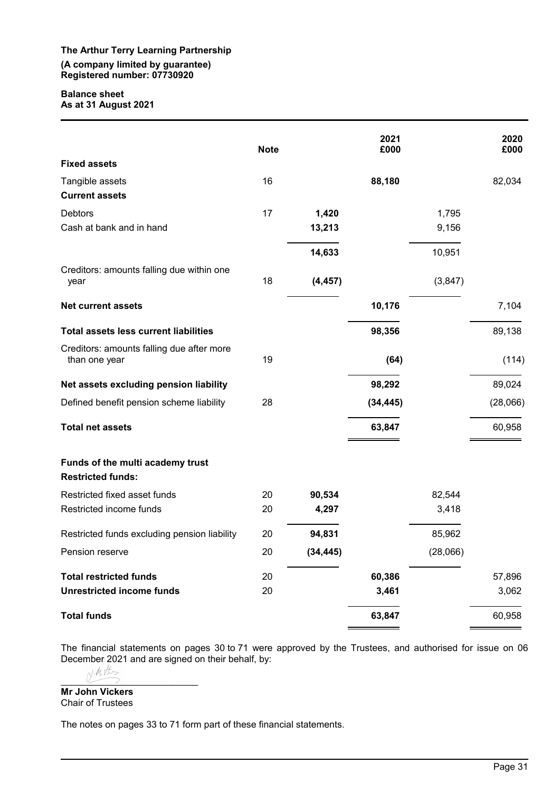## **The Arthur Terry Learning Partnership (A company limited by guarantee) Registered number: 07730920**

#### **Balance sheet As at 31 August 2021**

|                                                              | <b>Note</b> |           | 2021<br>£000 |          | 2020<br>£000 |
|--------------------------------------------------------------|-------------|-----------|--------------|----------|--------------|
| <b>Fixed assets</b>                                          |             |           |              |          |              |
| Tangible assets                                              | 16          |           | 88,180       |          | 82,034       |
| <b>Current assets</b>                                        |             |           |              |          |              |
| <b>Debtors</b>                                               | 17          | 1,420     |              | 1,795    |              |
| Cash at bank and in hand                                     |             | 13,213    |              | 9,156    |              |
|                                                              |             | 14,633    |              | 10,951   |              |
| Creditors: amounts falling due within one<br>year            | 18          | (4, 457)  |              | (3, 847) |              |
| <b>Net current assets</b>                                    |             |           | 10,176       |          | 7,104        |
| <b>Total assets less current liabilities</b>                 |             |           | 98,356       |          | 89,138       |
| Creditors: amounts falling due after more<br>than one year   | 19          |           | (64)         |          | (114)        |
| Net assets excluding pension liability                       |             |           | 98,292       |          | 89,024       |
| Defined benefit pension scheme liability                     | 28          |           | (34, 445)    |          | (28,066)     |
| <b>Total net assets</b>                                      |             |           | 63,847       |          | 60,958       |
| Funds of the multi academy trust<br><b>Restricted funds:</b> |             |           |              |          |              |
| Restricted fixed asset funds                                 | 20          | 90,534    |              | 82,544   |              |
| Restricted income funds                                      | 20          | 4,297     |              | 3,418    |              |
| Restricted funds excluding pension liability                 | 20          | 94,831    |              | 85,962   |              |
| Pension reserve                                              | 20          | (34, 445) |              | (28,066) |              |
| <b>Total restricted funds</b>                                | 20          |           | 60,386       |          | 57,896       |
| <b>Unrestricted income funds</b>                             | 20          |           | 3,461        |          | 3,062        |
| <b>Total funds</b>                                           |             |           | 63,847       |          | 60,958       |

The financial statements on pages 30 to 71 were approved by the Trustees, and authorised for issue on 06 December 2021 and are signed on their behalf, by:<br>  $\int_{\mathbb{R}} \mathcal{M} \times \mathbb{R}$ 

 $\overline{\phantom{a}}$ 

**Mr John Vickers** Chair of Trustees

The notes on pages 33 to 71 form part of these financial statements.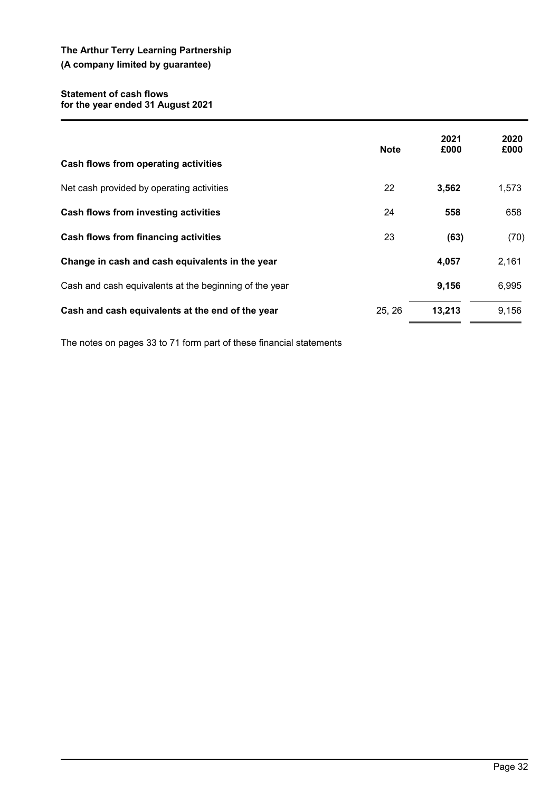## **Statement of cash flows for the year ended 31 August 2021**

| Cash flows from operating activities                   | <b>Note</b> | 2021<br>£000 | 2020<br>£000 |
|--------------------------------------------------------|-------------|--------------|--------------|
| Net cash provided by operating activities              | 22          | 3,562        | 1,573        |
| Cash flows from investing activities                   | 24          | 558          | 658          |
| <b>Cash flows from financing activities</b>            | 23          | (63)         | (70)         |
| Change in cash and cash equivalents in the year        |             | 4,057        | 2,161        |
| Cash and cash equivalents at the beginning of the year |             | 9,156        | 6,995        |
| Cash and cash equivalents at the end of the year       | 25, 26      | 13,213       | 9,156        |

The notes on pages 33 to 71 form part of these financial statements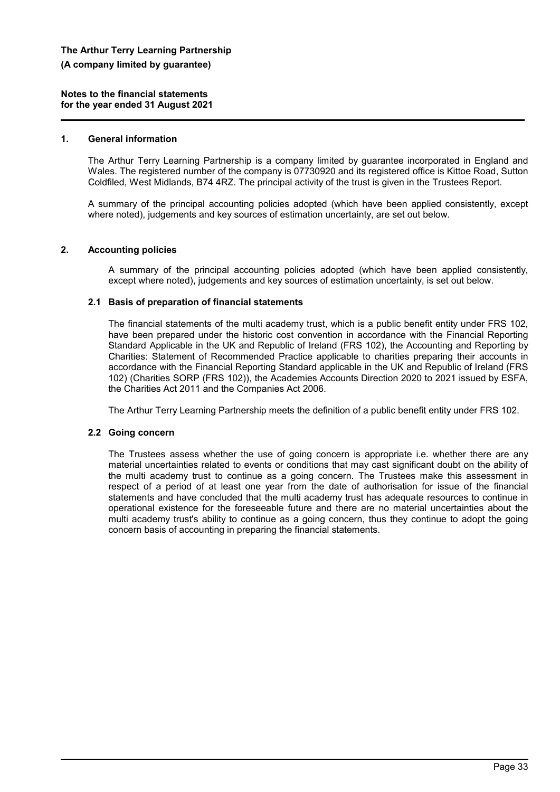**Notes to the financial statements for the year ended 31 August 2021**

### **1. General information**

The Arthur Terry Learning Partnership is a company limited by guarantee incorporated in England and Wales. The registered number of the company is 07730920 and its registered office is Kittoe Road, Sutton Coldfiled, West Midlands, B74 4RZ. The principal activity of the trust is given in the Trustees Report.

A summary of the principal accounting policies adopted (which have been applied consistently, except where noted), judgements and key sources of estimation uncertainty, are set out below.

## **2. Accounting policies**

A summary of the principal accounting policies adopted (which have been applied consistently, except where noted), judgements and key sources of estimation uncertainty, is set out below.

### **2.1 Basis of preparation of financial statements**

The financial statements of the multi academy trust, which is a public benefit entity under FRS 102, have been prepared under the historic cost convention in accordance with the Financial Reporting Standard Applicable in the UK and Republic of Ireland (FRS 102), the Accounting and Reporting by Charities: Statement of Recommended Practice applicable to charities preparing their accounts in accordance with the Financial Reporting Standard applicable in the UK and Republic of Ireland (FRS 102) (Charities SORP (FRS 102)), the Academies Accounts Direction 2020 to 2021 issued by ESFA, the Charities Act 2011 and the Companies Act 2006.

The Arthur Terry Learning Partnership meets the definition of a public benefit entity under FRS 102.

## **2.2 Going concern**

The Trustees assess whether the use of going concern is appropriate i.e. whether there are any material uncertainties related to events or conditions that may cast significant doubt on the ability of the multi academy trust to continue as a going concern. The Trustees make this assessment in respect of a period of at least one year from the date of authorisation for issue of the financial statements and have concluded that the multi academy trust has adequate resources to continue in operational existence for the foreseeable future and there are no material uncertainties about the multi academy trust's ability to continue as a going concern, thus they continue to adopt the going concern basis of accounting in preparing the financial statements.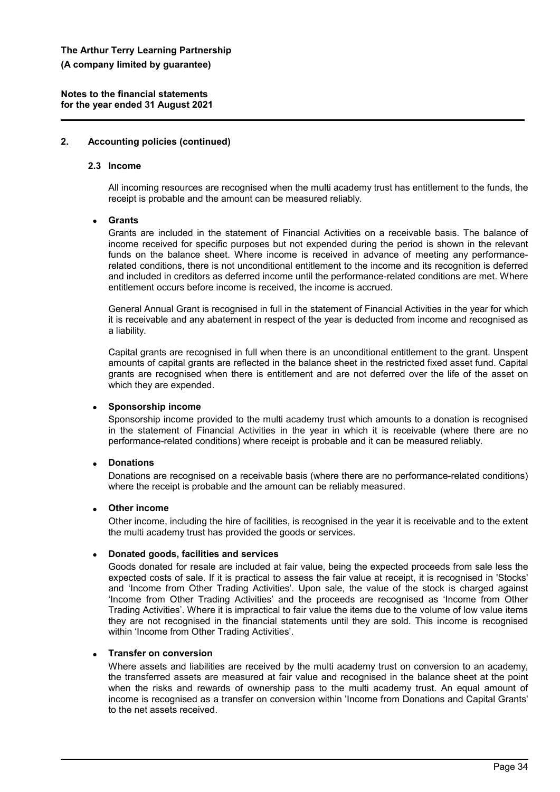**Notes to the financial statements for the year ended 31 August 2021**

## **2. Accounting policies (continued)**

#### **2.3 Income**

All incoming resources are recognised when the multi academy trust has entitlement to the funds, the receipt is probable and the amount can be measured reliably.

### **Grants**

Grants are included in the statement of Financial Activities on a receivable basis. The balance of income received for specific purposes but not expended during the period is shown in the relevant funds on the balance sheet. Where income is received in advance of meeting any performancerelated conditions, there is not unconditional entitlement to the income and its recognition is deferred and included in creditors as deferred income until the performance-related conditions are met. Where entitlement occurs before income is received, the income is accrued.

General Annual Grant is recognised in full in the statement of Financial Activities in the year for which it is receivable and any abatement in respect of the year is deducted from income and recognised as a liability.

Capital grants are recognised in full when there is an unconditional entitlement to the grant. Unspent amounts of capital grants are reflected in the balance sheet in the restricted fixed asset fund. Capital grants are recognised when there is entitlement and are not deferred over the life of the asset on which they are expended.

#### **Sponsorship income**

Sponsorship income provided to the multi academy trust which amounts to a donation is recognised in the statement of Financial Activities in the year in which it is receivable (where there are no performance-related conditions) where receipt is probable and it can be measured reliably.

#### **Donations**

Donations are recognised on a receivable basis (where there are no performance-related conditions) where the receipt is probable and the amount can be reliably measured.

### **Other income**

Other income, including the hire of facilities, is recognised in the year it is receivable and to the extent the multi academy trust has provided the goods or services.

#### **Donated goods, facilities and services**

Goods donated for resale are included at fair value, being the expected proceeds from sale less the expected costs of sale. If it is practical to assess the fair value at receipt, it is recognised in 'Stocks' and 'Income from Other Trading Activities'. Upon sale, the value of the stock is charged against 'Income from Other Trading Activities' and the proceeds are recognised as 'Income from Other Trading Activities'. Where it is impractical to fair value the items due to the volume of low value items they are not recognised in the financial statements until they are sold. This income is recognised within 'Income from Other Trading Activities'.

### **Transfer on conversion**

Where assets and liabilities are received by the multi academy trust on conversion to an academy, the transferred assets are measured at fair value and recognised in the balance sheet at the point when the risks and rewards of ownership pass to the multi academy trust. An equal amount of income is recognised as a transfer on conversion within 'Income from Donations and Capital Grants' to the net assets received.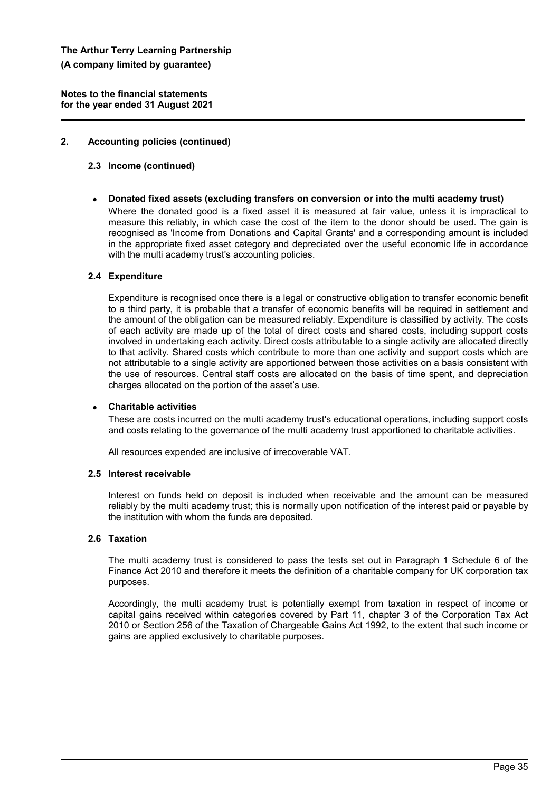**Notes to the financial statements for the year ended 31 August 2021**

## **2. Accounting policies (continued)**

## **2.3 Income (continued)**

 **Donated fixed assets (excluding transfers on conversion or into the multi academy trust)** Where the donated good is a fixed asset it is measured at fair value, unless it is impractical to measure this reliably, in which case the cost of the item to the donor should be used. The gain is recognised as 'Income from Donations and Capital Grants' and a corresponding amount is included in the appropriate fixed asset category and depreciated over the useful economic life in accordance with the multi academy trust's accounting policies.

## **2.4 Expenditure**

Expenditure is recognised once there is a legal or constructive obligation to transfer economic benefit to a third party, it is probable that a transfer of economic benefits will be required in settlement and the amount of the obligation can be measured reliably. Expenditure is classified by activity. The costs of each activity are made up of the total of direct costs and shared costs, including support costs involved in undertaking each activity. Direct costs attributable to a single activity are allocated directly to that activity. Shared costs which contribute to more than one activity and support costs which are not attributable to a single activity are apportioned between those activities on a basis consistent with the use of resources. Central staff costs are allocated on the basis of time spent, and depreciation charges allocated on the portion of the asset's use.

## **Charitable activities**

These are costs incurred on the multi academy trust's educational operations, including support costs and costs relating to the governance of the multi academy trust apportioned to charitable activities.

All resources expended are inclusive of irrecoverable VAT.

## **2.5 Interest receivable**

Interest on funds held on deposit is included when receivable and the amount can be measured reliably by the multi academy trust; this is normally upon notification of the interest paid or payable by the institution with whom the funds are deposited.

## **2.6 Taxation**

The multi academy trust is considered to pass the tests set out in Paragraph 1 Schedule 6 of the Finance Act 2010 and therefore it meets the definition of a charitable company for UK corporation tax purposes.

Accordingly, the multi academy trust is potentially exempt from taxation in respect of income or capital gains received within categories covered by Part 11, chapter 3 of the Corporation Tax Act 2010 or Section 256 of the Taxation of Chargeable Gains Act 1992, to the extent that such income or gains are applied exclusively to charitable purposes.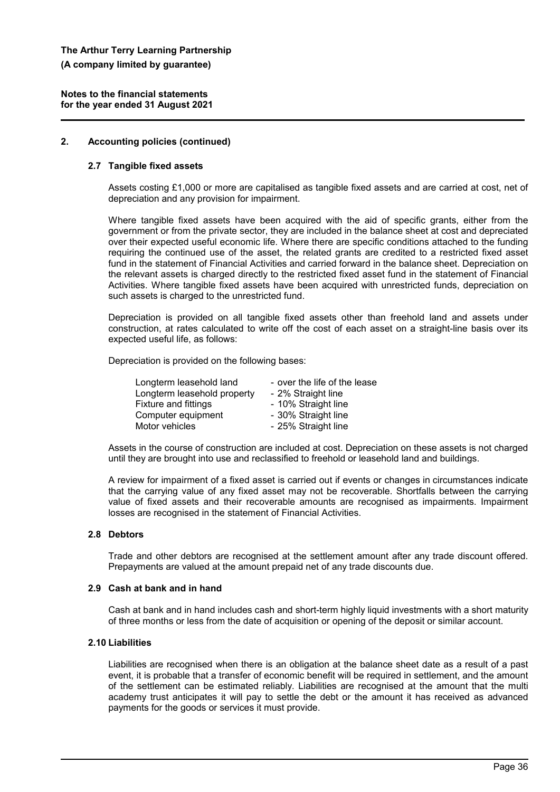## **2. Accounting policies (continued)**

#### **2.7 Tangible fixed assets**

Assets costing £1,000 or more are capitalised as tangible fixed assets and are carried at cost, net of depreciation and any provision for impairment.

Where tangible fixed assets have been acquired with the aid of specific grants, either from the government or from the private sector, they are included in the balance sheet at cost and depreciated over their expected useful economic life. Where there are specific conditions attached to the funding requiring the continued use of the asset, the related grants are credited to a restricted fixed asset fund in the statement of Financial Activities and carried forward in the balance sheet. Depreciation on the relevant assets is charged directly to the restricted fixed asset fund in the statement of Financial Activities. Where tangible fixed assets have been acquired with unrestricted funds, depreciation on such assets is charged to the unrestricted fund.

Depreciation is provided on all tangible fixed assets other than freehold land and assets under construction, at rates calculated to write off the cost of each asset on a straight-line basis over its expected useful life, as follows:

Depreciation is provided on the following bases:

| Longterm leasehold land     | - over the life of the lease |
|-----------------------------|------------------------------|
| Longterm leasehold property | - 2% Straight line           |
| Fixture and fittings        | - 10% Straight line          |
| Computer equipment          | - 30% Straight line          |
| Motor vehicles              | - 25% Straight line          |
|                             |                              |

Assets in the course of construction are included at cost. Depreciation on these assets is not charged until they are brought into use and reclassified to freehold or leasehold land and buildings.

A review for impairment of a fixed asset is carried out if events or changes in circumstances indicate that the carrying value of any fixed asset may not be recoverable. Shortfalls between the carrying value of fixed assets and their recoverable amounts are recognised as impairments. Impairment losses are recognised in the statement of Financial Activities.

#### **2.8 Debtors**

Trade and other debtors are recognised at the settlement amount after any trade discount offered. Prepayments are valued at the amount prepaid net of any trade discounts due.

#### **2.9 Cash at bank and in hand**

Cash at bank and in hand includes cash and short-term highly liquid investments with a short maturity of three months or less from the date of acquisition or opening of the deposit or similar account.

### **2.10 Liabilities**

Liabilities are recognised when there is an obligation at the balance sheet date as a result of a past event, it is probable that a transfer of economic benefit will be required in settlement, and the amount of the settlement can be estimated reliably. Liabilities are recognised at the amount that the multi academy trust anticipates it will pay to settle the debt or the amount it has received as advanced payments for the goods or services it must provide.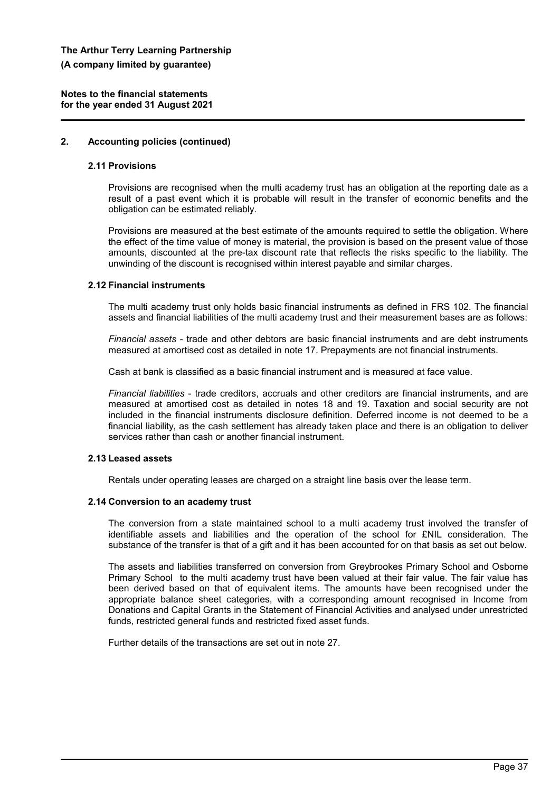## **2. Accounting policies (continued)**

#### **2.11 Provisions**

Provisions are recognised when the multi academy trust has an obligation at the reporting date as a result of a past event which it is probable will result in the transfer of economic benefits and the obligation can be estimated reliably.

Provisions are measured at the best estimate of the amounts required to settle the obligation. Where the effect of the time value of money is material, the provision is based on the present value of those amounts, discounted at the pre-tax discount rate that reflects the risks specific to the liability. The unwinding of the discount is recognised within interest payable and similar charges.

### **2.12 Financial instruments**

The multi academy trust only holds basic financial instruments as defined in FRS 102. The financial assets and financial liabilities of the multi academy trust and their measurement bases are as follows:

*Financial assets* - trade and other debtors are basic financial instruments and are debt instruments measured at amortised cost as detailed in note 17. Prepayments are not financial instruments.

Cash at bank is classified as a basic financial instrument and is measured at face value.

*Financial liabilities* - trade creditors, accruals and other creditors are financial instruments, and are measured at amortised cost as detailed in notes 18 and 19. Taxation and social security are not included in the financial instruments disclosure definition. Deferred income is not deemed to be a financial liability, as the cash settlement has already taken place and there is an obligation to deliver services rather than cash or another financial instrument.

### **2.13 Leased assets**

Rentals under operating leases are charged on a straight line basis over the lease term.

#### **2.14 Conversion to an academy trust**

The conversion from a state maintained school to a multi academy trust involved the transfer of identifiable assets and liabilities and the operation of the school for £NIL consideration. The substance of the transfer is that of a gift and it has been accounted for on that basis as set out below.

The assets and liabilities transferred on conversion from Greybrookes Primary School and Osborne Primary School to the multi academy trust have been valued at their fair value. The fair value has been derived based on that of equivalent items. The amounts have been recognised under the appropriate balance sheet categories, with a corresponding amount recognised in Income from Donations and Capital Grants in the Statement of Financial Activities and analysed under unrestricted funds, restricted general funds and restricted fixed asset funds.

Further details of the transactions are set out in note 27.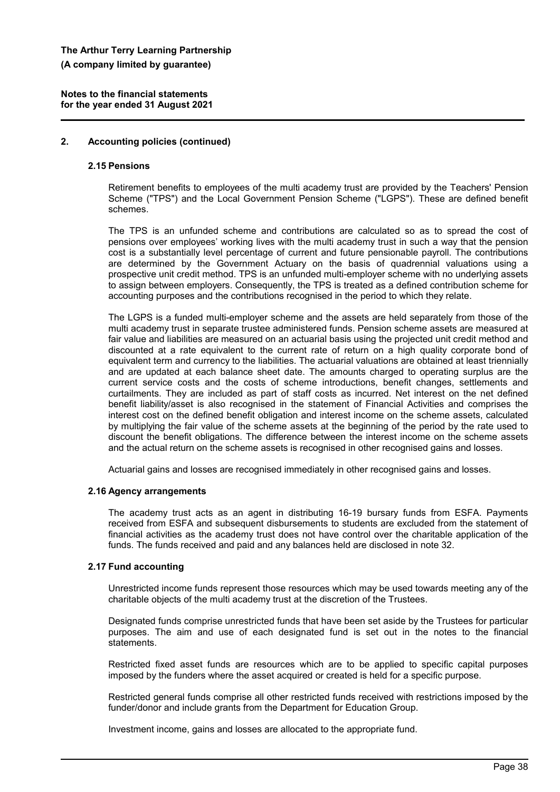## **2. Accounting policies (continued)**

#### **2.15 Pensions**

Retirement benefits to employees of the multi academy trust are provided by the Teachers' Pension Scheme ("TPS") and the Local Government Pension Scheme ("LGPS"). These are defined benefit schemes.

The TPS is an unfunded scheme and contributions are calculated so as to spread the cost of pensions over employees' working lives with the multi academy trust in such a way that the pension cost is a substantially level percentage of current and future pensionable payroll. The contributions are determined by the Government Actuary on the basis of quadrennial valuations using a prospective unit credit method. TPS is an unfunded multi-employer scheme with no underlying assets to assign between employers. Consequently, the TPS is treated as a defined contribution scheme for accounting purposes and the contributions recognised in the period to which they relate.

The LGPS is a funded multi-employer scheme and the assets are held separately from those of the multi academy trust in separate trustee administered funds. Pension scheme assets are measured at fair value and liabilities are measured on an actuarial basis using the projected unit credit method and discounted at a rate equivalent to the current rate of return on a high quality corporate bond of equivalent term and currency to the liabilities. The actuarial valuations are obtained at least triennially and are updated at each balance sheet date. The amounts charged to operating surplus are the current service costs and the costs of scheme introductions, benefit changes, settlements and curtailments. They are included as part of staff costs as incurred. Net interest on the net defined benefit liability/asset is also recognised in the statement of Financial Activities and comprises the interest cost on the defined benefit obligation and interest income on the scheme assets, calculated by multiplying the fair value of the scheme assets at the beginning of the period by the rate used to discount the benefit obligations. The difference between the interest income on the scheme assets and the actual return on the scheme assets is recognised in other recognised gains and losses.

Actuarial gains and losses are recognised immediately in other recognised gains and losses.

#### **2.16 Agency arrangements**

The academy trust acts as an agent in distributing 16-19 bursary funds from ESFA. Payments received from ESFA and subsequent disbursements to students are excluded from the statement of financial activities as the academy trust does not have control over the charitable application of the funds. The funds received and paid and any balances held are disclosed in note 32.

#### **2.17 Fund accounting**

Unrestricted income funds represent those resources which may be used towards meeting any of the charitable objects of the multi academy trust at the discretion of the Trustees.

Designated funds comprise unrestricted funds that have been set aside by the Trustees for particular purposes. The aim and use of each designated fund is set out in the notes to the financial statements.

Restricted fixed asset funds are resources which are to be applied to specific capital purposes imposed by the funders where the asset acquired or created is held for a specific purpose.

Restricted general funds comprise all other restricted funds received with restrictions imposed by the funder/donor and include grants from the Department for Education Group.

Investment income, gains and losses are allocated to the appropriate fund.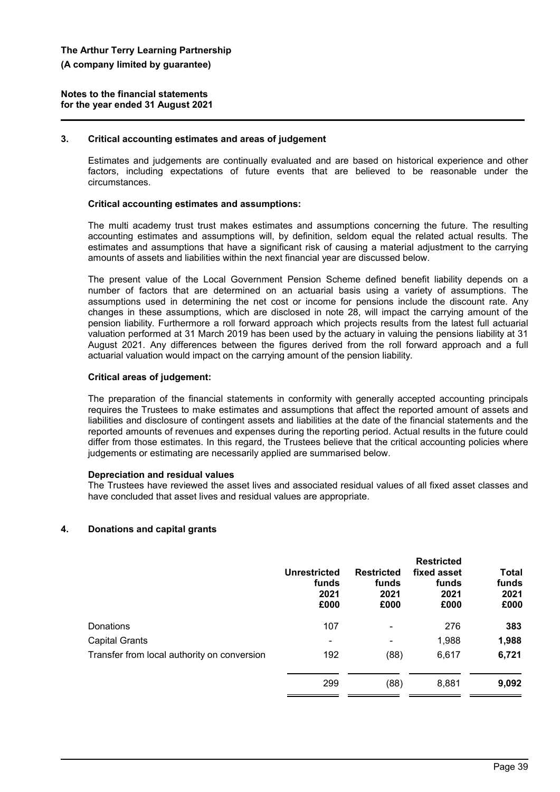#### **3. Critical accounting estimates and areas of judgement**

Estimates and judgements are continually evaluated and are based on historical experience and other factors, including expectations of future events that are believed to be reasonable under the circumstances.

### **Critical accounting estimates and assumptions:**

The multi academy trust trust makes estimates and assumptions concerning the future. The resulting accounting estimates and assumptions will, by definition, seldom equal the related actual results. The estimates and assumptions that have a significant risk of causing a material adjustment to the carrying amounts of assets and liabilities within the next financial year are discussed below.

The present value of the Local Government Pension Scheme defined benefit liability depends on a number of factors that are determined on an actuarial basis using a variety of assumptions. The assumptions used in determining the net cost or income for pensions include the discount rate. Any changes in these assumptions, which are disclosed in note 28, will impact the carrying amount of the pension liability. Furthermore a roll forward approach which projects results from the latest full actuarial valuation performed at 31 March 2019 has been used by the actuary in valuing the pensions liability at 31 August 2021. Any differences between the figures derived from the roll forward approach and a full actuarial valuation would impact on the carrying amount of the pension liability.

### **Critical areas of judgement:**

The preparation of the financial statements in conformity with generally accepted accounting principals requires the Trustees to make estimates and assumptions that affect the reported amount of assets and liabilities and disclosure of contingent assets and liabilities at the date of the financial statements and the reported amounts of revenues and expenses during the reporting period. Actual results in the future could differ from those estimates. In this regard, the Trustees believe that the critical accounting policies where judgements or estimating are necessarily applied are summarised below.

#### **Depreciation and residual values**

The Trustees have reviewed the asset lives and associated residual values of all fixed asset classes and have concluded that asset lives and residual values are appropriate.

## **4. Donations and capital grants**

|                                             | <b>Unrestricted</b><br>funds<br>2021<br>£000 | <b>Restricted</b><br>funds<br>2021<br>£000 | <b>Restricted</b><br>fixed asset<br>funds<br>2021<br>£000 | <b>Total</b><br>funds<br>2021<br>£000 |
|---------------------------------------------|----------------------------------------------|--------------------------------------------|-----------------------------------------------------------|---------------------------------------|
| Donations                                   | 107                                          | -                                          | 276                                                       | 383                                   |
| <b>Capital Grants</b>                       | -                                            | -                                          | 1,988                                                     | 1,988                                 |
| Transfer from local authority on conversion | 192                                          | (88)                                       | 6,617                                                     | 6,721                                 |
|                                             | 299                                          | (88)                                       | 8,881                                                     | 9,092                                 |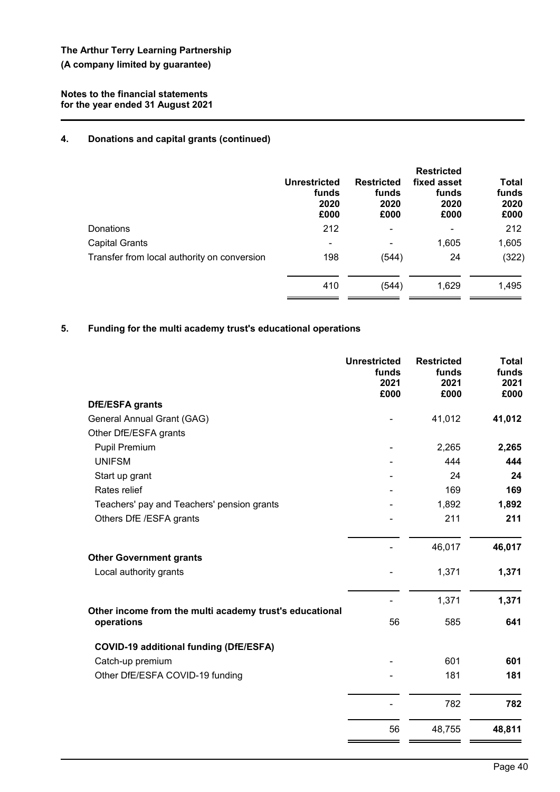# **4. Donations and capital grants (continued)**

|                                             | <b>Unrestricted</b><br>funds<br>2020<br>£000 | <b>Restricted</b><br>funds<br>2020<br>£000 | <b>Restricted</b><br>fixed asset<br>funds<br>2020<br>£000 | <b>Total</b><br>funds<br>2020<br>£000 |
|---------------------------------------------|----------------------------------------------|--------------------------------------------|-----------------------------------------------------------|---------------------------------------|
| Donations                                   | 212                                          | ۰                                          | $\blacksquare$                                            | 212                                   |
| <b>Capital Grants</b>                       |                                              |                                            | 1,605                                                     | 1,605                                 |
| Transfer from local authority on conversion | 198                                          | (544)                                      | 24                                                        | (322)                                 |
|                                             | 410                                          | (544)                                      | 1,629                                                     | 1,495                                 |

# **5. Funding for the multi academy trust's educational operations**

|                                                                       | <b>Unrestricted</b><br>funds<br>2021<br>£000 | <b>Restricted</b><br>funds<br>2021<br>£000 | <b>Total</b><br>funds<br>2021<br>£000 |
|-----------------------------------------------------------------------|----------------------------------------------|--------------------------------------------|---------------------------------------|
| DfE/ESFA grants                                                       |                                              |                                            |                                       |
| General Annual Grant (GAG)                                            |                                              | 41,012                                     | 41,012                                |
| Other DfE/ESFA grants                                                 |                                              |                                            |                                       |
| <b>Pupil Premium</b>                                                  |                                              | 2,265                                      | 2,265                                 |
| <b>UNIFSM</b>                                                         |                                              | 444                                        | 444                                   |
| Start up grant                                                        |                                              | 24                                         | 24                                    |
| Rates relief                                                          |                                              | 169                                        | 169                                   |
| Teachers' pay and Teachers' pension grants                            |                                              | 1,892                                      | 1,892                                 |
| Others DfE /ESFA grants                                               |                                              | 211                                        | 211                                   |
|                                                                       |                                              | 46,017                                     | 46,017                                |
| <b>Other Government grants</b>                                        |                                              |                                            |                                       |
| Local authority grants                                                |                                              | 1,371                                      | 1,371                                 |
|                                                                       |                                              | 1,371                                      | 1,371                                 |
| Other income from the multi academy trust's educational<br>operations | 56                                           | 585                                        | 641                                   |
| <b>COVID-19 additional funding (DfE/ESFA)</b>                         |                                              |                                            |                                       |
| Catch-up premium                                                      |                                              | 601                                        | 601                                   |
| Other DfE/ESFA COVID-19 funding                                       |                                              | 181                                        | 181                                   |
|                                                                       |                                              | 782                                        | 782                                   |
|                                                                       | 56                                           | 48,755                                     | 48,811                                |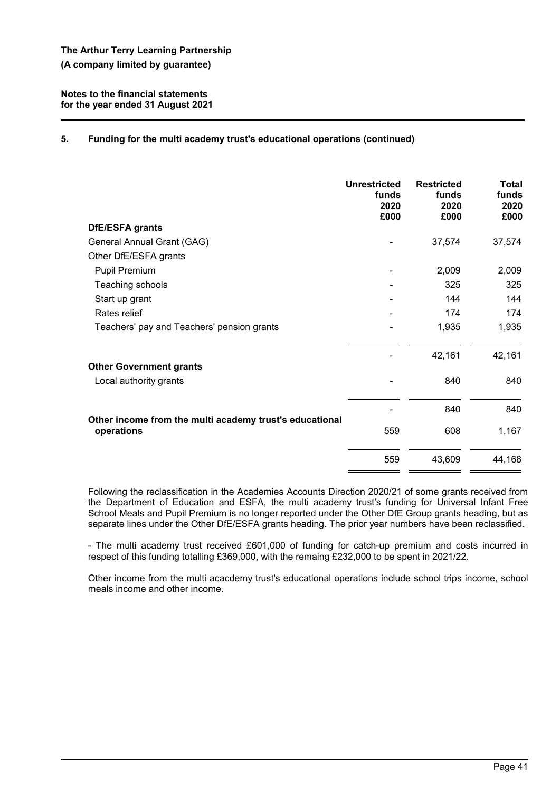## **5. Funding for the multi academy trust's educational operations (continued)**

|                                                                       | <b>Unrestricted</b><br>funds<br>2020<br>£000 | <b>Restricted</b><br>funds<br>2020<br>£000 | Total<br>funds<br>2020<br>£000 |
|-----------------------------------------------------------------------|----------------------------------------------|--------------------------------------------|--------------------------------|
| DfE/ESFA grants                                                       |                                              |                                            |                                |
| General Annual Grant (GAG)                                            |                                              | 37,574                                     | 37,574                         |
| Other DfE/ESFA grants                                                 |                                              |                                            |                                |
| <b>Pupil Premium</b>                                                  |                                              | 2,009                                      | 2,009                          |
| Teaching schools                                                      |                                              | 325                                        | 325                            |
| Start up grant                                                        |                                              | 144                                        | 144                            |
| Rates relief                                                          |                                              | 174                                        | 174                            |
| Teachers' pay and Teachers' pension grants                            |                                              | 1,935                                      | 1,935                          |
|                                                                       |                                              | 42,161                                     | 42,161                         |
| <b>Other Government grants</b>                                        |                                              |                                            |                                |
| Local authority grants                                                |                                              | 840                                        | 840                            |
|                                                                       |                                              | 840                                        | 840                            |
| Other income from the multi academy trust's educational<br>operations | 559                                          | 608                                        | 1,167                          |
|                                                                       | 559                                          | 43,609                                     | 44,168                         |

Following the reclassification in the Academies Accounts Direction 2020/21 of some grants received from the Department of Education and ESFA, the multi academy trust's funding for Universal Infant Free School Meals and Pupil Premium is no longer reported under the Other DfE Group grants heading, but as separate lines under the Other DfE/ESFA grants heading. The prior year numbers have been reclassified.

- The multi academy trust received £601,000 of funding for catch-up premium and costs incurred in respect of this funding totalling £369,000, with the remaing £232,000 to be spent in 2021/22.

Other income from the multi acacdemy trust's educational operations include school trips income, school meals income and other income.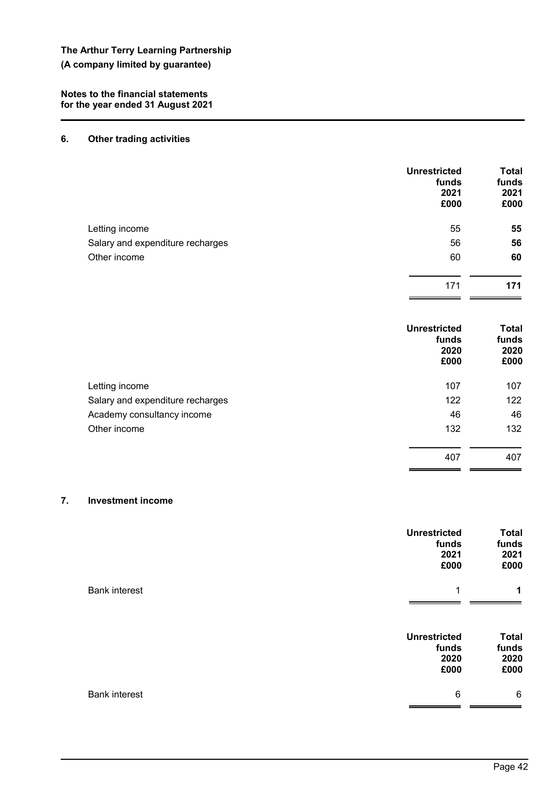## **6. Other trading activities**

|                                  | <b>Unrestricted</b><br>funds<br>2021<br>£000 | <b>Total</b><br>funds<br>2021<br>£000 |
|----------------------------------|----------------------------------------------|---------------------------------------|
| Letting income                   | 55                                           | 55                                    |
| Salary and expenditure recharges | 56                                           | 56                                    |
| Other income                     | 60                                           | 60                                    |
|                                  | 171                                          | 171                                   |

|                                  | <b>Unrestricted</b><br>funds<br>2020<br>£000 | <b>Total</b><br>funds<br>2020<br>£000 |
|----------------------------------|----------------------------------------------|---------------------------------------|
| Letting income                   | 107                                          | 107                                   |
| Salary and expenditure recharges | 122                                          | 122                                   |
| Academy consultancy income       | 46                                           | 46                                    |
| Other income                     | 132                                          | 132                                   |
|                                  | 407                                          | 407                                   |

## **7. Investment income**

|                      | <b>Unrestricted</b><br>funds<br>2021<br>£000 | <b>Total</b><br>funds<br>2021<br>£000 |
|----------------------|----------------------------------------------|---------------------------------------|
| <b>Bank interest</b> | 1                                            | 1                                     |
|                      | <b>Unrestricted</b><br>funds<br>2020<br>£000 | <b>Total</b><br>funds<br>2020<br>£000 |
| <b>Bank interest</b> | 6                                            | 6                                     |

 $\overline{\phantom{0}}$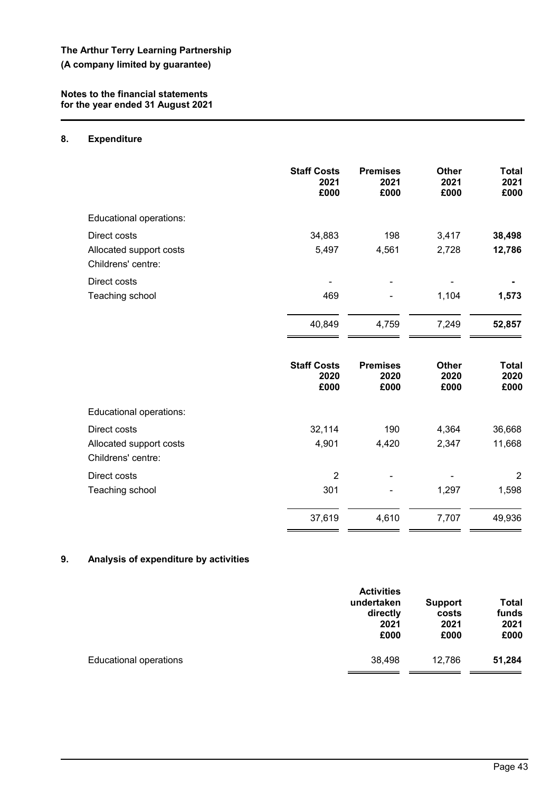**Notes to the financial statements for the year ended 31 August 2021**

## **8. Expenditure**

| <b>Staff Costs</b><br>2021<br>£000 | <b>Premises</b><br>2021<br>£000 | <b>Other</b><br>2021<br>£000 | <b>Total</b><br>2021<br>£000 |
|------------------------------------|---------------------------------|------------------------------|------------------------------|
|                                    |                                 |                              |                              |
| 34,883                             | 198                             | 3,417                        | 38,498                       |
| 5,497                              | 4,561                           | 2,728                        | 12,786                       |
|                                    |                                 |                              |                              |
| 469                                |                                 | 1,104                        | 1,573                        |
| 40,849                             | 4,759                           | 7,249                        | 52,857                       |
| <b>Staff Costs</b><br>2020<br>£000 | <b>Premises</b><br>2020<br>£000 | <b>Other</b><br>2020<br>£000 | <b>Total</b><br>2020<br>£000 |
|                                    |                                 |                              |                              |
| 32,114                             | 190                             | 4,364                        | 36,668                       |
| 4,901                              | 4,420                           | 2,347                        | 11,668                       |
| $\overline{2}$                     |                                 |                              | $\overline{2}$               |
| 301                                |                                 | 1,297                        | 1,598                        |
| 37,619                             | 4,610                           | 7,707                        | 49,936                       |
|                                    |                                 |                              |                              |

# **9. Analysis of expenditure by activities**

| <b>Activities</b><br>undertaken<br>directly<br>2021<br>£000 | <b>Support</b><br>costs<br>2021<br>£000 | <b>Total</b><br>funds<br>2021<br>£000 |
|-------------------------------------------------------------|-----------------------------------------|---------------------------------------|
| 38,498                                                      | 12,786                                  | 51,284                                |
|                                                             |                                         |                                       |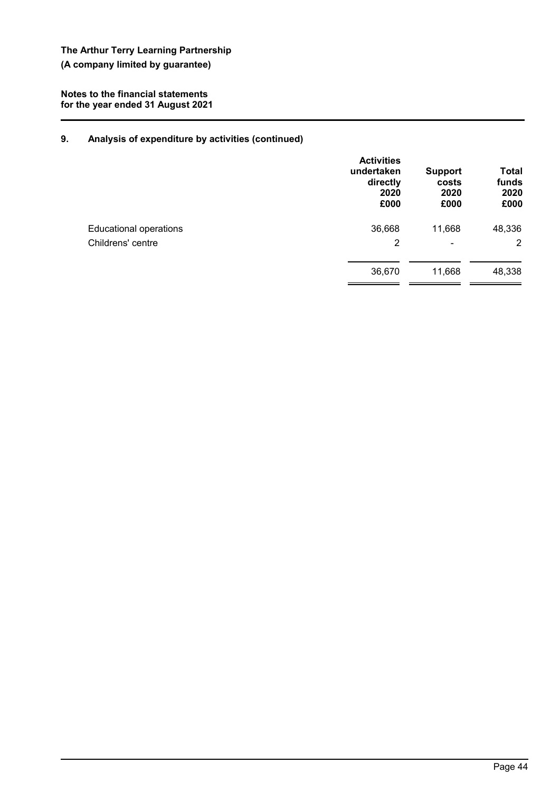**Notes to the financial statements for the year ended 31 August 2021**

## **9. Analysis of expenditure by activities (continued)**

|                               | <b>Activities</b><br>undertaken<br>directly<br>2020<br>£000 | <b>Support</b><br>costs<br>2020<br>£000 | <b>Total</b><br>funds<br>2020<br>£000 |
|-------------------------------|-------------------------------------------------------------|-----------------------------------------|---------------------------------------|
| <b>Educational operations</b> | 36,668                                                      | 11,668                                  | 48,336                                |
| Childrens' centre             | 2                                                           | ۰                                       | $\overline{2}$                        |
|                               | 36,670                                                      | 11,668                                  | 48,338                                |
|                               |                                                             |                                         |                                       |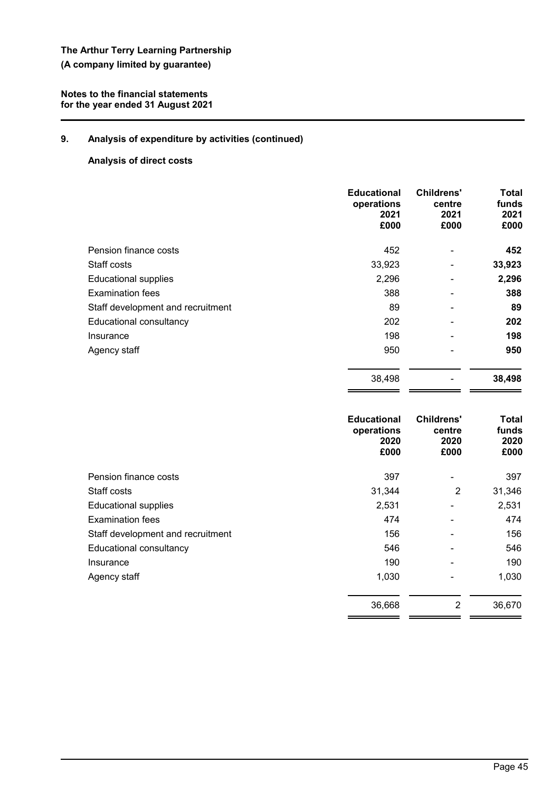### **Notes to the financial statements for the year ended 31 August 2021**

## **9. Analysis of expenditure by activities (continued)**

# **Analysis of direct costs**

|                                   | <b>Educational</b><br>operations<br>2021<br>£000 | <b>Childrens'</b><br>centre<br>2021<br>£000 | Total<br>funds<br>2021<br>£000 |
|-----------------------------------|--------------------------------------------------|---------------------------------------------|--------------------------------|
| Pension finance costs             | 452                                              | ٠                                           | 452                            |
| Staff costs                       | 33,923                                           | -                                           | 33,923                         |
| <b>Educational supplies</b>       | 2,296                                            | ٠                                           | 2,296                          |
| <b>Examination fees</b>           | 388                                              | ٠                                           | 388                            |
| Staff development and recruitment | 89                                               | $\blacksquare$                              | 89                             |
| Educational consultancy           | 202                                              |                                             | 202                            |
| Insurance                         | 198                                              | ۰                                           | 198                            |
| Agency staff                      | 950                                              | -                                           | 950                            |
|                                   | 38,498                                           |                                             | 38,498                         |

|                                   | <b>Educational</b><br>operations<br>2020<br>£000 | Childrens'<br>centre<br>2020<br>£000 | <b>Total</b><br>funds<br>2020<br>£000 |
|-----------------------------------|--------------------------------------------------|--------------------------------------|---------------------------------------|
| Pension finance costs             | 397                                              | ۰                                    | 397                                   |
| Staff costs                       | 31,344                                           | 2                                    | 31,346                                |
| <b>Educational supplies</b>       | 2,531                                            | -                                    | 2,531                                 |
| Examination fees                  | 474                                              | ۰                                    | 474                                   |
| Staff development and recruitment | 156                                              |                                      | 156                                   |
| Educational consultancy           | 546                                              | -                                    | 546                                   |
| Insurance                         | 190                                              | -                                    | 190                                   |
| Agency staff                      | 1,030                                            | ۰                                    | 1,030                                 |
|                                   | 36,668                                           | 2                                    | 36,670                                |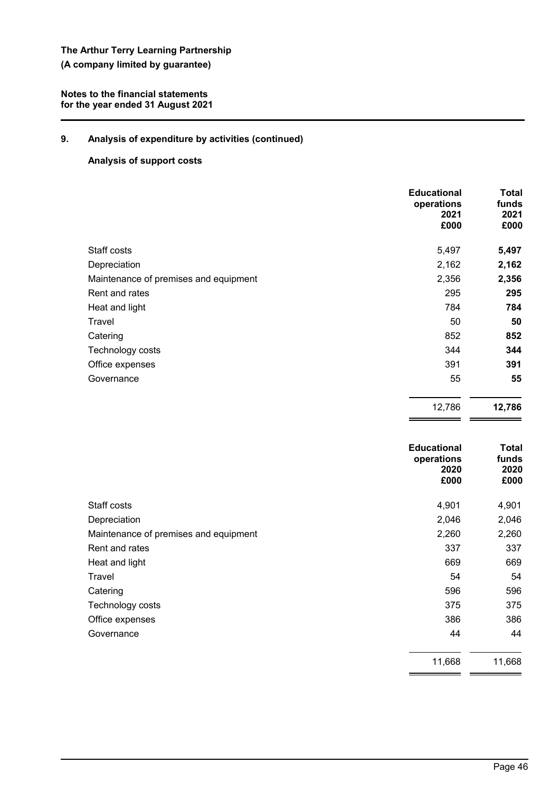### **Notes to the financial statements for the year ended 31 August 2021**

## **9. Analysis of expenditure by activities (continued)**

# **Analysis of support costs**

|                                       | <b>Educational</b><br>operations<br>2021<br>£000 | Total<br>funds<br>2021<br>£000 |
|---------------------------------------|--------------------------------------------------|--------------------------------|
| Staff costs                           | 5,497                                            | 5,497                          |
| Depreciation                          | 2,162                                            | 2,162                          |
| Maintenance of premises and equipment | 2,356                                            | 2,356                          |
| Rent and rates                        | 295                                              | 295                            |
| Heat and light                        | 784                                              | 784                            |
| Travel                                | 50                                               | 50                             |
| Catering                              | 852                                              | 852                            |
| Technology costs                      | 344                                              | 344                            |
| Office expenses                       | 391                                              | 391                            |
| Governance                            | 55                                               | 55                             |
|                                       | 12,786                                           | 12,786                         |

|                                       | <b>Educational</b><br>operations<br>2020<br>£000 | <b>Total</b><br>funds<br>2020<br>£000 |
|---------------------------------------|--------------------------------------------------|---------------------------------------|
| Staff costs                           | 4,901                                            | 4,901                                 |
| Depreciation                          | 2,046                                            | 2,046                                 |
| Maintenance of premises and equipment | 2,260                                            | 2,260                                 |
| Rent and rates                        | 337                                              | 337                                   |
| Heat and light                        | 669                                              | 669                                   |
| Travel                                | 54                                               | 54                                    |
| Catering                              | 596                                              | 596                                   |
| Technology costs                      | 375                                              | 375                                   |
| Office expenses                       | 386                                              | 386                                   |
| Governance                            | 44                                               | 44                                    |
|                                       | 11,668                                           | 11,668                                |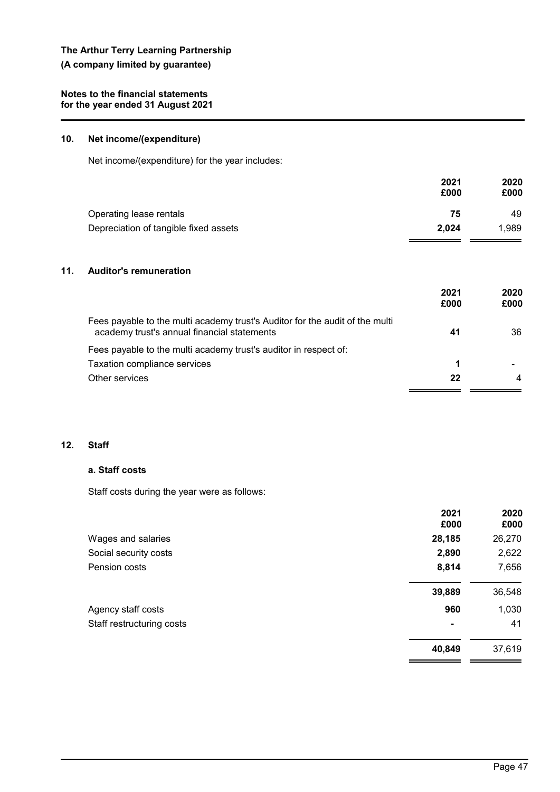### **10. Net income/(expenditure)**

Net income/(expenditure) for the year includes:

| 2020  |
|-------|
| £000  |
| 49    |
| 1.989 |
|       |

## **11. Auditor's remuneration**

|                                                                                                                             | 2021<br>£000 | 2020<br>£000   |
|-----------------------------------------------------------------------------------------------------------------------------|--------------|----------------|
| Fees payable to the multi academy trust's Auditor for the audit of the multi<br>academy trust's annual financial statements | 41           | 36             |
| Fees payable to the multi academy trust's auditor in respect of:                                                            |              |                |
| Taxation compliance services                                                                                                |              |                |
| Other services                                                                                                              | 22           | $\overline{4}$ |

## **12. Staff**

### **a. Staff costs**

Staff costs during the year were as follows:

|                           | 2021<br>£000 | 2020<br>£000 |
|---------------------------|--------------|--------------|
| Wages and salaries        | 28,185       | 26,270       |
| Social security costs     | 2,890        | 2,622        |
| Pension costs             | 8,814        | 7,656        |
|                           | 39,889       | 36,548       |
| Agency staff costs        | 960          | 1,030        |
| Staff restructuring costs | ٠            | 41           |
|                           | 40,849       | 37,619       |
|                           |              |              |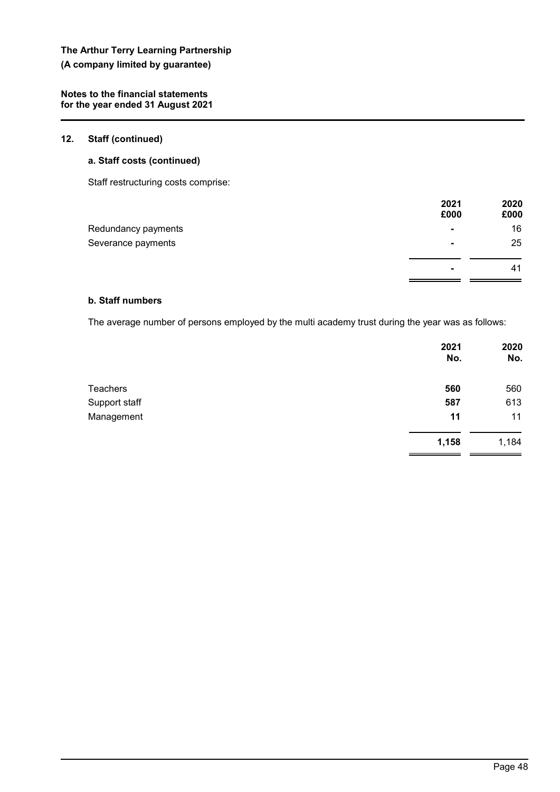**Notes to the financial statements for the year ended 31 August 2021**

## **12. Staff (continued)**

## **a. Staff costs (continued)**

Staff restructuring costs comprise:

|                     | 2021<br>£000   | 2020<br>£000 |
|---------------------|----------------|--------------|
| Redundancy payments | $\blacksquare$ | 16           |
| Severance payments  | $\blacksquare$ | 25           |
|                     | $\blacksquare$ | 41           |

## **b. Staff numbers**

The average number of persons employed by the multi academy trust during the year was as follows:

|                 | 2021<br>No. | 2020<br>No. |
|-----------------|-------------|-------------|
| <b>Teachers</b> | 560         | 560         |
| Support staff   | 587         | 613         |
| Management      | 11          | 11          |
|                 | 1,158       | 1,184       |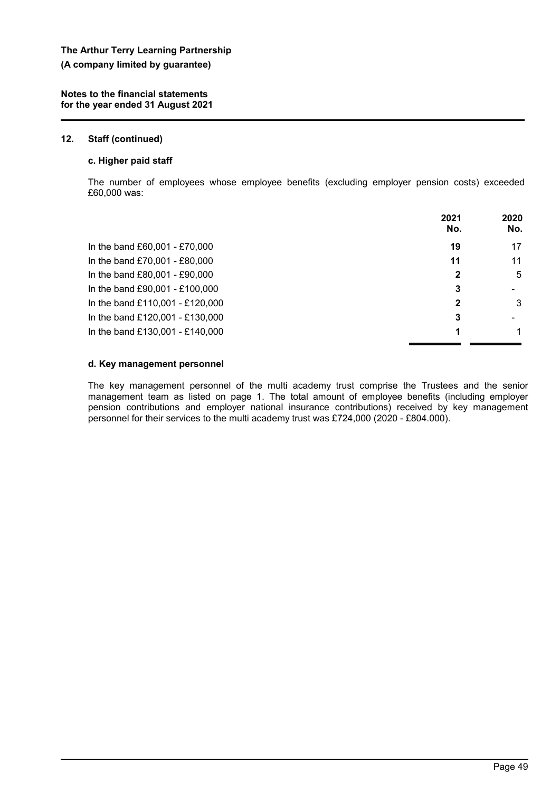**Notes to the financial statements for the year ended 31 August 2021**

### **12. Staff (continued)**

## **c. Higher paid staff**

The number of employees whose employee benefits (excluding employer pension costs) exceeded £60,000 was:

|                                 | 2021<br>No. | 2020<br>No. |
|---------------------------------|-------------|-------------|
| In the band £60,001 - £70,000   | 19          | 17          |
| In the band £70,001 - £80,000   | 11          | 11          |
| In the band £80,001 - £90,000   | 2           | 5           |
| In the band £90,001 - £100,000  | 3           |             |
| In the band £110,001 - £120,000 | 2           | 3           |
| In the band £120,001 - £130,000 | 3           |             |
| In the band £130,001 - £140,000 |             | 1           |

#### **d. Key management personnel**

The key management personnel of the multi academy trust comprise the Trustees and the senior management team as listed on page 1. The total amount of employee benefits (including employer pension contributions and employer national insurance contributions) received by key management personnel for their services to the multi academy trust was £724,000 (2020 - £804.000).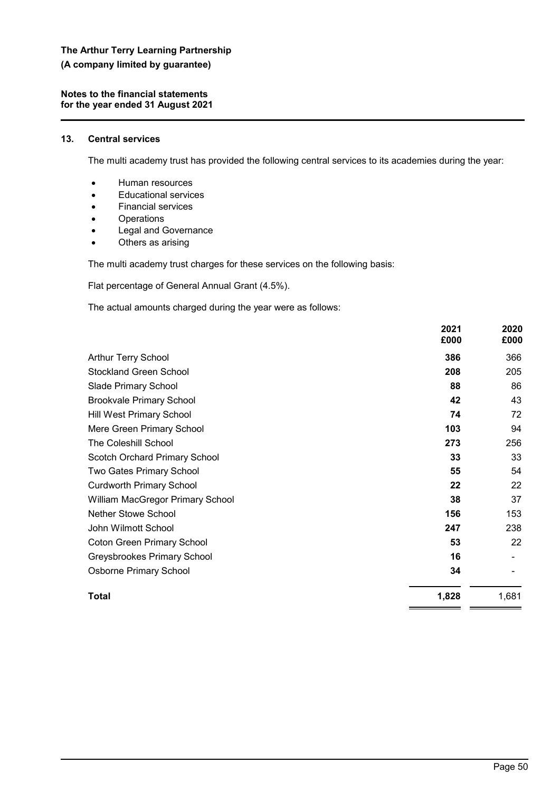## **Notes to the financial statements for the year ended 31 August 2021**

## **13. Central services**

The multi academy trust has provided the following central services to its academies during the year:

- Human resources
- Educational services
- Financial services
- Operations
- Legal and Governance
- Others as arising

The multi academy trust charges for these services on the following basis:

Flat percentage of General Annual Grant (4.5%).

The actual amounts charged during the year were as follows:

|                                   | 2021<br>£000 | 2020<br>£000 |
|-----------------------------------|--------------|--------------|
| <b>Arthur Terry School</b>        | 386          | 366          |
| <b>Stockland Green School</b>     | 208          | 205          |
| Slade Primary School              | 88           | 86           |
| <b>Brookvale Primary School</b>   | 42           | 43           |
| Hill West Primary School          | 74           | 72           |
| Mere Green Primary School         | 103          | 94           |
| The Coleshill School              | 273          | 256          |
| Scotch Orchard Primary School     | 33           | 33           |
| Two Gates Primary School          | 55           | 54           |
| <b>Curdworth Primary School</b>   | 22           | 22           |
| William MacGregor Primary School  | 38           | 37           |
| <b>Nether Stowe School</b>        | 156          | 153          |
| John Wilmott School               | 247          | 238          |
| <b>Coton Green Primary School</b> | 53           | 22           |
| Greysbrookes Primary School       | 16           |              |
| <b>Osborne Primary School</b>     | 34           |              |
| <b>Total</b>                      | 1,828        | 1,681        |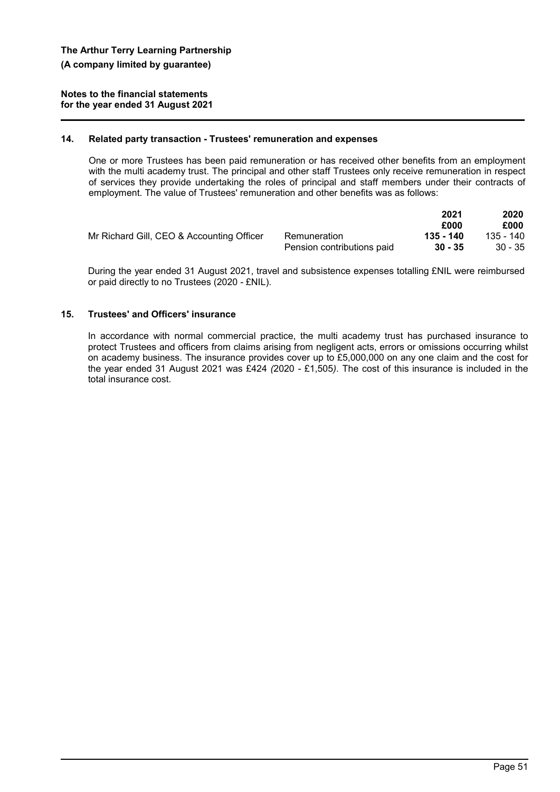### **14. Related party transaction - Trustees' remuneration and expenses**

One or more Trustees has been paid remuneration or has received other benefits from an employment with the multi academy trust. The principal and other staff Trustees only receive remuneration in respect of services they provide undertaking the roles of principal and staff members under their contracts of employment. The value of Trustees' remuneration and other benefits was as follows:

|                                           |                            | 2021      | 2020      |
|-------------------------------------------|----------------------------|-----------|-----------|
|                                           |                            | £000      | £000      |
| Mr Richard Gill, CEO & Accounting Officer | Remuneration               | 135 - 140 | 135 - 140 |
|                                           | Pension contributions paid | 30 - 35   | $30 - 35$ |

During the year ended 31 August 2021, travel and subsistence expenses totalling £NIL were reimbursed or paid directly to no Trustees (2020 - £NIL).

## **15. Trustees' and Officers' insurance**

In accordance with normal commercial practice, the multi academy trust has purchased insurance to protect Trustees and officers from claims arising from negligent acts, errors or omissions occurring whilst on academy business. The insurance provides cover up to £5,000,000 on any one claim and the cost for the year ended 31 August 2021 was £424 *(*2020 *-* £1,505*)*. The cost of this insurance is included in the total insurance cost.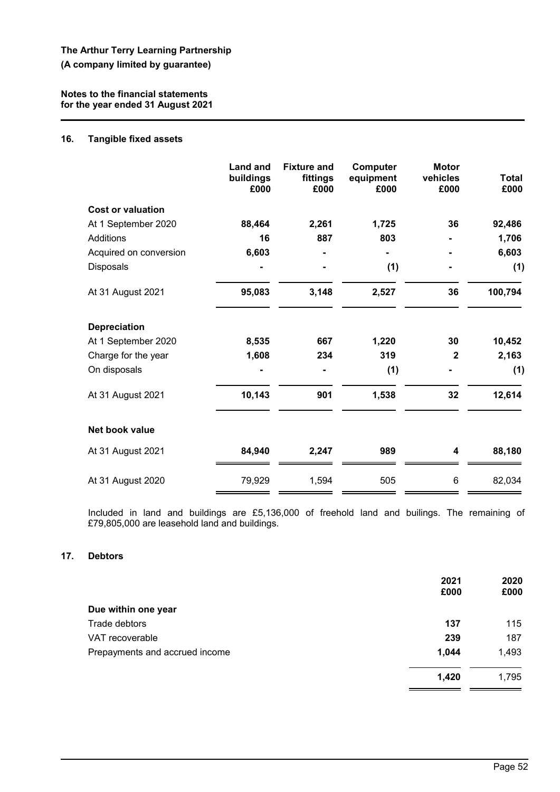### **Notes to the financial statements for the year ended 31 August 2021**

## **16. Tangible fixed assets**

|                          | <b>Land and</b><br>buildings<br>£000 | <b>Fixture and</b><br>fittings<br>£000 | Computer<br>equipment<br>£000 | <b>Motor</b><br>vehicles<br>£000 | <b>Total</b><br>£000 |
|--------------------------|--------------------------------------|----------------------------------------|-------------------------------|----------------------------------|----------------------|
| <b>Cost or valuation</b> |                                      |                                        |                               |                                  |                      |
| At 1 September 2020      | 88,464                               | 2,261                                  | 1,725                         | 36                               | 92,486               |
| <b>Additions</b>         | 16                                   | 887                                    | 803                           |                                  | 1,706                |
| Acquired on conversion   | 6,603                                |                                        |                               |                                  | 6,603                |
| Disposals                |                                      | $\blacksquare$                         | (1)                           |                                  | (1)                  |
| At 31 August 2021        | 95,083                               | 3,148                                  | 2,527                         | 36                               | 100,794              |
| <b>Depreciation</b>      |                                      |                                        |                               |                                  |                      |
| At 1 September 2020      | 8,535                                | 667                                    | 1,220                         | 30                               | 10,452               |
| Charge for the year      | 1,608                                | 234                                    | 319                           | $\mathbf{2}$                     | 2,163                |
| On disposals             |                                      |                                        | (1)                           |                                  | (1)                  |
| At 31 August 2021        | 10,143                               | 901                                    | 1,538                         | 32                               | 12,614               |
| Net book value           |                                      |                                        |                               |                                  |                      |
| At 31 August 2021        | 84,940                               | 2,247                                  | 989                           | 4                                | 88,180               |
| At 31 August 2020        | 79,929                               | 1,594                                  | 505                           | $6\phantom{1}$                   | 82,034               |

Included in land and buildings are £5,136,000 of freehold land and builings. The remaining of £79,805,000 are leasehold land and buildings.

## **17. Debtors**

|                                | 2021<br>£000 | 2020<br>£000 |
|--------------------------------|--------------|--------------|
| Due within one year            |              |              |
| Trade debtors                  | 137          | 115          |
| VAT recoverable                | 239          | 187          |
| Prepayments and accrued income | 1,044        | 1,493        |
|                                | 1,420        | 1,795        |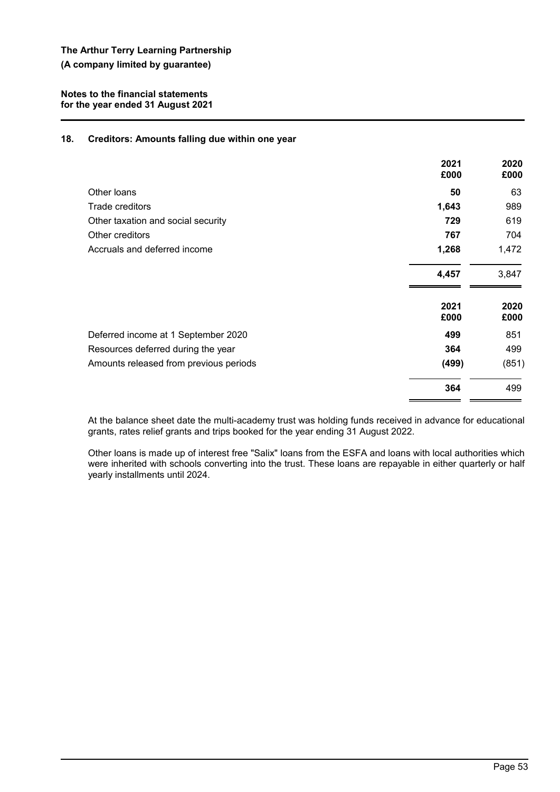## **18. Creditors: Amounts falling due within one year**

|                                        | 2021<br>£000 | 2020<br>£000 |
|----------------------------------------|--------------|--------------|
| Other loans                            | 50           | 63           |
| Trade creditors                        | 1,643        | 989          |
| Other taxation and social security     | 729          | 619          |
| Other creditors                        | 767          | 704          |
| Accruals and deferred income           | 1,268        | 1,472        |
|                                        | 4,457        | 3,847        |
|                                        | 2021<br>£000 | 2020<br>£000 |
| Deferred income at 1 September 2020    | 499          | 851          |
| Resources deferred during the year     | 364          | 499          |
| Amounts released from previous periods | (499)        | (851)        |
|                                        | 364          | 499          |
|                                        |              |              |

At the balance sheet date the multi-academy trust was holding funds received in advance for educational grants, rates relief grants and trips booked for the year ending 31 August 2022.

Other loans is made up of interest free "Salix" loans from the ESFA and loans with local authorities which were inherited with schools converting into the trust. These loans are repayable in either quarterly or half yearly installments until 2024.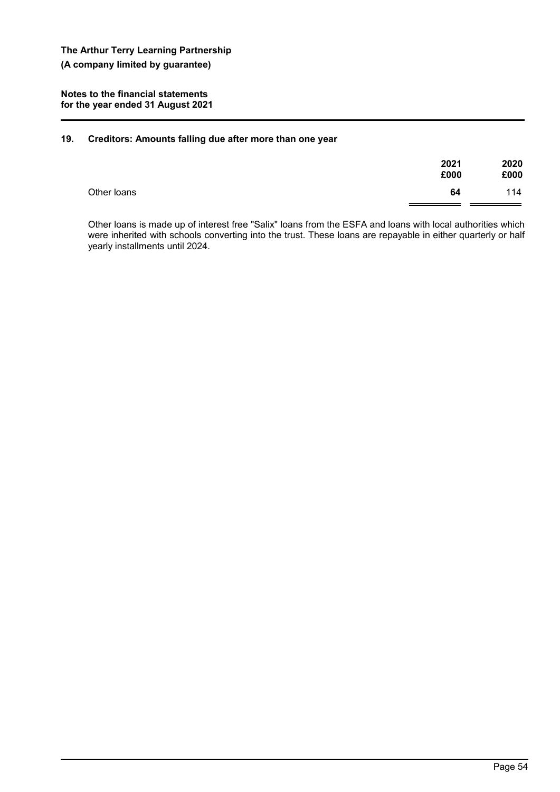## **19. Creditors: Amounts falling due after more than one year**

|             | 2021<br>£000 | 2020<br>£000 |
|-------------|--------------|--------------|
| Other loans | 64           | 114          |

Other loans is made up of interest free "Salix" loans from the ESFA and loans with local authorities which were inherited with schools converting into the trust. These loans are repayable in either quarterly or half yearly installments until 2024.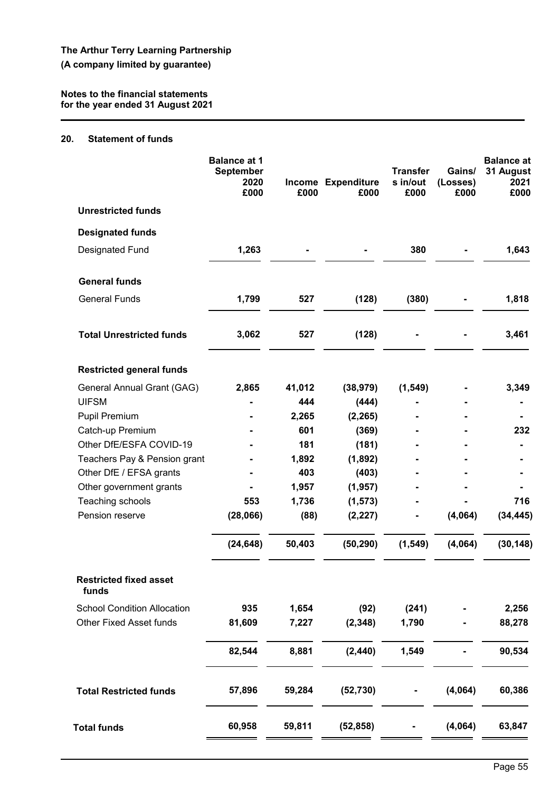## **Notes to the financial statements for the year ended 31 August 2021**

## **20. Statement of funds**

| <b>Balance at 1</b><br><b>September</b><br>2020<br>£000 | £000            | £000                          | <b>Transfer</b><br>s in/out<br>£000                             | Gains/<br>(Losses)<br>£000 | <b>Balance at</b><br>31 August<br>2021<br>£000 |
|---------------------------------------------------------|-----------------|-------------------------------|-----------------------------------------------------------------|----------------------------|------------------------------------------------|
|                                                         |                 |                               |                                                                 |                            |                                                |
|                                                         |                 |                               |                                                                 |                            |                                                |
| 1,263                                                   |                 |                               | 380                                                             |                            | 1,643                                          |
|                                                         |                 |                               |                                                                 |                            |                                                |
| 1,799                                                   | 527             | (128)                         | (380)                                                           |                            | 1,818                                          |
| 3,062                                                   | 527             | (128)                         |                                                                 |                            | 3,461                                          |
|                                                         |                 |                               |                                                                 |                            |                                                |
| 2,865                                                   | 41,012          | (38, 979)                     | (1, 549)                                                        |                            | 3,349                                          |
|                                                         | 444             | (444)                         |                                                                 |                            |                                                |
|                                                         | 2,265           | (2, 265)                      |                                                                 |                            |                                                |
|                                                         | 601             | (369)                         |                                                                 |                            | 232                                            |
|                                                         | 181             | (181)                         |                                                                 |                            |                                                |
| Teachers Pay & Pension grant                            | 1,892           | (1,892)                       |                                                                 |                            |                                                |
|                                                         |                 |                               |                                                                 |                            |                                                |
|                                                         |                 |                               |                                                                 |                            |                                                |
|                                                         |                 |                               |                                                                 |                            | 716                                            |
|                                                         |                 |                               |                                                                 |                            | (34, 445)                                      |
| (24, 648)                                               | 50,403          | (50, 290)                     | (1, 549)                                                        | (4,064)                    | (30, 148)                                      |
|                                                         |                 |                               |                                                                 |                            |                                                |
| 935                                                     | 1,654           | (92)                          | (241)                                                           |                            | 2,256                                          |
| 81,609                                                  | 7,227           | (2, 348)                      | 1,790                                                           |                            | 88,278                                         |
| 82,544                                                  | 8,881           | (2, 440)                      | 1,549                                                           |                            | 90,534                                         |
| 57,896                                                  | 59,284          | (52, 730)                     |                                                                 | (4,064)                    | 60,386                                         |
| 60,958                                                  | 59,811          | (52, 858)                     |                                                                 | (4,064)                    | 63,847                                         |
|                                                         | 553<br>(28,066) | 403<br>1,957<br>1,736<br>(88) | Income Expenditure<br>(403)<br>(1, 957)<br>(1, 573)<br>(2, 227) |                            | (4,064)                                        |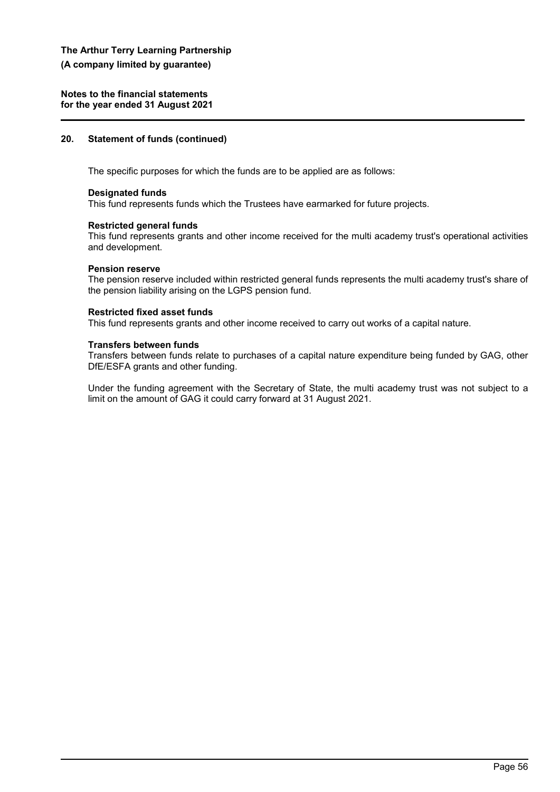**Notes to the financial statements for the year ended 31 August 2021**

## **20. Statement of funds (continued)**

The specific purposes for which the funds are to be applied are as follows:

#### **Designated funds**

This fund represents funds which the Trustees have earmarked for future projects.

### **Restricted general funds**

This fund represents grants and other income received for the multi academy trust's operational activities and development.

### **Pension reserve**

The pension reserve included within restricted general funds represents the multi academy trust's share of the pension liability arising on the LGPS pension fund.

### **Restricted fixed asset funds**

This fund represents grants and other income received to carry out works of a capital nature.

## **Transfers between funds**

Transfers between funds relate to purchases of a capital nature expenditure being funded by GAG, other DfE/ESFA grants and other funding.

Under the funding agreement with the Secretary of State, the multi academy trust was not subject to a limit on the amount of GAG it could carry forward at 31 August 2021.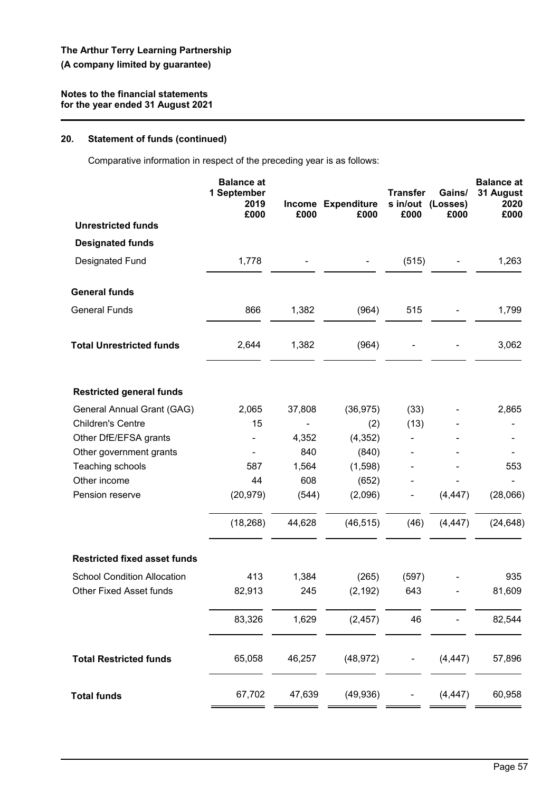## **20. Statement of funds (continued)**

Comparative information in respect of the preceding year is as follows:

|                                     | <b>Balance at</b><br>1 September<br>2019<br>£000 | £000         | Income Expenditure<br>£000 | <b>Transfer</b><br>£000 | Gains/<br>s in/out (Losses)<br>£000 | <b>Balance at</b><br>31 August<br>2020<br>£000 |
|-------------------------------------|--------------------------------------------------|--------------|----------------------------|-------------------------|-------------------------------------|------------------------------------------------|
| <b>Unrestricted funds</b>           |                                                  |              |                            |                         |                                     |                                                |
| <b>Designated funds</b>             |                                                  |              |                            |                         |                                     |                                                |
| <b>Designated Fund</b>              | 1,778                                            |              |                            | (515)                   |                                     | 1,263                                          |
| <b>General funds</b>                |                                                  |              |                            |                         |                                     |                                                |
| <b>General Funds</b>                | 866                                              | 1,382        | (964)                      | 515                     |                                     | 1,799                                          |
| <b>Total Unrestricted funds</b>     | 2,644                                            | 1,382        | (964)                      |                         |                                     | 3,062                                          |
| <b>Restricted general funds</b>     |                                                  |              |                            |                         |                                     |                                                |
| General Annual Grant (GAG)          | 2,065                                            | 37,808       | (36, 975)                  | (33)                    |                                     | 2,865                                          |
| <b>Children's Centre</b>            | 15                                               | ä,           | (2)                        | (13)                    |                                     |                                                |
| Other DfE/EFSA grants               |                                                  | 4,352        | (4, 352)                   |                         |                                     |                                                |
| Other government grants             |                                                  | 840          | (840)                      |                         |                                     |                                                |
| Teaching schools                    | 587                                              | 1,564        | (1,598)                    |                         |                                     | 553                                            |
| Other income<br>Pension reserve     | 44<br>(20, 979)                                  | 608<br>(544) | (652)<br>(2,096)           |                         | (4, 447)                            | (28,066)                                       |
|                                     | (18, 268)                                        | 44,628       | (46, 515)                  | (46)                    | (4, 447)                            | (24, 648)                                      |
| <b>Restricted fixed asset funds</b> |                                                  |              |                            |                         |                                     |                                                |
| <b>School Condition Allocation</b>  | 413                                              | 1,384        | (265)                      | (597)                   |                                     | 935                                            |
| <b>Other Fixed Asset funds</b>      | 82,913                                           | 245          | (2, 192)                   | 643                     |                                     | 81,609                                         |
|                                     | 83,326                                           | 1,629        | (2, 457)                   | 46                      |                                     | 82,544                                         |
| <b>Total Restricted funds</b>       | 65,058                                           | 46,257       | (48, 972)                  |                         | (4, 447)                            | 57,896                                         |
| <b>Total funds</b>                  | 67,702                                           | 47,639       | (49, 936)                  |                         | (4, 447)                            | 60,958                                         |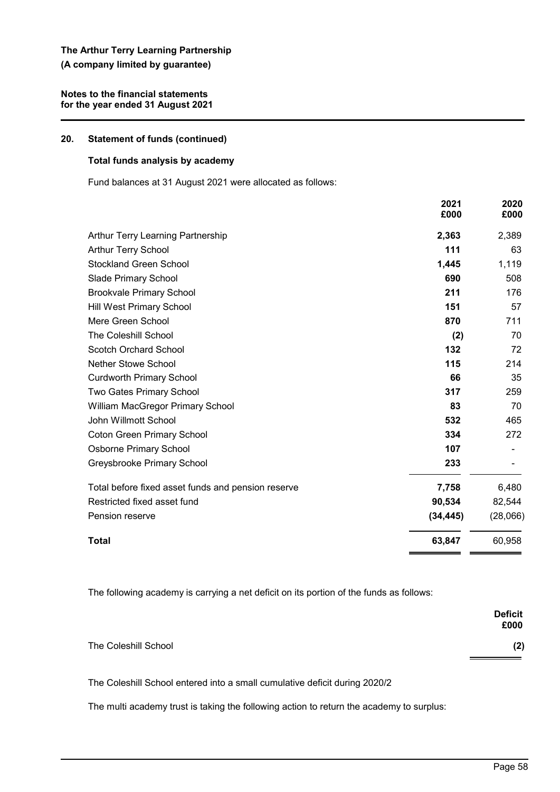## **Notes to the financial statements for the year ended 31 August 2021**

## **20. Statement of funds (continued)**

## **Total funds analysis by academy**

Fund balances at 31 August 2021 were allocated as follows:

|                                                    | 2021<br>£000 | 2020<br>£000 |
|----------------------------------------------------|--------------|--------------|
| Arthur Terry Learning Partnership                  | 2,363        | 2,389        |
| <b>Arthur Terry School</b>                         | 111          | 63           |
| <b>Stockland Green School</b>                      | 1,445        | 1,119        |
| Slade Primary School                               | 690          | 508          |
| <b>Brookvale Primary School</b>                    | 211          | 176          |
| <b>Hill West Primary School</b>                    | 151          | 57           |
| Mere Green School                                  | 870          | 711          |
| <b>The Coleshill School</b>                        | (2)          | 70           |
| Scotch Orchard School                              | 132          | 72           |
| <b>Nether Stowe School</b>                         | 115          | 214          |
| <b>Curdworth Primary School</b>                    | 66           | 35           |
| <b>Two Gates Primary School</b>                    | 317          | 259          |
| William MacGregor Primary School                   | 83           | 70           |
| John Willmott School                               | 532          | 465          |
| <b>Coton Green Primary School</b>                  | 334          | 272          |
| <b>Osborne Primary School</b>                      | 107          |              |
| Greysbrooke Primary School                         | 233          |              |
| Total before fixed asset funds and pension reserve | 7,758        | 6,480        |
| Restricted fixed asset fund                        | 90,534       | 82,544       |
| Pension reserve                                    | (34, 445)    | (28,066)     |
| <b>Total</b>                                       | 63,847       | 60,958       |

The following academy is carrying a net deficit on its portion of the funds as follows:

|                      | <b>Deficit</b><br>£000 |
|----------------------|------------------------|
| The Coleshill School | (2)                    |

The Coleshill School entered into a small cumulative deficit during 2020/2

The multi academy trust is taking the following action to return the academy to surplus: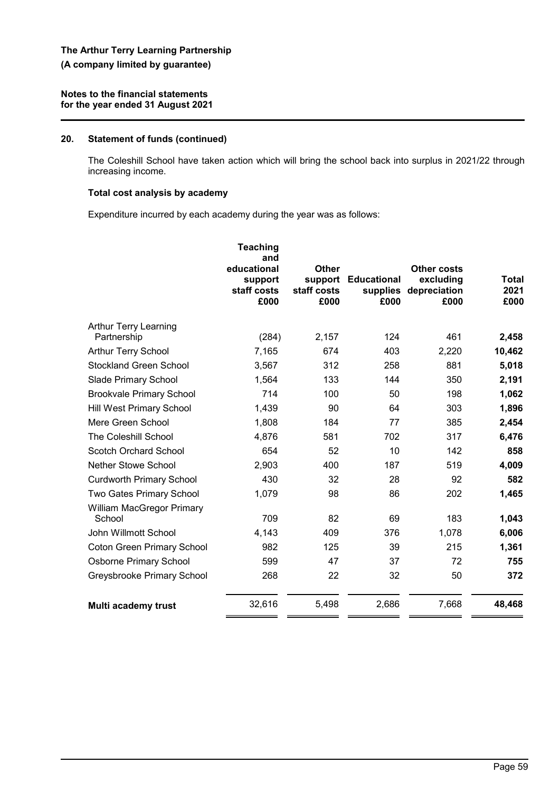## **20. Statement of funds (continued)**

The Coleshill School have taken action which will bring the school back into surplus in 2021/22 through increasing income.

### **Total cost analysis by academy**

Expenditure incurred by each academy during the year was as follows:

| <b>Teaching</b><br>and<br>educational<br>support<br>staff costs<br>£000 | <b>Other</b><br>support<br>staff costs<br>£000 | <b>Educational</b><br>supplies<br>£000 | <b>Other costs</b><br>excluding<br>depreciation<br>£000 | Total<br>2021<br>£000             |
|-------------------------------------------------------------------------|------------------------------------------------|----------------------------------------|---------------------------------------------------------|-----------------------------------|
|                                                                         |                                                |                                        |                                                         |                                   |
|                                                                         |                                                |                                        |                                                         | 2,458                             |
|                                                                         |                                                |                                        |                                                         | 10,462                            |
|                                                                         |                                                |                                        |                                                         | 5,018                             |
|                                                                         |                                                |                                        |                                                         | 2,191                             |
|                                                                         |                                                |                                        |                                                         | 1,062                             |
| 1,439                                                                   | 90                                             | 64                                     | 303                                                     | 1,896                             |
| 1,808                                                                   | 184                                            | 77                                     | 385                                                     | 2,454                             |
| 4,876                                                                   | 581                                            | 702                                    | 317                                                     | 6,476                             |
| 654                                                                     | 52                                             | 10                                     | 142                                                     | 858                               |
| 2,903                                                                   | 400                                            | 187                                    | 519                                                     | 4,009                             |
| 430                                                                     | 32                                             | 28                                     | 92                                                      | 582                               |
| 1,079                                                                   | 98                                             | 86                                     | 202                                                     | 1,465                             |
| 709                                                                     | 82                                             | 69                                     | 183                                                     | 1,043                             |
| 4,143                                                                   | 409                                            | 376                                    | 1,078                                                   | 6,006                             |
| 982                                                                     | 125                                            | 39                                     | 215                                                     | 1,361                             |
| 599                                                                     | 47                                             | 37                                     | 72                                                      | 755                               |
| 268                                                                     | 22                                             | 32                                     | 50                                                      | 372                               |
| 32,616                                                                  | 5,498                                          | 2,686                                  | 7,668                                                   | 48,468                            |
|                                                                         | (284)<br>7,165<br>3,567<br>1,564<br>714        | 2,157<br>674<br>312<br>133<br>100      | 124<br>403<br>258<br>144<br>50                          | 461<br>2,220<br>881<br>350<br>198 |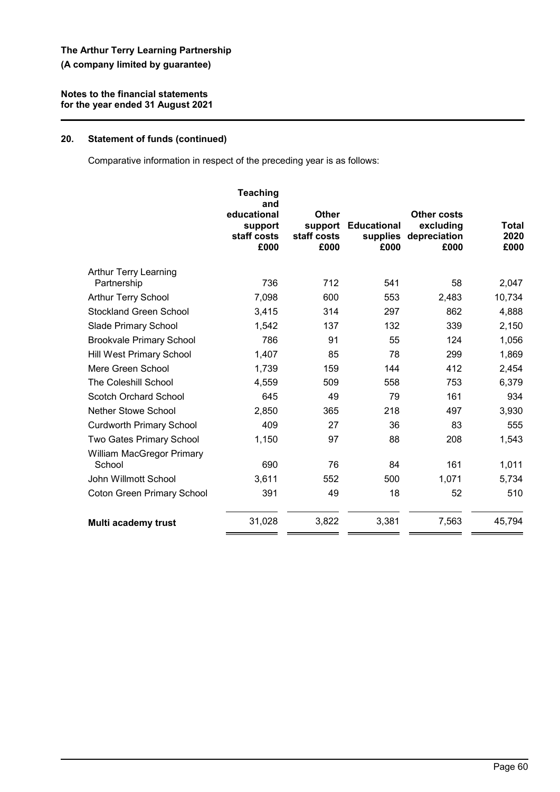## **Notes to the financial statements for the year ended 31 August 2021**

# **20. Statement of funds (continued)**

Comparative information in respect of the preceding year is as follows:

|                                            | Teaching<br>and<br>educational<br>support<br>staff costs<br>£000 | <b>Other</b><br>support<br>staff costs<br>£000 | <b>Educational</b><br>supplies<br>£000 | Other costs<br>excluding<br>depreciation<br>£000 | Total<br>2020<br>£000 |
|--------------------------------------------|------------------------------------------------------------------|------------------------------------------------|----------------------------------------|--------------------------------------------------|-----------------------|
| <b>Arthur Terry Learning</b>               |                                                                  |                                                |                                        |                                                  |                       |
| Partnership                                | 736                                                              | 712                                            | 541                                    | 58                                               | 2,047                 |
| <b>Arthur Terry School</b>                 | 7,098                                                            | 600                                            | 553                                    | 2,483                                            | 10,734                |
| <b>Stockland Green School</b>              | 3,415                                                            | 314                                            | 297                                    | 862                                              | 4,888                 |
| Slade Primary School                       | 1,542                                                            | 137                                            | 132                                    | 339                                              | 2,150                 |
| <b>Brookvale Primary School</b>            | 786                                                              | 91                                             | 55                                     | 124                                              | 1,056                 |
| <b>Hill West Primary School</b>            | 1,407                                                            | 85                                             | 78                                     | 299                                              | 1,869                 |
| Mere Green School                          | 1,739                                                            | 159                                            | 144                                    | 412                                              | 2,454                 |
| The Coleshill School                       | 4,559                                                            | 509                                            | 558                                    | 753                                              | 6,379                 |
| Scotch Orchard School                      | 645                                                              | 49                                             | 79                                     | 161                                              | 934                   |
| <b>Nether Stowe School</b>                 | 2,850                                                            | 365                                            | 218                                    | 497                                              | 3,930                 |
| <b>Curdworth Primary School</b>            | 409                                                              | 27                                             | 36                                     | 83                                               | 555                   |
| Two Gates Primary School                   | 1,150                                                            | 97                                             | 88                                     | 208                                              | 1,543                 |
| <b>William MacGregor Primary</b><br>School | 690                                                              | 76                                             | 84                                     | 161                                              | 1,011                 |
| John Willmott School                       | 3,611                                                            | 552                                            | 500                                    | 1,071                                            | 5,734                 |
| <b>Coton Green Primary School</b>          | 391                                                              | 49                                             | 18                                     | 52                                               | 510                   |
| Multi academy trust                        | 31,028                                                           | 3,822                                          | 3,381                                  | 7,563                                            | 45,794                |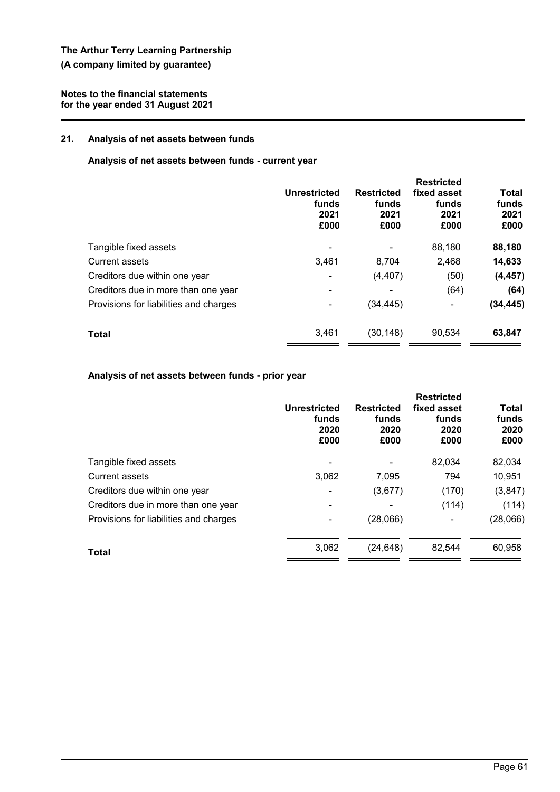## **21. Analysis of net assets between funds**

## **Analysis of net assets between funds - current year**

|                                        | Unrestricted<br>funds<br>2021<br>£000 | <b>Restricted</b><br>funds<br>2021<br>£000 | <b>Restricted</b><br>fixed asset<br>funds<br>2021<br>£000 | <b>Total</b><br>funds<br>2021<br>£000 |
|----------------------------------------|---------------------------------------|--------------------------------------------|-----------------------------------------------------------|---------------------------------------|
| Tangible fixed assets                  |                                       |                                            | 88,180                                                    | 88,180                                |
| Current assets                         | 3.461                                 | 8,704                                      | 2,468                                                     | 14,633                                |
| Creditors due within one year          | ۰                                     | (4, 407)                                   | (50)                                                      | (4, 457)                              |
| Creditors due in more than one year    | -                                     |                                            | (64)                                                      | (64)                                  |
| Provisions for liabilities and charges |                                       | (34,445)                                   | -                                                         | (34, 445)                             |
| <b>Total</b>                           | 3,461                                 | (30,148)                                   | 90,534                                                    | 63,847                                |
|                                        |                                       |                                            |                                                           |                                       |

## **Analysis of net assets between funds - prior year**

|                                        | <b>Unrestricted</b><br>funds<br>2020<br>£000 | <b>Restricted</b><br>funds<br>2020<br>£000 | <b>Restricted</b><br>fixed asset<br>funds<br>2020<br>£000 | Total<br>funds<br>2020<br>£000 |
|----------------------------------------|----------------------------------------------|--------------------------------------------|-----------------------------------------------------------|--------------------------------|
| Tangible fixed assets                  |                                              |                                            | 82,034                                                    | 82,034                         |
| <b>Current assets</b>                  | 3,062                                        | 7,095                                      | 794                                                       | 10,951                         |
| Creditors due within one year          |                                              | (3,677)                                    | (170)                                                     | (3, 847)                       |
| Creditors due in more than one year    |                                              |                                            | (114)                                                     | (114)                          |
| Provisions for liabilities and charges |                                              | (28,066)                                   | $\overline{\phantom{a}}$                                  | (28,066)                       |
| Total                                  | 3,062                                        | (24, 648)                                  | 82.544                                                    | 60,958                         |
|                                        |                                              |                                            |                                                           |                                |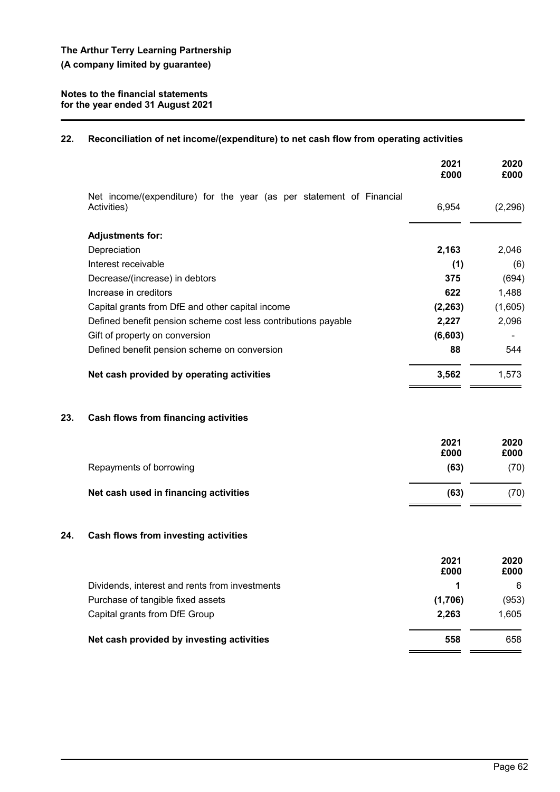# **22. Reconciliation of net income/(expenditure) to net cash flow from operating activities**

|     |                                                                                     | 2021<br>£000 | 2020<br>£000 |
|-----|-------------------------------------------------------------------------------------|--------------|--------------|
|     | Net income/(expenditure) for the year (as per statement of Financial<br>Activities) | 6,954        | (2, 296)     |
|     | <b>Adjustments for:</b>                                                             |              |              |
|     | Depreciation                                                                        | 2,163        | 2,046        |
|     | Interest receivable                                                                 | (1)          | (6)          |
|     | Decrease/(increase) in debtors                                                      | 375          | (694)        |
|     | Increase in creditors                                                               | 622          | 1,488        |
|     | Capital grants from DfE and other capital income                                    | (2, 263)     | (1,605)      |
|     | Defined benefit pension scheme cost less contributions payable                      | 2,227        | 2,096        |
|     | Gift of property on conversion                                                      | (6, 603)     |              |
|     | Defined benefit pension scheme on conversion                                        | 88           | 544          |
|     | Net cash provided by operating activities                                           | 3,562        | 1,573        |
| 23. | <b>Cash flows from financing activities</b>                                         |              |              |
|     |                                                                                     | 2021         | 2020         |
|     |                                                                                     | £000         | £000         |
|     | Repayments of borrowing                                                             | (63)         | (70)         |
|     | Net cash used in financing activities                                               | (63)         | (70)         |
| 24. | <b>Cash flows from investing activities</b>                                         |              |              |
|     |                                                                                     | 2021<br>£000 | 2020<br>£000 |
|     | Dividends, interest and rents from investments                                      | 1            | 6            |
|     | Purchase of tangible fixed assets                                                   | (1,706)      | (953)        |
|     | Capital grants from DfE Group                                                       | 2,263        | 1,605        |
|     | Net cash provided by investing activities                                           | 558          | 658          |
|     |                                                                                     |              |              |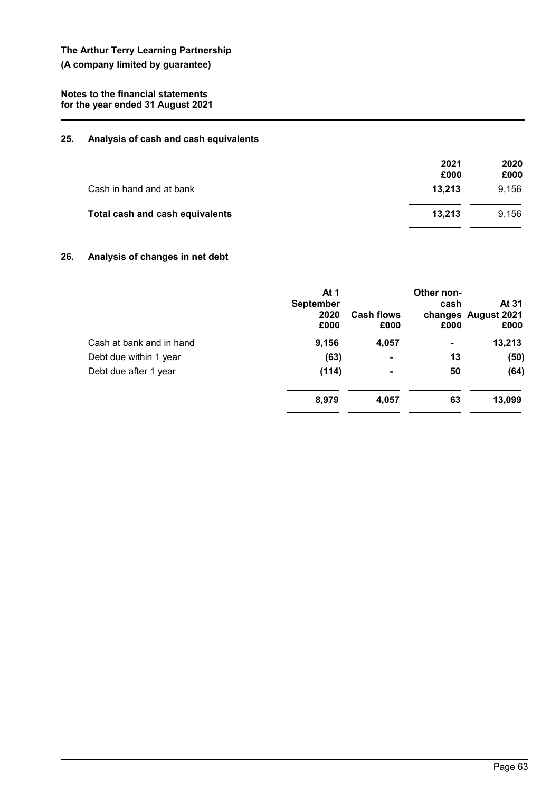## **25. Analysis of cash and cash equivalents**

|                                 | 2021<br>£000 | 2020<br>£000 |
|---------------------------------|--------------|--------------|
| Cash in hand and at bank        | 13.213       | 9,156        |
| Total cash and cash equivalents | 13.213       | 9.156        |

## **26. Analysis of changes in net debt**

|                          | At $1$<br><b>September</b><br>2020<br>£000 | <b>Cash flows</b><br>£000 | Other non-<br>cash<br>£000 | At 31<br>changes August 2021<br>£000 |
|--------------------------|--------------------------------------------|---------------------------|----------------------------|--------------------------------------|
| Cash at bank and in hand | 9,156                                      | 4,057                     | $\blacksquare$             | 13,213                               |
| Debt due within 1 year   | (63)                                       | $\blacksquare$            | 13                         | (50)                                 |
| Debt due after 1 year    | (114)                                      |                           | 50                         | (64)                                 |
|                          | 8,979                                      | 4,057                     | 63                         | 13,099                               |
|                          |                                            |                           |                            |                                      |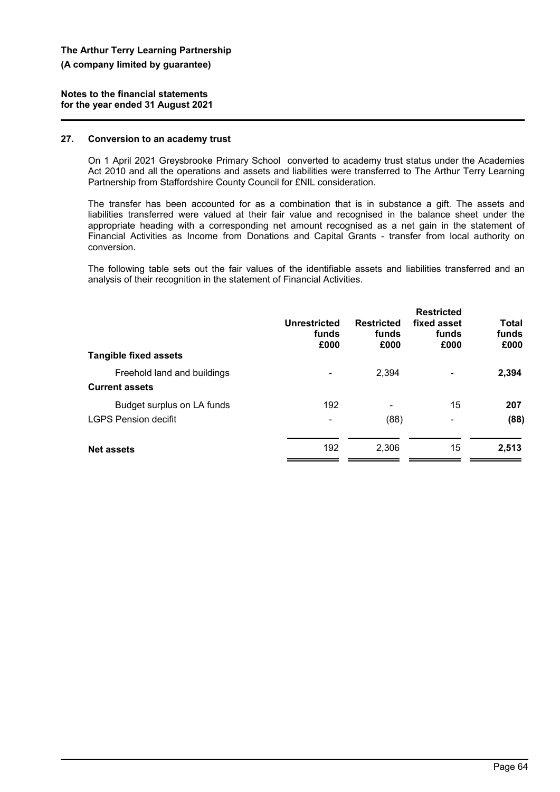## **27. Conversion to an academy trust**

On 1 April 2021 Greysbrooke Primary School converted to academy trust status under the Academies Act 2010 and all the operations and assets and liabilities were transferred to The Arthur Terry Learning Partnership from Staffordshire County Council for £NIL consideration.

The transfer has been accounted for as a combination that is in substance a gift. The assets and liabilities transferred were valued at their fair value and recognised in the balance sheet under the appropriate heading with a corresponding net amount recognised as a net gain in the statement of Financial Activities as Income from Donations and Capital Grants - transfer from local authority on conversion.

The following table sets out the fair values of the identifiable assets and liabilities transferred and an analysis of their recognition in the statement of Financial Activities.

| <b>Tangible fixed assets</b>                              | Unrestricted<br>funds<br>£000 | <b>Restricted</b><br>funds<br>£000 | <b>Restricted</b><br>fixed asset<br>funds<br>£000 | <b>Total</b><br>funds<br>£000 |
|-----------------------------------------------------------|-------------------------------|------------------------------------|---------------------------------------------------|-------------------------------|
| Freehold land and buildings<br><b>Current assets</b>      |                               | 2,394                              | -                                                 | 2,394                         |
| Budget surplus on LA funds<br><b>LGPS Pension decifit</b> | 192                           | -<br>(88)                          | 15<br>$\overline{\phantom{0}}$                    | 207<br>(88)                   |
| <b>Net assets</b>                                         | 192                           | 2,306                              | 15                                                | 2,513                         |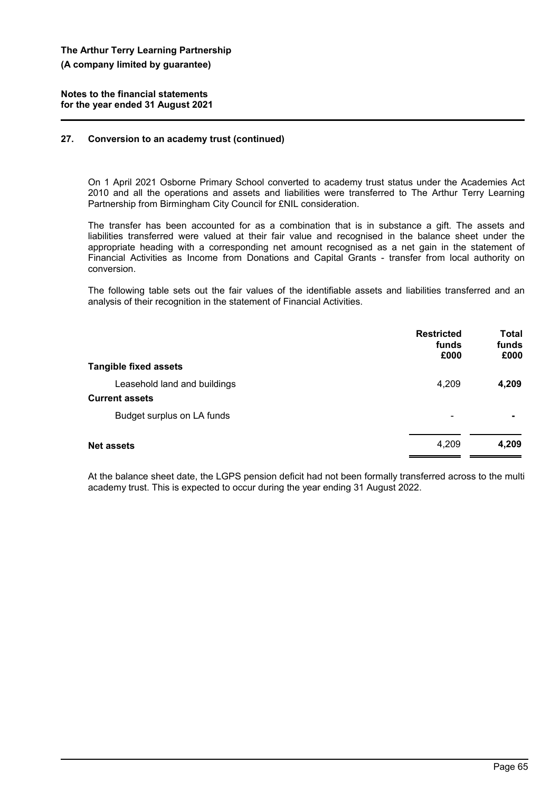## **27. Conversion to an academy trust (continued)**

On 1 April 2021 Osborne Primary School converted to academy trust status under the Academies Act 2010 and all the operations and assets and liabilities were transferred to The Arthur Terry Learning Partnership from Birmingham City Council for £NIL consideration.

The transfer has been accounted for as a combination that is in substance a gift. The assets and liabilities transferred were valued at their fair value and recognised in the balance sheet under the appropriate heading with a corresponding net amount recognised as a net gain in the statement of Financial Activities as Income from Donations and Capital Grants - transfer from local authority on conversion.

The following table sets out the fair values of the identifiable assets and liabilities transferred and an analysis of their recognition in the statement of Financial Activities.

|                              | <b>Restricted</b><br>funds<br>£000 | <b>Total</b><br>funds<br>£000 |
|------------------------------|------------------------------------|-------------------------------|
| <b>Tangible fixed assets</b> |                                    |                               |
| Leasehold land and buildings | 4,209                              | 4,209                         |
| <b>Current assets</b>        |                                    |                               |
| Budget surplus on LA funds   | ۰                                  |                               |
| <b>Net assets</b>            | 4,209                              | 4,209                         |

At the balance sheet date, the LGPS pension deficit had not been formally transferred across to the multi academy trust. This is expected to occur during the year ending 31 August 2022.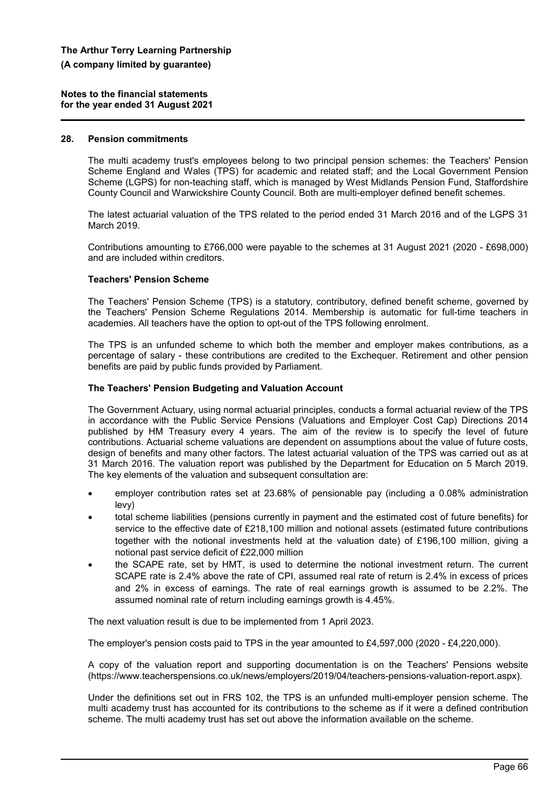#### **28. Pension commitments**

The multi academy trust's employees belong to two principal pension schemes: the Teachers' Pension Scheme England and Wales (TPS) for academic and related staff; and the Local Government Pension Scheme (LGPS) for non-teaching staff, which is managed by West Midlands Pension Fund, Staffordshire County Council and Warwickshire County Council. Both are multi-employer defined benefit schemes.

The latest actuarial valuation of the TPS related to the period ended 31 March 2016 and of the LGPS 31 March 2019.

Contributions amounting to £766,000 were payable to the schemes at 31 August 2021 (2020 - £698,000) and are included within creditors.

#### **Teachers' Pension Scheme**

The Teachers' Pension Scheme (TPS) is a statutory, contributory, defined benefit scheme, governed by the Teachers' Pension Scheme Regulations 2014. Membership is automatic for full-time teachers in academies. All teachers have the option to opt-out of the TPS following enrolment.

The TPS is an unfunded scheme to which both the member and employer makes contributions, as a percentage of salary - these contributions are credited to the Exchequer. Retirement and other pension benefits are paid by public funds provided by Parliament.

#### **The Teachers' Pension Budgeting and Valuation Account**

The Government Actuary, using normal actuarial principles, conducts a formal actuarial review of the TPS in accordance with the Public Service Pensions (Valuations and Employer Cost Cap) Directions 2014 published by HM Treasury every 4 years. The aim of the review is to specify the level of future contributions. Actuarial scheme valuations are dependent on assumptions about the value of future costs, design of benefits and many other factors. The latest actuarial valuation of the TPS was carried out as at 31 March 2016. The valuation report was published by the Department for Education on 5 March 2019. The key elements of the valuation and subsequent consultation are:

- employer contribution rates set at 23.68% of pensionable pay (including a 0.08% administration levy)
- total scheme liabilities (pensions currently in payment and the estimated cost of future benefits) for service to the effective date of £218,100 million and notional assets (estimated future contributions together with the notional investments held at the valuation date) of £196,100 million, giving a notional past service deficit of £22,000 million
- the SCAPE rate, set by HMT, is used to determine the notional investment return. The current SCAPE rate is 2.4% above the rate of CPI, assumed real rate of return is 2.4% in excess of prices and 2% in excess of earnings. The rate of real earnings growth is assumed to be 2.2%. The assumed nominal rate of return including earnings growth is 4.45%.

The next valuation result is due to be implemented from 1 April 2023.

The employer's pension costs paid to TPS in the year amounted to £4,597,000 (2020 - £4,220,000).

A copy of the valuation report and supporting documentation is on the Teachers' Pensions website (https://www.teacherspensions.co.uk/news/employers/2019/04/teachers-pensions-valuation-report.aspx).

Under the definitions set out in FRS 102, the TPS is an unfunded multi-employer pension scheme. The multi academy trust has accounted for its contributions to the scheme as if it were a defined contribution scheme. The multi academy trust has set out above the information available on the scheme.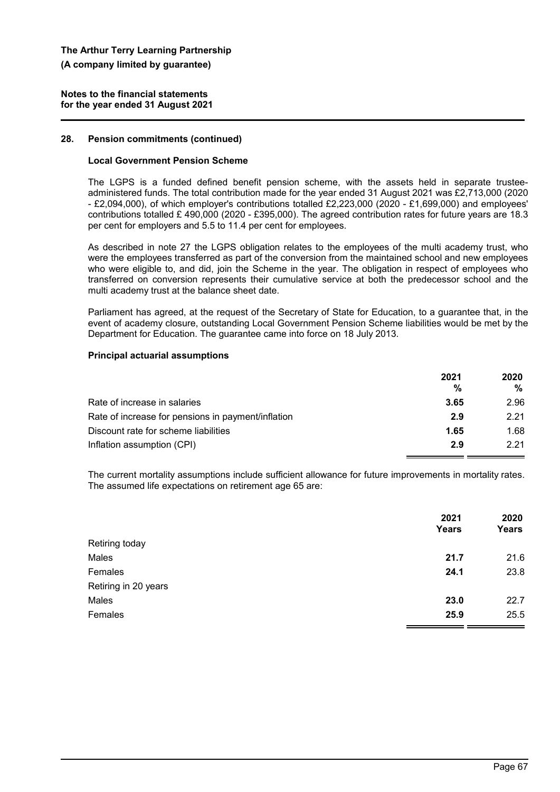#### **Notes to the financial statements for the year ended 31 August 2021**

## **28. Pension commitments (continued)**

## **Local Government Pension Scheme**

The LGPS is a funded defined benefit pension scheme, with the assets held in separate trusteeadministered funds. The total contribution made for the year ended 31 August 2021 was £2,713,000 (2020 - £2,094,000), of which employer's contributions totalled £2,223,000 (2020 - £1,699,000) and employees' contributions totalled £ 490,000 (2020 - £395,000). The agreed contribution rates for future years are 18.3 per cent for employers and 5.5 to 11.4 per cent for employees.

As described in note 27 the LGPS obligation relates to the employees of the multi academy trust, who were the employees transferred as part of the conversion from the maintained school and new employees who were eligible to, and did, join the Scheme in the year. The obligation in respect of employees who transferred on conversion represents their cumulative service at both the predecessor school and the multi academy trust at the balance sheet date.

Parliament has agreed, at the request of the Secretary of State for Education, to a guarantee that, in the event of academy closure, outstanding Local Government Pension Scheme liabilities would be met by the Department for Education. The guarantee came into force on 18 July 2013.

## **Principal actuarial assumptions**

|                                                    | 2021<br>% | 2020<br>% |
|----------------------------------------------------|-----------|-----------|
| Rate of increase in salaries                       | 3.65      | 2.96      |
| Rate of increase for pensions in payment/inflation | 2.9       | 221       |
| Discount rate for scheme liabilities               | 1.65      | 1.68      |
| Inflation assumption (CPI)                         | 2.9       | 221       |

The current mortality assumptions include sufficient allowance for future improvements in mortality rates. The assumed life expectations on retirement age 65 are:

|                      | 2021<br>Years | 2020<br><b>Years</b> |
|----------------------|---------------|----------------------|
| Retiring today       |               |                      |
| Males                | 21.7          | 21.6                 |
| Females              | 24.1          | 23.8                 |
| Retiring in 20 years |               |                      |
| Males                | 23.0          | 22.7                 |
| Females              | 25.9          | 25.5                 |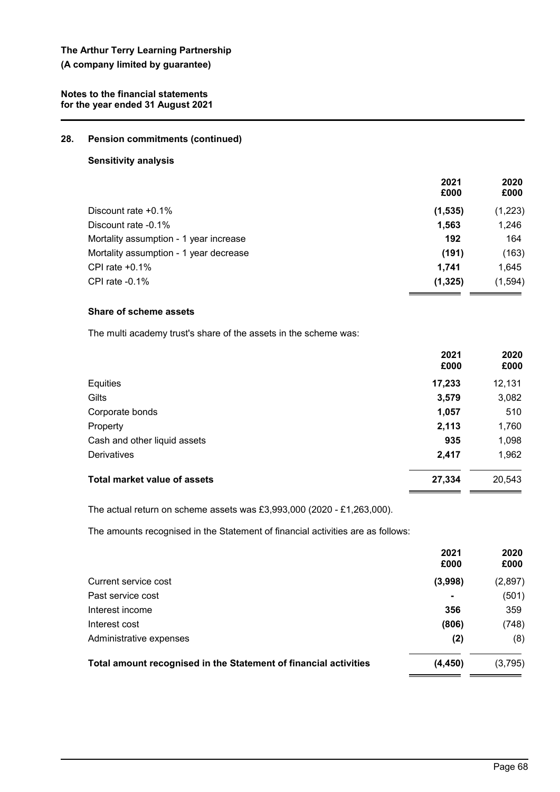## **28. Pension commitments (continued)**

## **Sensitivity analysis**

|                                        | 2021<br>£000 | 2020<br>£000 |
|----------------------------------------|--------------|--------------|
| Discount rate $+0.1\%$                 | (1, 535)     | (1,223)      |
| Discount rate -0.1%                    | 1,563        | 1,246        |
| Mortality assumption - 1 year increase | 192          | 164          |
| Mortality assumption - 1 year decrease | (191)        | (163)        |
| CPI rate $+0.1\%$                      | 1.741        | 1,645        |
| CPI rate $-0.1\%$                      | (1, 325)     | (1, 594)     |
|                                        |              |              |

## **Share of scheme assets**

The multi academy trust's share of the assets in the scheme was:

|                                     | 2021<br>£000 | 2020<br>£000 |
|-------------------------------------|--------------|--------------|
| Equities                            | 17,233       | 12,131       |
| Gilts                               | 3,579        | 3,082        |
| Corporate bonds                     | 1,057        | 510          |
| Property                            | 2,113        | 1,760        |
| Cash and other liquid assets        | 935          | 1,098        |
| Derivatives                         | 2,417        | 1,962        |
| <b>Total market value of assets</b> | 27,334       | 20,543       |

The actual return on scheme assets was £3,993,000 (2020 - £1,263,000).

The amounts recognised in the Statement of financial activities are as follows:

|                                                                  | 2021<br>£000   | 2020<br>£000 |
|------------------------------------------------------------------|----------------|--------------|
| Current service cost                                             | (3,998)        | (2,897)      |
| Past service cost                                                | $\blacksquare$ | (501)        |
| Interest income                                                  | 356            | 359          |
| Interest cost                                                    | (806)          | (748)        |
| Administrative expenses                                          | (2)            | (8)          |
| Total amount recognised in the Statement of financial activities | (4, 450)       | (3,795)      |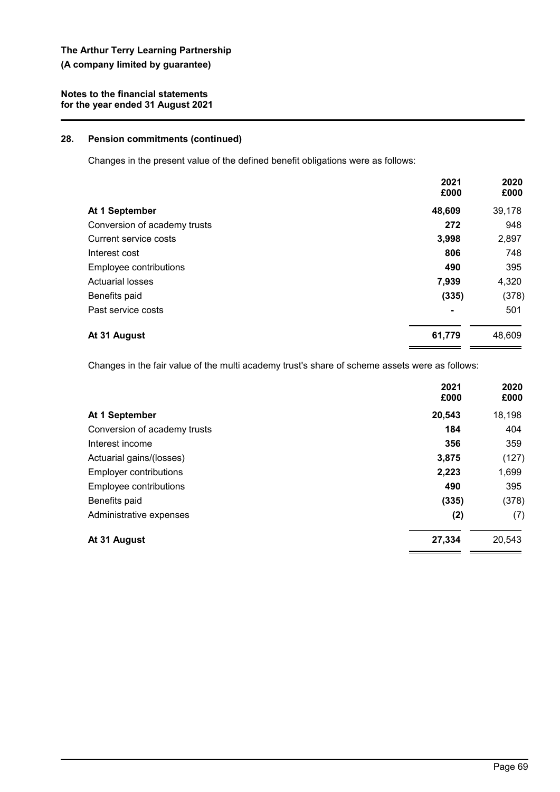## **28. Pension commitments (continued)**

Changes in the present value of the defined benefit obligations were as follows:

|                              | 2021<br>£000   | 2020<br>£000 |
|------------------------------|----------------|--------------|
| At 1 September               | 48,609         | 39,178       |
| Conversion of academy trusts | 272            | 948          |
| Current service costs        | 3,998          | 2,897        |
| Interest cost                | 806            | 748          |
| Employee contributions       | 490            | 395          |
| <b>Actuarial losses</b>      | 7,939          | 4,320        |
| Benefits paid                | (335)          | (378)        |
| Past service costs           | $\blacksquare$ | 501          |
| At 31 August                 | 61,779         | 48,609       |

Changes in the fair value of the multi academy trust's share of scheme assets were as follows:

|                               | 2021<br>£000 | 2020<br>£000 |
|-------------------------------|--------------|--------------|
| At 1 September                | 20,543       | 18,198       |
| Conversion of academy trusts  | 184          | 404          |
| Interest income               | 356          | 359          |
| Actuarial gains/(losses)      | 3,875        | (127)        |
| <b>Employer contributions</b> | 2,223        | 1,699        |
| Employee contributions        | 490          | 395          |
| Benefits paid                 | (335)        | (378)        |
| Administrative expenses       | (2)          | (7)          |
| At 31 August                  | 27,334       | 20,543       |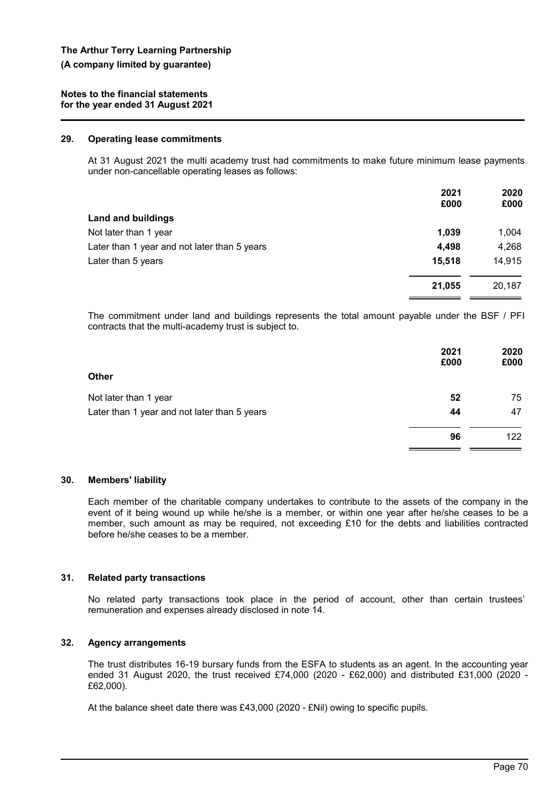## **29. Operating lease commitments**

At 31 August 2021 the multi academy trust had commitments to make future minimum lease payments under non-cancellable operating leases as follows:

|                                              | 2021   | 2020   |
|----------------------------------------------|--------|--------|
|                                              | £000   | £000   |
| <b>Land and buildings</b>                    |        |        |
| Not later than 1 year                        | 1,039  | 1,004  |
| Later than 1 year and not later than 5 years | 4,498  | 4,268  |
| Later than 5 years                           | 15,518 | 14,915 |
|                                              | 21,055 | 20,187 |

The commitment under land and buildings represents the total amount payable under the BSF / PFI contracts that the multi-academy trust is subject to.

|                                              | 2021<br>£000 | 2020<br>£000 |
|----------------------------------------------|--------------|--------------|
| Other                                        |              |              |
| Not later than 1 year                        | 52           | 75           |
| Later than 1 year and not later than 5 years | 44           | 47           |
|                                              | 96           | 122          |

## **30. Members' liability**

Each member of the charitable company undertakes to contribute to the assets of the company in the event of it being wound up while he/she is a member, or within one year after he/she ceases to be a member, such amount as may be required, not exceeding £10 for the debts and liabilities contracted before he/she ceases to be a member.

#### **31. Related party transactions**

No related party transactions took place in the period of account, other than certain trustees' remuneration and expenses already disclosed in note 14.

## **32. Agency arrangements**

The trust distributes 16-19 bursary funds from the ESFA to students as an agent. In the accounting year ended 31 August 2020, the trust received £74,000 (2020 - £62,000) and distributed £31,000 (2020 - £62,000).

At the balance sheet date there was £43,000 (2020 - £Nil) owing to specific pupils.